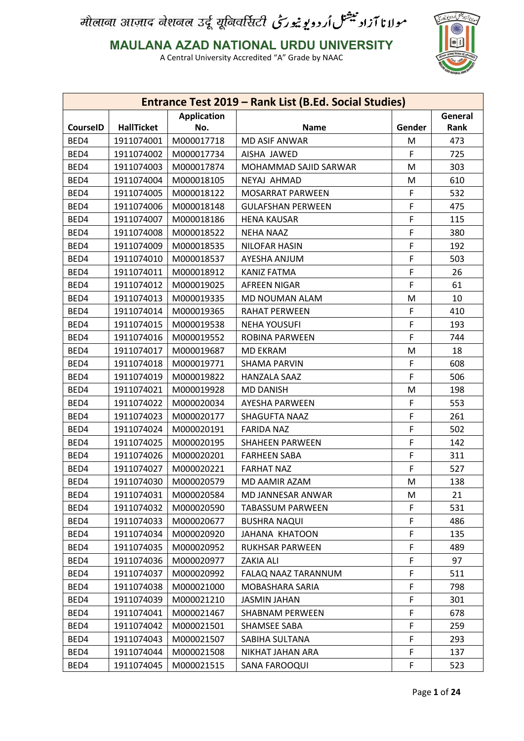

**MAULANA AZAD NATIONAL URDU UNIVERSITY**

|                 |                   |                    | Entrance Test 2019 - Rank List (B.Ed. Social Studies) |        |         |
|-----------------|-------------------|--------------------|-------------------------------------------------------|--------|---------|
|                 |                   | <b>Application</b> |                                                       |        | General |
| <b>CourseID</b> | <b>HallTicket</b> | No.                | <b>Name</b>                                           | Gender | Rank    |
| BED4            | 1911074001        | M000017718         | <b>MD ASIF ANWAR</b>                                  | M      | 473     |
| BED4            | 1911074002        | M000017734         | AISHA JAWED                                           | F      | 725     |
| BED4            | 1911074003        | M000017874         | MOHAMMAD SAJID SARWAR                                 | M      | 303     |
| BED4            | 1911074004        | M000018105         | NEYAJ AHMAD                                           | M      | 610     |
| BED4            | 1911074005        | M000018122         | MOSARRAT PARWEEN                                      | F      | 532     |
| BED4            | 1911074006        | M000018148         | <b>GULAFSHAN PERWEEN</b>                              | F      | 475     |
| BED4            | 1911074007        | M000018186         | <b>HENA KAUSAR</b>                                    | F      | 115     |
| BED4            | 1911074008        | M000018522         | <b>NEHA NAAZ</b>                                      | F      | 380     |
| BED4            | 1911074009        | M000018535         | <b>NILOFAR HASIN</b>                                  | F      | 192     |
| BED4            | 1911074010        | M000018537         | AYESHA ANJUM                                          | F      | 503     |
| BED4            | 1911074011        | M000018912         | <b>KANIZ FATMA</b>                                    | F      | 26      |
| BED4            | 1911074012        | M000019025         | <b>AFREEN NIGAR</b>                                   | F      | 61      |
| BED4            | 1911074013        | M000019335         | MD NOUMAN ALAM                                        | М      | 10      |
| BED4            | 1911074014        | M000019365         | RAHAT PERWEEN                                         | F      | 410     |
| BED4            | 1911074015        | M000019538         | <b>NEHA YOUSUFI</b>                                   | F      | 193     |
| BED4            | 1911074016        | M000019552         | <b>ROBINA PARWEEN</b>                                 | F      | 744     |
| BED4            | 1911074017        | M000019687         | <b>MD EKRAM</b>                                       | М      | 18      |
| BED4            | 1911074018        | M000019771         | <b>SHAMA PARVIN</b>                                   | F      | 608     |
| BED4            | 1911074019        | M000019822         | HANZALA SAAZ                                          | F      | 506     |
| BED4            | 1911074021        | M000019928         | <b>MD DANISH</b>                                      | M      | 198     |
| BED4            | 1911074022        | M000020034         | AYESHA PARWEEN                                        | F      | 553     |
| BED4            | 1911074023        | M000020177         | SHAGUFTA NAAZ                                         | F      | 261     |
| BED4            | 1911074024        | M000020191         | <b>FARIDA NAZ</b>                                     | F      | 502     |
| BED4            | 1911074025        | M000020195         | <b>SHAHEEN PARWEEN</b>                                | F      | 142     |
| BED4            | 1911074026        | M000020201         | <b>FARHEEN SABA</b>                                   | F      | 311     |
| BED4            | 1911074027        | M000020221         | <b>FARHAT NAZ</b>                                     | F      | 527     |
| BED4            | 1911074030        | M000020579         | MD AAMIR AZAM                                         | M      | 138     |
| BED4            | 1911074031        | M000020584         | MD JANNESAR ANWAR                                     | М      | 21      |
| BED4            | 1911074032        | M000020590         | <b>TABASSUM PARWEEN</b>                               | F      | 531     |
| BED4            | 1911074033        | M000020677         | <b>BUSHRA NAQUI</b>                                   | F      | 486     |
| BED4            | 1911074034        | M000020920         | JAHANA KHATOON                                        | F      | 135     |
| BED4            | 1911074035        | M000020952         | <b>RUKHSAR PARWEEN</b>                                | F      | 489     |
| BED4            | 1911074036        | M000020977         | ZAKIA ALI                                             | F      | 97      |
| BED4            | 1911074037        | M000020992         | FALAQ NAAZ TARANNUM                                   | F      | 511     |
| BED4            | 1911074038        | M000021000         | MOBASHARA SARIA                                       | F      | 798     |
| BED4            | 1911074039        | M000021210         | <b>JASMIN JAHAN</b>                                   | F      | 301     |
| BED4            | 1911074041        | M000021467         | SHABNAM PERWEEN                                       | F      | 678     |
| BED4            | 1911074042        | M000021501         | SHAMSEE SABA                                          | F      | 259     |
| BED4            | 1911074043        | M000021507         | SABIHA SULTANA                                        | F      | 293     |
| BED4            | 1911074044        | M000021508         | NIKHAT JAHAN ARA                                      | F      | 137     |
| BED4            | 1911074045        | M000021515         | SANA FAROOQUI                                         | F      | 523     |
|                 |                   |                    |                                                       |        |         |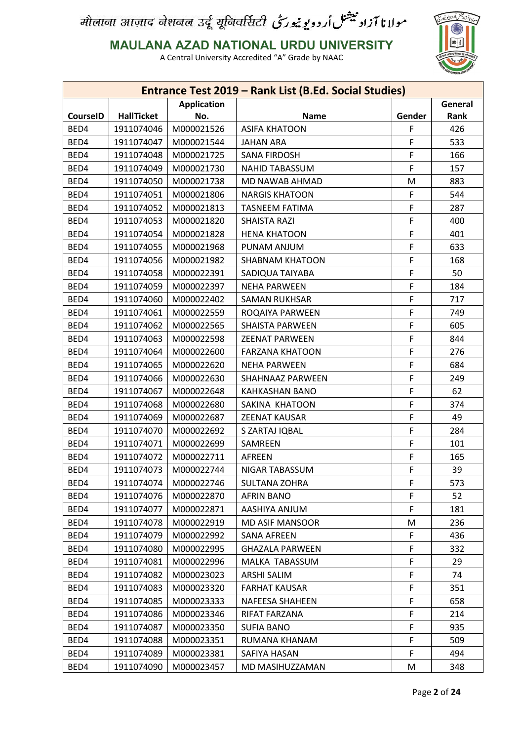

**MAULANA AZAD NATIONAL URDU UNIVERSITY**

|                 |                   |                    | Entrance Test 2019 - Rank List (B.Ed. Social Studies) |        |         |
|-----------------|-------------------|--------------------|-------------------------------------------------------|--------|---------|
|                 |                   | <b>Application</b> |                                                       |        | General |
| <b>CourseID</b> | <b>HallTicket</b> | No.                | <b>Name</b>                                           | Gender | Rank    |
| BED4            | 1911074046        | M000021526         | <b>ASIFA KHATOON</b>                                  | F      | 426     |
| BED4            | 1911074047        | M000021544         | <b>JAHAN ARA</b>                                      | F      | 533     |
| BED4            | 1911074048        | M000021725         | <b>SANA FIRDOSH</b>                                   | F      | 166     |
| BED4            | 1911074049        | M000021730         | <b>NAHID TABASSUM</b>                                 | F      | 157     |
| BED4            | 1911074050        | M000021738         | MD NAWAB AHMAD                                        | M      | 883     |
| BED4            | 1911074051        | M000021806         | <b>NARGIS KHATOON</b>                                 | F      | 544     |
| BED4            | 1911074052        | M000021813         | <b>TASNEEM FATIMA</b>                                 | F      | 287     |
| BED4            | 1911074053        | M000021820         | <b>SHAISTA RAZI</b>                                   | F      | 400     |
| BED4            | 1911074054        | M000021828         | <b>HENA KHATOON</b>                                   | F      | 401     |
| BED4            | 1911074055        | M000021968         | PUNAM ANJUM                                           | F      | 633     |
| BED4            | 1911074056        | M000021982         | <b>SHABNAM KHATOON</b>                                | F      | 168     |
| BED4            | 1911074058        | M000022391         | SADIQUA TAIYABA                                       | F      | 50      |
| BED4            | 1911074059        | M000022397         | <b>NEHA PARWEEN</b>                                   | F      | 184     |
| BED4            | 1911074060        | M000022402         | <b>SAMAN RUKHSAR</b>                                  | F      | 717     |
| BED4            | 1911074061        | M000022559         | ROQAIYA PARWEEN                                       | F      | 749     |
| BED4            | 1911074062        | M000022565         | <b>SHAISTA PARWEEN</b>                                | F      | 605     |
| BED4            | 1911074063        | M000022598         | <b>ZEENAT PARWEEN</b>                                 | F      | 844     |
| BED4            | 1911074064        | M000022600         | <b>FARZANA KHATOON</b>                                | F      | 276     |
| BED4            | 1911074065        | M000022620         | <b>NEHA PARWEEN</b>                                   | F      | 684     |
| BED4            | 1911074066        | M000022630         | SHAHNAAZ PARWEEN                                      | F      | 249     |
| BED4            | 1911074067        | M000022648         | <b>KAHKASHAN BANO</b>                                 | F      | 62      |
| BED4            | 1911074068        | M000022680         | SAKINA KHATOON                                        | F      | 374     |
| BED4            | 1911074069        | M000022687         | <b>ZEENAT KAUSAR</b>                                  | F      | 49      |
| BED4            | 1911074070        | M000022692         | S ZARTAJ IQBAL                                        | F      | 284     |
| BED4            | 1911074071        | M000022699         | SAMREEN                                               | F      | 101     |
| BED4            | 1911074072        | M000022711         | <b>AFREEN</b>                                         | F      | 165     |
| BED4            | 1911074073        | M000022744         | NIGAR TABASSUM                                        | F      | 39      |
| BED4            | 1911074074        | M000022746         | <b>SULTANA ZOHRA</b>                                  | F      | 573     |
| BED4            | 1911074076        | M000022870         | <b>AFRIN BANO</b>                                     | F      | 52      |
| BED4            | 1911074077        | M000022871         | AASHIYA ANJUM                                         | F      | 181     |
| BED4            | 1911074078        | M000022919         | <b>MD ASIF MANSOOR</b>                                | М      | 236     |
| BED4            | 1911074079        | M000022992         | <b>SANA AFREEN</b>                                    | F      | 436     |
| BED4            | 1911074080        | M000022995         | <b>GHAZALA PARWEEN</b>                                | F      | 332     |
| BED4            | 1911074081        | M000022996         | MALKA TABASSUM                                        | F      | 29      |
| BED4            | 1911074082        | M000023023         | ARSHI SALIM                                           | F      | 74      |
| BED4            | 1911074083        | M000023320         | <b>FARHAT KAUSAR</b>                                  | F      | 351     |
| BED4            | 1911074085        | M000023333         | NAFEESA SHAHEEN                                       | F      | 658     |
| BED4            | 1911074086        | M000023346         | RIFAT FARZANA                                         | F      | 214     |
| BED4            | 1911074087        | M000023350         | <b>SUFIA BANO</b>                                     | F      | 935     |
| BED4            | 1911074088        | M000023351         | RUMANA KHANAM                                         | F      | 509     |
| BED4            | 1911074089        | M000023381         | SAFIYA HASAN                                          | F      | 494     |
| BED4            | 1911074090        | M000023457         | MD MASIHUZZAMAN                                       | M      | 348     |
|                 |                   |                    |                                                       |        |         |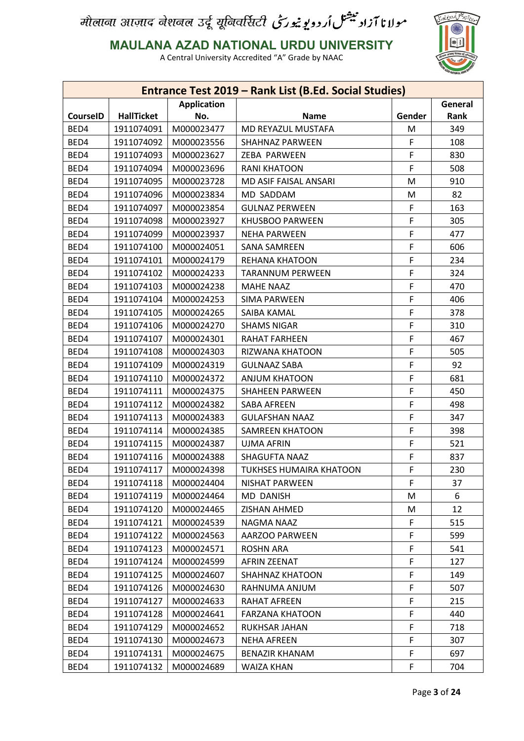

**MAULANA AZAD NATIONAL URDU UNIVERSITY**

|                 |                   |                    | Entrance Test 2019 - Rank List (B.Ed. Social Studies) |        |         |
|-----------------|-------------------|--------------------|-------------------------------------------------------|--------|---------|
|                 |                   | <b>Application</b> |                                                       |        | General |
| <b>CourseID</b> | <b>HallTicket</b> | No.                | <b>Name</b>                                           | Gender | Rank    |
| BED4            | 1911074091        | M000023477         | MD REYAZUL MUSTAFA                                    | M      | 349     |
| BED4            | 1911074092        | M000023556         | <b>SHAHNAZ PARWEEN</b>                                | F      | 108     |
| BED4            | 1911074093        | M000023627         | ZEBA PARWEEN                                          | F      | 830     |
| BED4            | 1911074094        | M000023696         | <b>RANI KHATOON</b>                                   | F      | 508     |
| BED4            | 1911074095        | M000023728         | MD ASIF FAISAL ANSARI                                 | M      | 910     |
| BED4            | 1911074096        | M000023834         | MD SADDAM                                             | M      | 82      |
| BED4            | 1911074097        | M000023854         | <b>GULNAZ PERWEEN</b>                                 | F      | 163     |
| BED4            | 1911074098        | M000023927         | KHUSBOO PARWEEN                                       | F      | 305     |
| BED4            | 1911074099        | M000023937         | <b>NEHA PARWEEN</b>                                   | F      | 477     |
| BED4            | 1911074100        | M000024051         | <b>SANA SAMREEN</b>                                   | F      | 606     |
| BED4            | 1911074101        | M000024179         | REHANA KHATOON                                        | F      | 234     |
| BED4            | 1911074102        | M000024233         | <b>TARANNUM PERWEEN</b>                               | F      | 324     |
| BED4            | 1911074103        | M000024238         | <b>MAHE NAAZ</b>                                      | F      | 470     |
| BED4            | 1911074104        | M000024253         | <b>SIMA PARWEEN</b>                                   | F      | 406     |
| BED4            | 1911074105        | M000024265         | SAIBA KAMAL                                           | F      | 378     |
| BED4            | 1911074106        | M000024270         | <b>SHAMS NIGAR</b>                                    | F      | 310     |
| BED4            | 1911074107        | M000024301         | RAHAT FARHEEN                                         | F      | 467     |
| BED4            | 1911074108        | M000024303         | RIZWANA KHATOON                                       | F      | 505     |
| BED4            | 1911074109        | M000024319         | <b>GULNAAZ SABA</b>                                   | F      | 92      |
| BED4            | 1911074110        | M000024372         | <b>ANJUM KHATOON</b>                                  | F      | 681     |
| BED4            | 1911074111        | M000024375         | <b>SHAHEEN PARWEEN</b>                                | F      | 450     |
| BED4            | 1911074112        | M000024382         | <b>SABA AFREEN</b>                                    | F      | 498     |
| BED4            | 1911074113        | M000024383         | <b>GULAFSHAN NAAZ</b>                                 | F      | 347     |
| BED4            | 1911074114        | M000024385         | <b>SAMREEN KHATOON</b>                                | F      | 398     |
| BED4            | 1911074115        | M000024387         | <b>UJMA AFRIN</b>                                     | F      | 521     |
| BED4            | 1911074116        | M000024388         | SHAGUFTA NAAZ                                         | F      | 837     |
| BED4            | 1911074117        | M000024398         | <b>TUKHSES HUMAIRA KHATOON</b>                        | F      | 230     |
| BED4            | 1911074118        | M000024404         | NISHAT PARWEEN                                        | F      | 37      |
| BED4            | 1911074119        | M000024464         | <b>MD DANISH</b>                                      | M      | 6       |
| BED4            | 1911074120        | M000024465         | ZISHAN AHMED                                          | M      | 12      |
| BED4            | 1911074121        | M000024539         | NAGMA NAAZ                                            | F      | 515     |
| BED4            | 1911074122        | M000024563         | AARZOO PARWEEN                                        | F      | 599     |
| BED4            | 1911074123        | M000024571         | <b>ROSHN ARA</b>                                      | F      | 541     |
| BED4            | 1911074124        | M000024599         | AFRIN ZEENAT                                          | F      | 127     |
| BED4            | 1911074125        | M000024607         | <b>SHAHNAZ KHATOON</b>                                | F      | 149     |
| BED4            | 1911074126        | M000024630         | RAHNUMA ANJUM                                         | F      | 507     |
| BED4            | 1911074127        | M000024633         | RAHAT AFREEN                                          | F      | 215     |
| BED4            | 1911074128        | M000024641         | <b>FARZANA KHATOON</b>                                | F      | 440     |
| BED4            | 1911074129        | M000024652         | RUKHSAR JAHAN                                         | F      | 718     |
| BED4            | 1911074130        | M000024673         | <b>NEHA AFREEN</b>                                    | F      | 307     |
| BED4            | 1911074131        | M000024675         | <b>BENAZIR KHANAM</b>                                 | F      | 697     |
| BED4            | 1911074132        | M000024689         | WAIZA KHAN                                            | F      | 704     |
|                 |                   |                    |                                                       |        |         |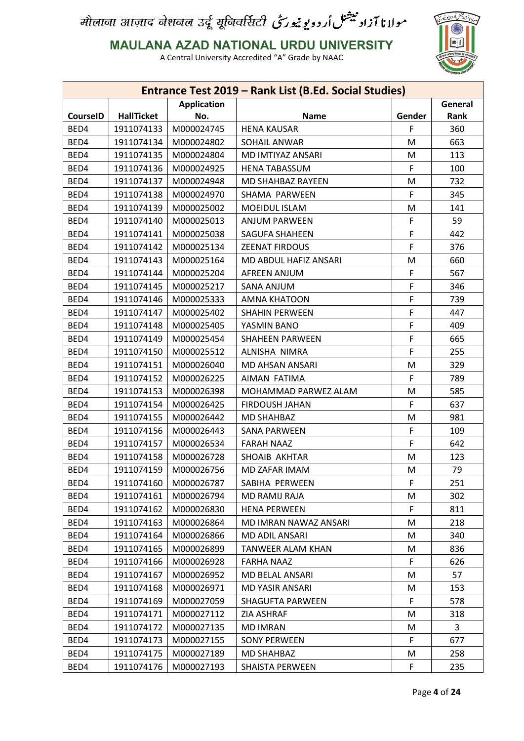

**MAULANA AZAD NATIONAL URDU UNIVERSITY**

|                 |                   |                    | Entrance Test 2019 - Rank List (B.Ed. Social Studies) |        |         |
|-----------------|-------------------|--------------------|-------------------------------------------------------|--------|---------|
|                 |                   | <b>Application</b> |                                                       |        | General |
| <b>CourseID</b> | <b>HallTicket</b> | No.                | <b>Name</b>                                           | Gender | Rank    |
| BED4            | 1911074133        | M000024745         | <b>HENA KAUSAR</b>                                    | F      | 360     |
| BED4            | 1911074134        | M000024802         | SOHAIL ANWAR                                          | M      | 663     |
| BED4            | 1911074135        | M000024804         | MD IMTIYAZ ANSARI                                     | M      | 113     |
| BED4            | 1911074136        | M000024925         | <b>HENA TABASSUM</b>                                  | F      | 100     |
| BED4            | 1911074137        | M000024948         | MD SHAHBAZ RAYEEN                                     | M      | 732     |
| BED4            | 1911074138        | M000024970         | SHAMA PARWEEN                                         | F      | 345     |
| BED4            | 1911074139        | M000025002         | MOEIDUL ISLAM                                         | M      | 141     |
| BED4            | 1911074140        | M000025013         | <b>ANJUM PARWEEN</b>                                  | F      | 59      |
| BED4            | 1911074141        | M000025038         | <b>SAGUFA SHAHEEN</b>                                 | F      | 442     |
| BED4            | 1911074142        | M000025134         | <b>ZEENAT FIRDOUS</b>                                 | F      | 376     |
| BED4            | 1911074143        | M000025164         | MD ABDUL HAFIZ ANSARI                                 | M      | 660     |
| BED4            | 1911074144        | M000025204         | <b>AFREEN ANJUM</b>                                   | F      | 567     |
| BED4            | 1911074145        | M000025217         | <b>SANA ANJUM</b>                                     | F      | 346     |
| BED4            | 1911074146        | M000025333         | AMNA KHATOON                                          | F      | 739     |
| BED4            | 1911074147        | M000025402         | <b>SHAHIN PERWEEN</b>                                 | F      | 447     |
| BED4            | 1911074148        | M000025405         | YASMIN BANO                                           | F      | 409     |
| BED4            | 1911074149        | M000025454         | <b>SHAHEEN PARWEEN</b>                                | F      | 665     |
| BED4            | 1911074150        | M000025512         | ALNISHA NIMRA                                         | F      | 255     |
| BED4            | 1911074151        | M000026040         | MD AHSAN ANSARI                                       | M      | 329     |
| BED4            | 1911074152        | M000026225         | AIMAN FATIMA                                          | F      | 789     |
| BED4            | 1911074153        | M000026398         | MOHAMMAD PARWEZ ALAM                                  | M      | 585     |
| BED4            | 1911074154        | M000026425         | <b>FIRDOUSH JAHAN</b>                                 | F      | 637     |
| BED4            | 1911074155        | M000026442         | <b>MD SHAHBAZ</b>                                     | M      | 981     |
| BED4            | 1911074156        | M000026443         | <b>SANA PARWEEN</b>                                   | F      | 109     |
| BED4            | 1911074157        | M000026534         | <b>FARAH NAAZ</b>                                     | F      | 642     |
| BED4            | 1911074158        | M000026728         | SHOAIB AKHTAR                                         | М      | 123     |
| BED4            | 1911074159        | M000026756         | MD ZAFAR IMAM                                         | M      | 79      |
| BED4            | 1911074160        | M000026787         | SABIHA PERWEEN                                        | F      | 251     |
| BED4            | 1911074161        | M000026794         | <b>MD RAMIJ RAJA</b>                                  | M      | 302     |
| BED4            | 1911074162        | M000026830         | <b>HENA PERWEEN</b>                                   | F      | 811     |
| BED4            | 1911074163        | M000026864         | MD IMRAN NAWAZ ANSARI                                 | M      | 218     |
| BED4            | 1911074164        | M000026866         | MD ADIL ANSARI                                        | М      | 340     |
| BED4            | 1911074165        | M000026899         | <b>TANWEER ALAM KHAN</b>                              | M      | 836     |
| BED4            | 1911074166        | M000026928         | <b>FARHA NAAZ</b>                                     | F      | 626     |
| BED4            | 1911074167        | M000026952         | MD BELAL ANSARI                                       | M      | 57      |
| BED4            | 1911074168        | M000026971         | MD YASIR ANSARI                                       | M      | 153     |
| BED4            | 1911074169        | M000027059         | <b>SHAGUFTA PARWEEN</b>                               | F      | 578     |
| BED4            | 1911074171        | M000027112         | <b>ZIA ASHRAF</b>                                     | М      | 318     |
| BED4            | 1911074172        | M000027135         | <b>MD IMRAN</b>                                       | M      | 3       |
| BED4            | 1911074173        | M000027155         | <b>SONY PERWEEN</b>                                   | F      | 677     |
| BED4            | 1911074175        | M000027189         | MD SHAHBAZ                                            | M      | 258     |
| BED4            | 1911074176        | M000027193         | SHAISTA PERWEEN                                       | F      | 235     |
|                 |                   |                    |                                                       |        |         |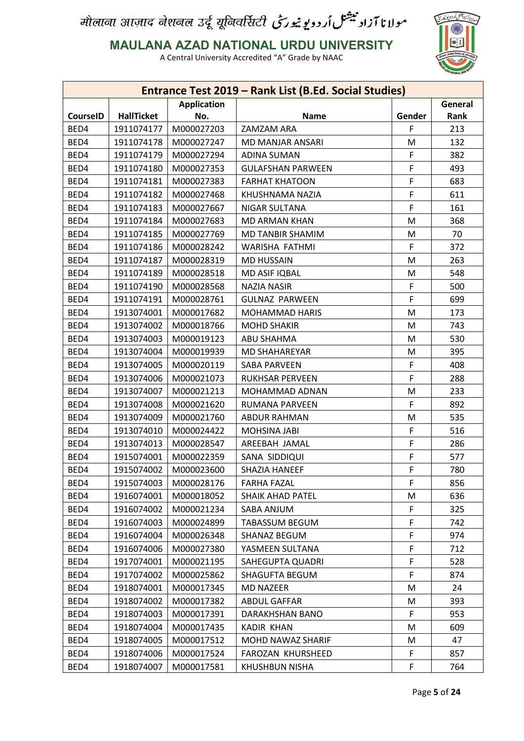

**MAULANA AZAD NATIONAL URDU UNIVERSITY**

|                 |                   |                    | Entrance Test 2019 - Rank List (B.Ed. Social Studies) |        |         |
|-----------------|-------------------|--------------------|-------------------------------------------------------|--------|---------|
|                 |                   | <b>Application</b> |                                                       |        | General |
| <b>CourseID</b> | <b>HallTicket</b> | No.                | <b>Name</b>                                           | Gender | Rank    |
| BED4            | 1911074177        | M000027203         | ZAMZAM ARA                                            | F      | 213     |
| BED4            | 1911074178        | M000027247         | MD MANJAR ANSARI                                      | M      | 132     |
| BED4            | 1911074179        | M000027294         | <b>ADINA SUMAN</b>                                    | F      | 382     |
| BED4            | 1911074180        | M000027353         | <b>GULAFSHAN PARWEEN</b>                              | F      | 493     |
| BED4            | 1911074181        | M000027383         | <b>FARHAT KHATOON</b>                                 | F      | 683     |
| BED4            | 1911074182        | M000027468         | KHUSHNAMA NAZIA                                       | F      | 611     |
| BED4            | 1911074183        | M000027667         | <b>NIGAR SULTANA</b>                                  | F      | 161     |
| BED4            | 1911074184        | M000027683         | <b>MD ARMAN KHAN</b>                                  | M      | 368     |
| BED4            | 1911074185        | M000027769         | MD TANBIR SHAMIM                                      | M      | 70      |
| BED4            | 1911074186        | M000028242         | WARISHA FATHMI                                        | F      | 372     |
| BED4            | 1911074187        | M000028319         | <b>MD HUSSAIN</b>                                     | M      | 263     |
| BED4            | 1911074189        | M000028518         | MD ASIF IQBAL                                         | M      | 548     |
| BED4            | 1911074190        | M000028568         | <b>NAZIA NASIR</b>                                    | F      | 500     |
| BED4            | 1911074191        | M000028761         | <b>GULNAZ PARWEEN</b>                                 | F      | 699     |
| BED4            | 1913074001        | M000017682         | <b>MOHAMMAD HARIS</b>                                 | M      | 173     |
| BED4            | 1913074002        | M000018766         | <b>MOHD SHAKIR</b>                                    | M      | 743     |
| BED4            | 1913074003        | M000019123         | ABU SHAHMA                                            | M      | 530     |
| BED4            | 1913074004        | M000019939         | <b>MD SHAHAREYAR</b>                                  | M      | 395     |
| BED4            | 1913074005        | M000020119         | <b>SABA PARVEEN</b>                                   | F      | 408     |
| BED4            | 1913074006        | M000021073         | <b>RUKHSAR PERVEEN</b>                                | F      | 288     |
| BED4            | 1913074007        | M000021213         | MOHAMMAD ADNAN                                        | M      | 233     |
| BED4            | 1913074008        | M000021620         | <b>RUMANA PARVEEN</b>                                 | F      | 892     |
| BED4            | 1913074009        | M000021760         | <b>ABDUR RAHMAN</b>                                   | M      | 535     |
| BED4            | 1913074010        | M000024422         | MOHSINA JABI                                          | F      | 516     |
| BED4            | 1913074013        | M000028547         | AREEBAH JAMAL                                         | F      | 286     |
| BED4            | 1915074001        | M000022359         | SANA SIDDIQUI                                         | F      | 577     |
| BED4            | 1915074002        | M000023600         | SHAZIA HANEEF                                         | F      | 780     |
| BED4            | 1915074003        | M000028176         | <b>FARHA FAZAL</b>                                    | F      | 856     |
| BED4            | 1916074001        | M000018052         | <b>SHAIK AHAD PATEL</b>                               | M      | 636     |
| BED4            | 1916074002        | M000021234         | SABA ANJUM                                            | F      | 325     |
| BED4            | 1916074003        | M000024899         | <b>TABASSUM BEGUM</b>                                 | F      | 742     |
| BED4            | 1916074004        | M000026348         | SHANAZ BEGUM                                          | F      | 974     |
| BED4            | 1916074006        | M000027380         | YASMEEN SULTANA                                       | F      | 712     |
| BED4            | 1917074001        | M000021195         | SAHEGUPTA QUADRI                                      | F      | 528     |
| BED4            | 1917074002        | M000025862         | <b>SHAGUFTA BEGUM</b>                                 | F      | 874     |
| BED4            | 1918074001        | M000017345         | <b>MD NAZEER</b>                                      | M      | 24      |
| BED4            | 1918074002        | M000017382         | <b>ABDUL GAFFAR</b>                                   | M      | 393     |
| BED4            | 1918074003        | M000017391         | DARAKHSHAN BANO                                       | F      | 953     |
| BED4            | 1918074004        | M000017435         | <b>KADIR KHAN</b>                                     | M      | 609     |
|                 |                   |                    |                                                       |        |         |
| BED4            | 1918074005        | M000017512         | MOHD NAWAZ SHARIF                                     | M      | 47      |
| BED4            | 1918074006        | M000017524         | FAROZAN KHURSHEED                                     | F      | 857     |
| BED4            | 1918074007        | M000017581         | <b>KHUSHBUN NISHA</b>                                 | F      | 764     |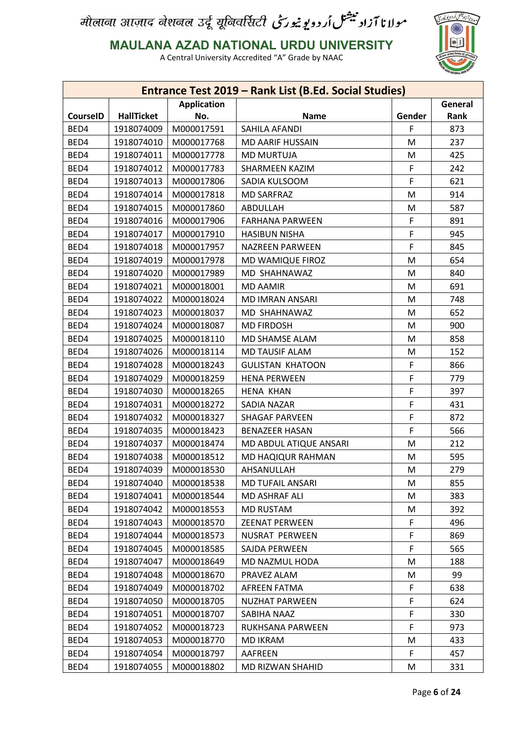

**MAULANA AZAD NATIONAL URDU UNIVERSITY**

|                 |                   |                    | <b>Entrance Test 2019 - Rank List (B.Ed. Social Studies)</b> |        |         |
|-----------------|-------------------|--------------------|--------------------------------------------------------------|--------|---------|
|                 |                   | <b>Application</b> |                                                              |        | General |
| <b>CourseID</b> | <b>HallTicket</b> | No.                | <b>Name</b>                                                  | Gender | Rank    |
| BED4            | 1918074009        | M000017591         | SAHILA AFANDI                                                | F      | 873     |
| BED4            | 1918074010        | M000017768         | <b>MD AARIF HUSSAIN</b>                                      | M      | 237     |
| BED4            | 1918074011        | M000017778         | <b>MD MURTUJA</b>                                            | M      | 425     |
| BED4            | 1918074012        | M000017783         | <b>SHARMEEN KAZIM</b>                                        | F      | 242     |
| BED4            | 1918074013        | M000017806         | SADIA KULSOOM                                                | F      | 621     |
| BED4            | 1918074014        | M000017818         | <b>MD SARFRAZ</b>                                            | M      | 914     |
| BED4            | 1918074015        | M000017860         | ABDULLAH                                                     | M      | 587     |
| BED4            | 1918074016        | M000017906         | <b>FARHANA PARWEEN</b>                                       | F      | 891     |
| BED4            | 1918074017        | M000017910         | <b>HASIBUN NISHA</b>                                         | F      | 945     |
| BED4            | 1918074018        | M000017957         | <b>NAZREEN PARWEEN</b>                                       | F      | 845     |
| BED4            | 1918074019        | M000017978         | MD WAMIQUE FIROZ                                             | M      | 654     |
| BED4            | 1918074020        | M000017989         | MD SHAHNAWAZ                                                 | M      | 840     |
| BED4            | 1918074021        | M000018001         | <b>MD AAMIR</b>                                              | M      | 691     |
| BED4            | 1918074022        | M000018024         | <b>MD IMRAN ANSARI</b>                                       | M      | 748     |
| BED4            | 1918074023        | M000018037         | MD SHAHNAWAZ                                                 | M      | 652     |
| BED4            | 1918074024        | M000018087         | <b>MD FIRDOSH</b>                                            | M      | 900     |
| BED4            | 1918074025        | M000018110         | MD SHAMSE ALAM                                               | M      | 858     |
| BED4            | 1918074026        | M000018114         | <b>MD TAUSIF ALAM</b>                                        | M      | 152     |
| BED4            | 1918074028        | M000018243         | <b>GULISTAN KHATOON</b>                                      | F      | 866     |
| BED4            | 1918074029        | M000018259         | <b>HENA PERWEEN</b>                                          | F      | 779     |
| BED4            | 1918074030        | M000018265         | <b>HENA KHAN</b>                                             | F      | 397     |
| BED4            | 1918074031        | M000018272         | SADIA NAZAR                                                  | F      | 431     |
| BED4            | 1918074032        | M000018327         | <b>SHAGAF PARVEEN</b>                                        | F      | 872     |
| BED4            | 1918074035        | M000018423         | <b>BENAZEER HASAN</b>                                        | F      | 566     |
| BED4            | 1918074037        | M000018474         | MD ABDUL ATIQUE ANSARI                                       | M      | 212     |
| BED4            | 1918074038        | M000018512         | MD HAQIQUR RAHMAN                                            | M      | 595     |
| BED4            | 1918074039        | M000018530         | AHSANULLAH                                                   | M      | 279     |
| BED4            | 1918074040        | M000018538         | MD TUFAIL ANSARI                                             | M      | 855     |
| BED4            | 1918074041        | M000018544         | MD ASHRAF ALI                                                | М      | 383     |
| BED4            | 1918074042        | M000018553         | <b>MD RUSTAM</b>                                             | M      | 392     |
| BED4            | 1918074043        | M000018570         | <b>ZEENAT PERWEEN</b>                                        | F      | 496     |
| BED4            | 1918074044        | M000018573         | NUSRAT PERWEEN                                               | F      | 869     |
| BED4            | 1918074045        | M000018585         | SAJDA PERWEEN                                                | F      | 565     |
| BED4            | 1918074047        | M000018649         | MD NAZMUL HODA                                               | M      | 188     |
| BED4            | 1918074048        | M000018670         | PRAVEZ ALAM                                                  | M      | 99      |
| BED4            | 1918074049        | M000018702         | AFREEN FATMA                                                 | F      | 638     |
| BED4            | 1918074050        | M000018705         | <b>NUZHAT PARWEEN</b>                                        | F      | 624     |
| BED4            | 1918074051        | M000018707         | SABIHA NAAZ                                                  | F      | 330     |
| BED4            | 1918074052        | M000018723         | RUKHSANA PARWEEN                                             | F      | 973     |
|                 |                   |                    |                                                              |        |         |
| BED4            | 1918074053        | M000018770         | MD IKRAM                                                     | M      | 433     |
| BED4            | 1918074054        | M000018797         | AAFREEN                                                      | F      | 457     |
| BED4            | 1918074055        | M000018802         | MD RIZWAN SHAHID                                             | M      | 331     |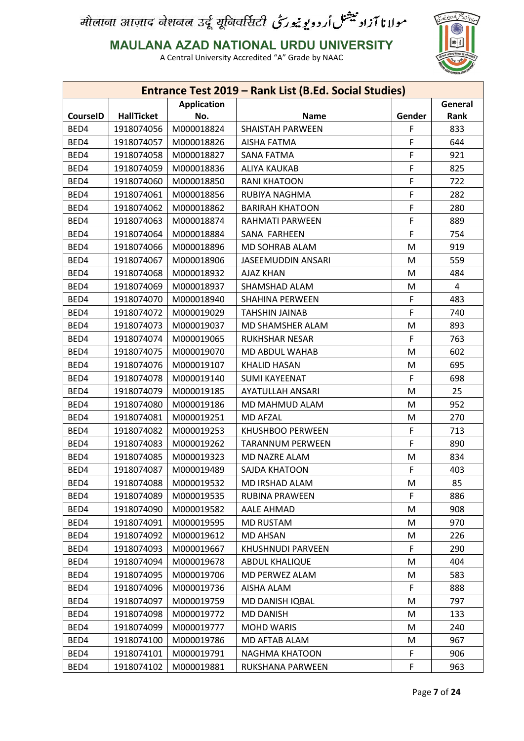

**MAULANA AZAD NATIONAL URDU UNIVERSITY**

|                 |                   |                    | Entrance Test 2019 - Rank List (B.Ed. Social Studies) |        |         |
|-----------------|-------------------|--------------------|-------------------------------------------------------|--------|---------|
|                 |                   | <b>Application</b> |                                                       |        | General |
| <b>CourseID</b> | <b>HallTicket</b> | No.                | <b>Name</b>                                           | Gender | Rank    |
| BED4            | 1918074056        | M000018824         | <b>SHAISTAH PARWEEN</b>                               | F      | 833     |
| BED4            | 1918074057        | M000018826         | AISHA FATMA                                           | F      | 644     |
| BED4            | 1918074058        | M000018827         | SANA FATMA                                            | F      | 921     |
| BED4            | 1918074059        | M000018836         | <b>ALIYA KAUKAB</b>                                   | F      | 825     |
| BED4            | 1918074060        | M000018850         | <b>RANI KHATOON</b>                                   | F      | 722     |
| BED4            | 1918074061        | M000018856         | RUBIYA NAGHMA                                         | F      | 282     |
| BED4            | 1918074062        | M000018862         | <b>BARIRAH KHATOON</b>                                | F      | 280     |
| BED4            | 1918074063        | M000018874         | RAHMATI PARWEEN                                       | F      | 889     |
| BED4            | 1918074064        | M000018884         | SANA FARHEEN                                          | F      | 754     |
| BED4            | 1918074066        | M000018896         | MD SOHRAB ALAM                                        | M      | 919     |
| BED4            | 1918074067        | M000018906         | <b>JASEEMUDDIN ANSARI</b>                             | M      | 559     |
| BED4            | 1918074068        | M000018932         | AJAZ KHAN                                             | M      | 484     |
| BED4            | 1918074069        | M000018937         | SHAMSHAD ALAM                                         | M      | 4       |
| BED4            | 1918074070        | M000018940         | <b>SHAHINA PERWEEN</b>                                | F      | 483     |
| BED4            | 1918074072        | M000019029         | <b>TAHSHIN JAINAB</b>                                 | F      | 740     |
| BED4            | 1918074073        | M000019037         | MD SHAMSHER ALAM                                      | M      | 893     |
| BED4            | 1918074074        | M000019065         | <b>RUKHSHAR NESAR</b>                                 | F      | 763     |
| BED4            | 1918074075        | M000019070         | MD ABDUL WAHAB                                        | M      | 602     |
| BED4            | 1918074076        | M000019107         | <b>KHALID HASAN</b>                                   | M      | 695     |
| BED4            | 1918074078        | M000019140         | <b>SUMI KAYEENAT</b>                                  | F      | 698     |
| BED4            | 1918074079        | M000019185         | <b>AYATULLAH ANSARI</b>                               | M      | 25      |
| BED4            | 1918074080        | M000019186         | MD MAHMUD ALAM                                        | M      | 952     |
| BED4            | 1918074081        | M000019251         | <b>MD AFZAL</b>                                       | M      | 270     |
| BED4            | 1918074082        | M000019253         | KHUSHBOO PERWEEN                                      | F      | 713     |
| BED4            | 1918074083        | M000019262         | <b>TARANNUM PERWEEN</b>                               | F      | 890     |
| BED4            | 1918074085        | M000019323         | MD NAZRE ALAM                                         | M      | 834     |
| BED4            | 1918074087        | M000019489         | SAJDA KHATOON                                         | F      | 403     |
| BED4            | 1918074088        | M000019532         | MD IRSHAD ALAM                                        | M      | 85      |
| BED4            | 1918074089        | M000019535         | <b>RUBINA PRAWEEN</b>                                 | F      | 886     |
| BED4            | 1918074090        | M000019582         | AALE AHMAD                                            | M      | 908     |
| BED4            | 1918074091        | M000019595         | <b>MD RUSTAM</b>                                      | M      | 970     |
| BED4            | 1918074092        | M000019612         | <b>MD AHSAN</b>                                       | M      | 226     |
| BED4            | 1918074093        | M000019667         | KHUSHNUDI PARVEEN                                     | F      | 290     |
| BED4            | 1918074094        | M000019678         | <b>ABDUL KHALIQUE</b>                                 | M      | 404     |
| BED4            | 1918074095        | M000019706         | MD PERWEZ ALAM                                        | M      | 583     |
| BED4            | 1918074096        | M000019736         | AISHA ALAM                                            | F      | 888     |
| BED4            | 1918074097        | M000019759         | MD DANISH IQBAL                                       | M      | 797     |
| BED4            | 1918074098        | M000019772         | <b>MD DANISH</b>                                      | M      | 133     |
| BED4            | 1918074099        | M000019777         | <b>MOHD WARIS</b>                                     | M      | 240     |
| BED4            | 1918074100        | M000019786         | MD AFTAB ALAM                                         | M      | 967     |
|                 |                   |                    |                                                       |        | 906     |
| BED4            | 1918074101        | M000019791         | NAGHMA KHATOON                                        | F      |         |
| BED4            | 1918074102        | M000019881         | RUKSHANA PARWEEN                                      | F      | 963     |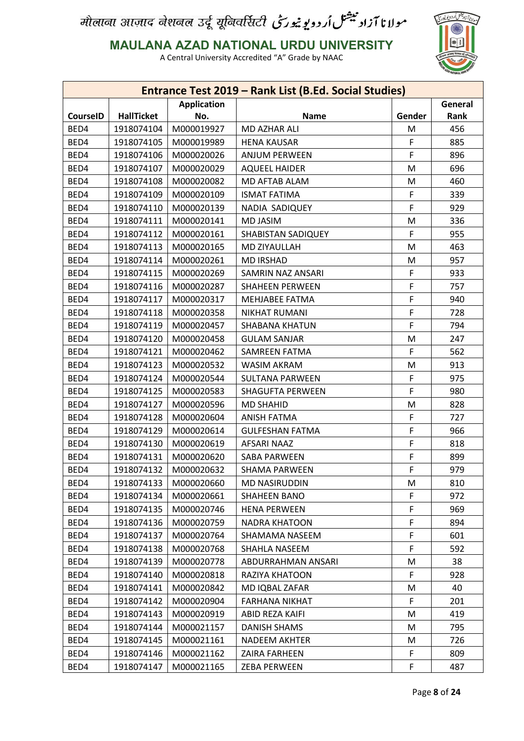

**MAULANA AZAD NATIONAL URDU UNIVERSITY**

|                 |                   |                    | Entrance Test 2019 - Rank List (B.Ed. Social Studies) |        |         |
|-----------------|-------------------|--------------------|-------------------------------------------------------|--------|---------|
|                 |                   | <b>Application</b> |                                                       |        | General |
| <b>CourseID</b> | <b>HallTicket</b> | No.                | <b>Name</b>                                           | Gender | Rank    |
| BED4            | 1918074104        | M000019927         | MD AZHAR ALI                                          | M      | 456     |
| BED4            | 1918074105        | M000019989         | <b>HENA KAUSAR</b>                                    | F      | 885     |
| BED4            | 1918074106        | M000020026         | <b>ANJUM PERWEEN</b>                                  | F      | 896     |
| BED4            | 1918074107        | M000020029         | <b>AQUEEL HAIDER</b>                                  | M      | 696     |
| BED4            | 1918074108        | M000020082         | MD AFTAB ALAM                                         | M      | 460     |
| BED4            | 1918074109        | M000020109         | <b>ISMAT FATIMA</b>                                   | F      | 339     |
| BED4            | 1918074110        | M000020139         | NADIA SADIQUEY                                        | F      | 929     |
| BED4            | 1918074111        | M000020141         | <b>MD JASIM</b>                                       | M      | 336     |
| BED4            | 1918074112        | M000020161         | SHABISTAN SADIQUEY                                    | F      | 955     |
| BED4            | 1918074113        | M000020165         | MD ZIYAULLAH                                          | M      | 463     |
| BED4            | 1918074114        | M000020261         | <b>MD IRSHAD</b>                                      | M      | 957     |
| BED4            | 1918074115        | M000020269         | SAMRIN NAZ ANSARI                                     | F      | 933     |
| BED4            | 1918074116        | M000020287         | <b>SHAHEEN PERWEEN</b>                                | F      | 757     |
| BED4            | 1918074117        | M000020317         | MEHJABEE FATMA                                        | F      | 940     |
| BED4            | 1918074118        | M000020358         | <b>NIKHAT RUMANI</b>                                  | F      | 728     |
| BED4            | 1918074119        | M000020457         | <b>SHABANA KHATUN</b>                                 | F      | 794     |
| BED4            | 1918074120        | M000020458         | <b>GULAM SANJAR</b>                                   | M      | 247     |
| BED4            | 1918074121        | M000020462         | SAMREEN FATMA                                         | F      | 562     |
| BED4            | 1918074123        | M000020532         | <b>WASIM AKRAM</b>                                    | M      | 913     |
| BED4            | 1918074124        | M000020544         | <b>SULTANA PARWEEN</b>                                | F      | 975     |
| BED4            | 1918074125        | M000020583         | <b>SHAGUFTA PERWEEN</b>                               | F      | 980     |
| BED4            | 1918074127        | M000020596         | <b>MD SHAHID</b>                                      | M      | 828     |
| BED4            | 1918074128        | M000020604         | <b>ANISH FATMA</b>                                    | F      | 727     |
| BED4            | 1918074129        | M000020614         | <b>GULFESHAN FATMA</b>                                | F      | 966     |
| BED4            | 1918074130        | M000020619         | AFSARI NAAZ                                           | F      | 818     |
| BED4            | 1918074131        | M000020620         | <b>SABA PARWEEN</b>                                   | F      | 899     |
| BED4            | 1918074132        | M000020632         | <b>SHAMA PARWEEN</b>                                  | F      | 979     |
| BED4            | 1918074133        | M000020660         | MD NASIRUDDIN                                         | M      | 810     |
| BED4            | 1918074134        | M000020661         | <b>SHAHEEN BANO</b>                                   | F      | 972     |
| BED4            | 1918074135        | M000020746         | <b>HENA PERWEEN</b>                                   | F      | 969     |
| BED4            | 1918074136        | M000020759         | <b>NADRA KHATOON</b>                                  | F      | 894     |
| BED4            | 1918074137        | M000020764         | SHAMAMA NASEEM                                        | F      | 601     |
| BED4            | 1918074138        | M000020768         | SHAHLA NASEEM                                         | F      | 592     |
| BED4            | 1918074139        | M000020778         | ABDURRAHMAN ANSARI                                    | M      | 38      |
| BED4            | 1918074140        | M000020818         | RAZIYA KHATOON                                        | F      | 928     |
| BED4            | 1918074141        | M000020842         | MD IQBAL ZAFAR                                        | M      | 40      |
| BED4            | 1918074142        | M000020904         | <b>FARHANA NIKHAT</b>                                 | F      | 201     |
| BED4            | 1918074143        | M000020919         | ABID REZA KAIFI                                       | M      | 419     |
| BED4            | 1918074144        | M000021157         | <b>DANISH SHAMS</b>                                   | M      | 795     |
| BED4            | 1918074145        | M000021161         | <b>NADEEM AKHTER</b>                                  | M      | 726     |
| BED4            | 1918074146        | M000021162         | ZAIRA FARHEEN                                         | F      | 809     |
| BED4            | 1918074147        | M000021165         | <b>ZEBA PERWEEN</b>                                   | F      | 487     |
|                 |                   |                    |                                                       |        |         |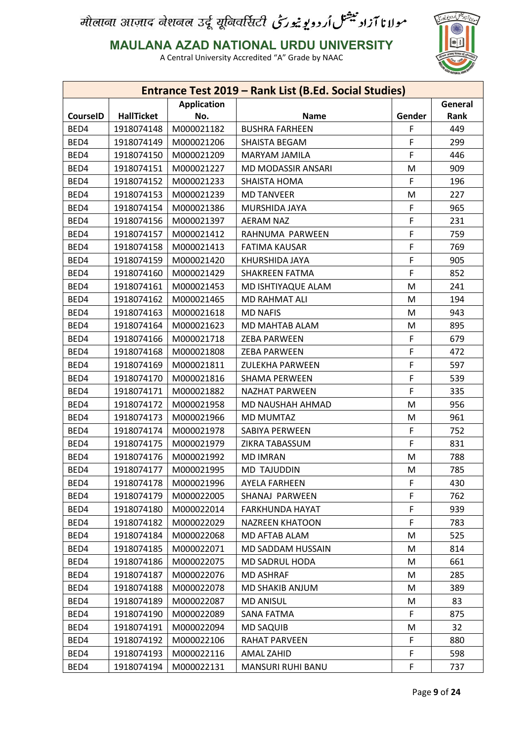

**MAULANA AZAD NATIONAL URDU UNIVERSITY**

|                 |                   |                    | Entrance Test 2019 - Rank List (B.Ed. Social Studies) |        |         |
|-----------------|-------------------|--------------------|-------------------------------------------------------|--------|---------|
|                 |                   | <b>Application</b> |                                                       |        | General |
| <b>CourseID</b> | <b>HallTicket</b> | No.                | <b>Name</b>                                           | Gender | Rank    |
| BED4            | 1918074148        | M000021182         | <b>BUSHRA FARHEEN</b>                                 | F      | 449     |
| BED4            | 1918074149        | M000021206         | SHAISTA BEGAM                                         | F      | 299     |
| BED4            | 1918074150        | M000021209         | MARYAM JAMILA                                         | F      | 446     |
| BED4            | 1918074151        | M000021227         | MD MODASSIR ANSARI                                    | M      | 909     |
| BED4            | 1918074152        | M000021233         | <b>SHAISTA HOMA</b>                                   | F      | 196     |
| BED4            | 1918074153        | M000021239         | <b>MD TANVEER</b>                                     | M      | 227     |
| BED4            | 1918074154        | M000021386         | MURSHIDA JAYA                                         | F      | 965     |
| BED4            | 1918074156        | M000021397         | <b>AERAM NAZ</b>                                      | F      | 231     |
| BED4            | 1918074157        | M000021412         | RAHNUMA PARWEEN                                       | F      | 759     |
| BED4            | 1918074158        | M000021413         | <b>FATIMA KAUSAR</b>                                  | F      | 769     |
| BED4            | 1918074159        | M000021420         | KHURSHIDA JAYA                                        | F      | 905     |
| BED4            | 1918074160        | M000021429         | SHAKREEN FATMA                                        | F      | 852     |
| BED4            | 1918074161        | M000021453         | MD ISHTIYAQUE ALAM                                    | M      | 241     |
| BED4            | 1918074162        | M000021465         | MD RAHMAT ALI                                         | M      | 194     |
| BED4            | 1918074163        | M000021618         | <b>MD NAFIS</b>                                       | M      | 943     |
| BED4            | 1918074164        | M000021623         | MD MAHTAB ALAM                                        | M      | 895     |
| BED4            | 1918074166        | M000021718         | <b>ZEBA PARWEEN</b>                                   | F      | 679     |
| BED4            | 1918074168        | M000021808         | <b>ZEBA PARWEEN</b>                                   | F      | 472     |
| BED4            | 1918074169        | M000021811         | <b>ZULEKHA PARWEEN</b>                                | F      | 597     |
| BED4            | 1918074170        | M000021816         | <b>SHAMA PERWEEN</b>                                  | F      | 539     |
| BED4            | 1918074171        | M000021882         | <b>NAZHAT PARWEEN</b>                                 | F      | 335     |
| BED4            | 1918074172        | M000021958         | MD NAUSHAH AHMAD                                      | M      | 956     |
| BED4            | 1918074173        | M000021966         | <b>MD MUMTAZ</b>                                      | M      | 961     |
| BED4            | 1918074174        | M000021978         | SABIYA PERWEEN                                        | F      | 752     |
| BED4            | 1918074175        | M000021979         | ZIKRA TABASSUM                                        | F      | 831     |
| BED4            | 1918074176        | M000021992         | <b>MD IMRAN</b>                                       | M      | 788     |
| BED4            | 1918074177        | M000021995         | <b>MD TAJUDDIN</b>                                    | M      | 785     |
| BED4            | 1918074178        | M000021996         | <b>AYELA FARHEEN</b>                                  | F      | 430     |
| BED4            | 1918074179        | M000022005         | SHANAJ PARWEEN                                        | F      | 762     |
| BED4            | 1918074180        | M000022014         | FARKHUNDA HAYAT                                       | F      | 939     |
| BED4            | 1918074182        | M000022029         | <b>NAZREEN KHATOON</b>                                | F      | 783     |
| BED4            | 1918074184        | M000022068         | MD AFTAB ALAM                                         | M      | 525     |
| BED4            | 1918074185        | M000022071         | MD SADDAM HUSSAIN                                     | M      | 814     |
| BED4            | 1918074186        | M000022075         | MD SADRUL HODA                                        | M      | 661     |
| BED4            | 1918074187        | M000022076         | <b>MD ASHRAF</b>                                      | M      | 285     |
| BED4            | 1918074188        | M000022078         | MD SHAKIB ANJUM                                       | M      | 389     |
| BED4            | 1918074189        | M000022087         | <b>MD ANISUL</b>                                      | M      | 83      |
|                 |                   |                    |                                                       | F      |         |
| BED4            | 1918074190        | M000022089         | SANA FATMA                                            |        | 875     |
| BED4            | 1918074191        | M000022094         | <b>MD SAQUIB</b>                                      | M      | 32      |
| BED4            | 1918074192        | M000022106         | RAHAT PARVEEN                                         | F      | 880     |
| BED4            | 1918074193        | M000022116         | AMAL ZAHID                                            | F      | 598     |
| BED4            | 1918074194        | M000022131         | <b>MANSURI RUHI BANU</b>                              | F      | 737     |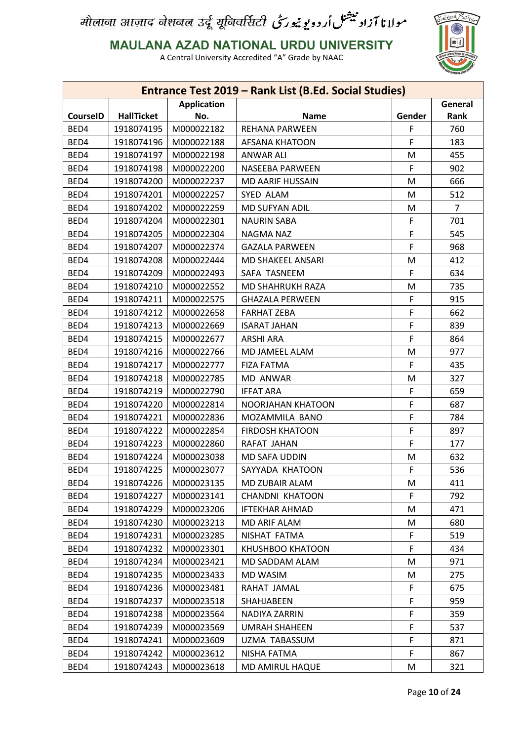

**MAULANA AZAD NATIONAL URDU UNIVERSITY**

|                 |                   |                    | Entrance Test 2019 - Rank List (B.Ed. Social Studies) |        |                |
|-----------------|-------------------|--------------------|-------------------------------------------------------|--------|----------------|
|                 |                   | <b>Application</b> |                                                       |        | General        |
| <b>CourseID</b> | <b>HallTicket</b> | No.                | <b>Name</b>                                           | Gender | Rank           |
| BED4            | 1918074195        | M000022182         | REHANA PARWEEN                                        | F      | 760            |
| BED4            | 1918074196        | M000022188         | <b>AFSANA KHATOON</b>                                 | F      | 183            |
| BED4            | 1918074197        | M000022198         | <b>ANWAR ALI</b>                                      | M      | 455            |
| BED4            | 1918074198        | M000022200         | <b>NASEEBA PARWEEN</b>                                | F      | 902            |
| BED4            | 1918074200        | M000022237         | <b>MD AARIF HUSSAIN</b>                               | M      | 666            |
| BED4            | 1918074201        | M000022257         | SYED ALAM                                             | M      | 512            |
| BED4            | 1918074202        | M000022259         | MD SUFYAN ADIL                                        | M      | $\overline{7}$ |
| BED4            | 1918074204        | M000022301         | <b>NAURIN SABA</b>                                    | F      | 701            |
| BED4            | 1918074205        | M000022304         | NAGMA NAZ                                             | F      | 545            |
| BED4            | 1918074207        | M000022374         | <b>GAZALA PARWEEN</b>                                 | F      | 968            |
| BED4            | 1918074208        | M000022444         | MD SHAKEEL ANSARI                                     | M      | 412            |
| BED4            | 1918074209        | M000022493         | SAFA TASNEEM                                          | F      | 634            |
| BED4            | 1918074210        | M000022552         | MD SHAHRUKH RAZA                                      | M      | 735            |
| BED4            | 1918074211        | M000022575         | <b>GHAZALA PERWEEN</b>                                | F      | 915            |
| BED4            | 1918074212        | M000022658         | <b>FARHAT ZEBA</b>                                    | F      | 662            |
| BED4            | 1918074213        | M000022669         | <b>ISARAT JAHAN</b>                                   | F      | 839            |
| BED4            | 1918074215        | M000022677         | <b>ARSHI ARA</b>                                      | F      | 864            |
| BED4            | 1918074216        | M000022766         | MD JAMEEL ALAM                                        | M      | 977            |
| BED4            | 1918074217        | M000022777         | <b>FIZA FATMA</b>                                     | F      | 435            |
| BED4            | 1918074218        | M000022785         | MD ANWAR                                              | M      | 327            |
| BED4            | 1918074219        | M000022790         | <b>IFFAT ARA</b>                                      | F      | 659            |
| BED4            | 1918074220        | M000022814         | NOORJAHAN KHATOON                                     | F      | 687            |
| BED4            | 1918074221        | M000022836         | MOZAMMILA BANO                                        | F      | 784            |
| BED4            | 1918074222        | M000022854         | <b>FIRDOSH KHATOON</b>                                | F      | 897            |
| BED4            | 1918074223        | M000022860         | RAFAT JAHAN                                           | F      | 177            |
| BED4            | 1918074224        | M000023038         | MD SAFA UDDIN                                         | M      | 632            |
| BED4            | 1918074225        | M000023077         | SAYYADA KHATOON                                       | F      | 536            |
| BED4            | 1918074226        | M000023135         | MD ZUBAIR ALAM                                        | M      | 411            |
| BED4            | 1918074227        | M000023141         | <b>CHANDNI KHATOON</b>                                | F      | 792            |
| BED4            | 1918074229        | M000023206         | <b>IFTEKHAR AHMAD</b>                                 | М      | 471            |
| BED4            | 1918074230        | M000023213         | MD ARIF ALAM                                          | M      | 680            |
| BED4            | 1918074231        | M000023285         | NISHAT FATMA                                          | F      | 519            |
| BED4            | 1918074232        | M000023301         | KHUSHBOO KHATOON                                      | F      | 434            |
| BED4            | 1918074234        | M000023421         | MD SADDAM ALAM                                        | M      | 971            |
| BED4            | 1918074235        | M000023433         | <b>MD WASIM</b>                                       | M      | 275            |
| BED4            | 1918074236        | M000023481         | RAHAT JAMAL                                           | F      | 675            |
| BED4            | 1918074237        | M000023518         | SHAHJABEEN                                            | F      | 959            |
| BED4            | 1918074238        | M000023564         | NADIYA ZARRIN                                         | F      | 359            |
| BED4            | 1918074239        | M000023569         | <b>UMRAH SHAHEEN</b>                                  | F      | 537            |
| BED4            | 1918074241        | M000023609         | UZMA TABASSUM                                         | F      | 871            |
| BED4            | 1918074242        | M000023612         | NISHA FATMA                                           | F      | 867            |
| BED4            | 1918074243        | M000023618         | MD AMIRUL HAQUE                                       | M      | 321            |
|                 |                   |                    |                                                       |        |                |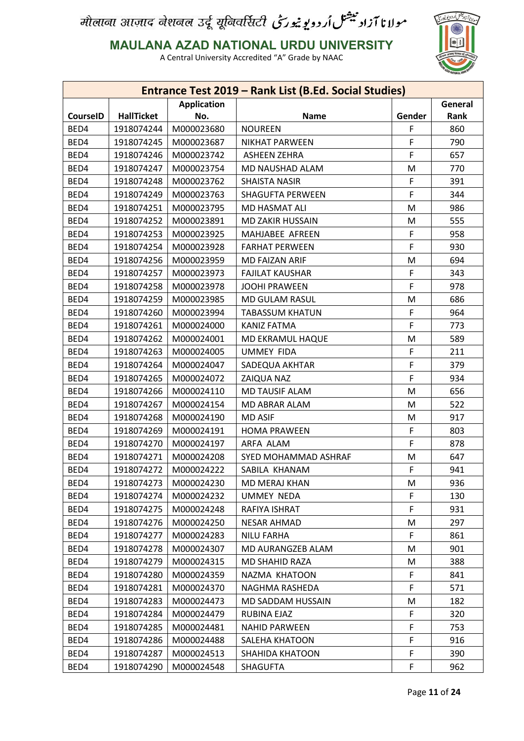

**MAULANA AZAD NATIONAL URDU UNIVERSITY**

|                 |                   |                    | Entrance Test 2019 - Rank List (B.Ed. Social Studies) |        |         |
|-----------------|-------------------|--------------------|-------------------------------------------------------|--------|---------|
|                 |                   | <b>Application</b> |                                                       |        | General |
| <b>CourseID</b> | <b>HallTicket</b> | No.                | <b>Name</b>                                           | Gender | Rank    |
| BED4            | 1918074244        | M000023680         | <b>NOUREEN</b>                                        | F      | 860     |
| BED4            | 1918074245        | M000023687         | <b>NIKHAT PARWEEN</b>                                 | F      | 790     |
| BED4            | 1918074246        | M000023742         | <b>ASHEEN ZEHRA</b>                                   | F      | 657     |
| BED4            | 1918074247        | M000023754         | MD NAUSHAD ALAM                                       | M      | 770     |
| BED4            | 1918074248        | M000023762         | <b>SHAISTA NASIR</b>                                  | F      | 391     |
| BED4            | 1918074249        | M000023763         | <b>SHAGUFTA PERWEEN</b>                               | F      | 344     |
| BED4            | 1918074251        | M000023795         | MD HASMAT ALI                                         | M      | 986     |
| BED4            | 1918074252        | M000023891         | MD ZAKIR HUSSAIN                                      | M      | 555     |
| BED4            | 1918074253        | M000023925         | MAHJABEE AFREEN                                       | F      | 958     |
| BED4            | 1918074254        | M000023928         | <b>FARHAT PERWEEN</b>                                 | F      | 930     |
| BED4            | 1918074256        | M000023959         | MD FAIZAN ARIF                                        | M      | 694     |
| BED4            | 1918074257        | M000023973         | <b>FAJILAT KAUSHAR</b>                                | F      | 343     |
| BED4            | 1918074258        | M000023978         | <b>JOOHI PRAWEEN</b>                                  | F      | 978     |
| BED4            | 1918074259        | M000023985         | MD GULAM RASUL                                        | M      | 686     |
| BED4            | 1918074260        | M000023994         | <b>TABASSUM KHATUN</b>                                | F      | 964     |
| BED4            | 1918074261        | M000024000         | <b>KANIZ FATMA</b>                                    | F      | 773     |
| BED4            | 1918074262        | M000024001         | MD EKRAMUL HAQUE                                      | M      | 589     |
| BED4            | 1918074263        | M000024005         | <b>UMMEY FIDA</b>                                     | F      | 211     |
| BED4            | 1918074264        | M000024047         | SADEQUA AKHTAR                                        | F      | 379     |
| BED4            | 1918074265        | M000024072         | ZAIQUA NAZ                                            | F      | 934     |
| BED4            | 1918074266        | M000024110         | <b>MD TAUSIF ALAM</b>                                 | M      | 656     |
| BED4            | 1918074267        | M000024154         | MD ABRAR ALAM                                         | M      | 522     |
| BED4            | 1918074268        | M000024190         | <b>MD ASIF</b>                                        | M      | 917     |
| BED4            | 1918074269        | M000024191         | <b>HOMA PRAWEEN</b>                                   | F      | 803     |
| BED4            | 1918074270        | M000024197         | ARFA ALAM                                             | F      | 878     |
| BED4            | 1918074271        | M000024208         | SYED MOHAMMAD ASHRAF                                  | M      | 647     |
| BED4            | 1918074272        | M000024222         | SABILA KHANAM                                         | F      | 941     |
| BED4            | 1918074273        | M000024230         | MD MERAJ KHAN                                         | M      | 936     |
| BED4            | 1918074274        | M000024232         | UMMEY NEDA                                            | F      | 130     |
| BED4            | 1918074275        | M000024248         | RAFIYA ISHRAT                                         | F      | 931     |
| BED4            | 1918074276        | M000024250         | NESAR AHMAD                                           | M      | 297     |
| BED4            | 1918074277        | M000024283         | <b>NILU FARHA</b>                                     | F.     | 861     |
| BED4            | 1918074278        | M000024307         | MD AURANGZEB ALAM                                     | M      | 901     |
| BED4            | 1918074279        | M000024315         | MD SHAHID RAZA                                        | M      | 388     |
| BED4            | 1918074280        | M000024359         | NAZMA KHATOON                                         | F      | 841     |
| BED4            | 1918074281        | M000024370         | NAGHMA RASHEDA                                        | F      | 571     |
|                 |                   |                    |                                                       |        |         |
| BED4            | 1918074283        | M000024473         | MD SADDAM HUSSAIN                                     | M      | 182     |
| BED4            | 1918074284        | M000024479         | RUBINA EJAZ                                           | F      | 320     |
| BED4            | 1918074285        | M000024481         | <b>NAHID PARWEEN</b>                                  | F      | 753     |
| BED4            | 1918074286        | M000024488         | SALEHA KHATOON                                        | F      | 916     |
| BED4            | 1918074287        | M000024513         | SHAHIDA KHATOON                                       | F      | 390     |
| BED4            | 1918074290        | M000024548         | <b>SHAGUFTA</b>                                       | F      | 962     |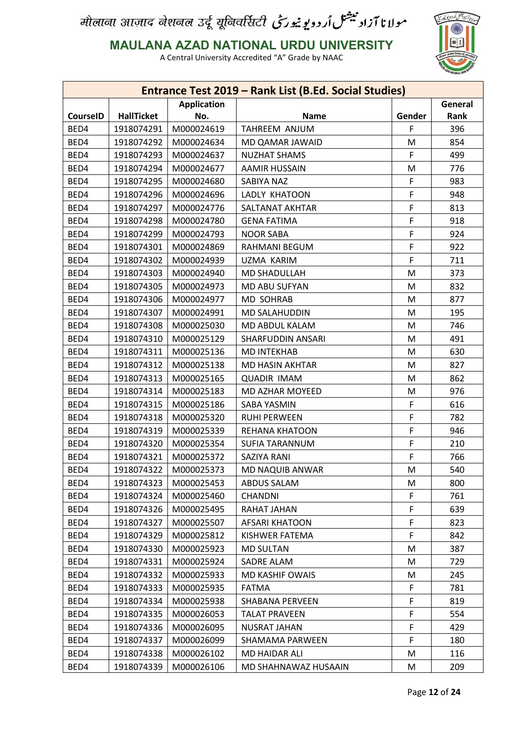

**MAULANA AZAD NATIONAL URDU UNIVERSITY**

|                 |                          |                          | Entrance Test 2019 - Rank List (B.Ed. Social Studies) |        |         |
|-----------------|--------------------------|--------------------------|-------------------------------------------------------|--------|---------|
|                 |                          | <b>Application</b>       |                                                       |        | General |
| <b>CourseID</b> | <b>HallTicket</b>        | No.                      | <b>Name</b>                                           | Gender | Rank    |
| BED4            | 1918074291               | M000024619               | TAHREEM ANJUM                                         | F      | 396     |
| BED4            | 1918074292               | M000024634               | MD QAMAR JAWAID                                       | M      | 854     |
| BED4            | 1918074293               | M000024637               | <b>NUZHAT SHAMS</b>                                   | F      | 499     |
| BED4            | 1918074294               | M000024677               | <b>AAMIR HUSSAIN</b>                                  | M      | 776     |
| BED4            | 1918074295               | M000024680               | SABIYA NAZ                                            | F      | 983     |
| BED4            | 1918074296               | M000024696               | LADLY KHATOON                                         | F      | 948     |
| BED4            | 1918074297               | M000024776               | SALTANAT AKHTAR                                       | F      | 813     |
| BED4            | 1918074298               | M000024780               | <b>GENA FATIMA</b>                                    | F      | 918     |
| BED4            | 1918074299               | M000024793               | <b>NOOR SABA</b>                                      | F      | 924     |
| BED4            | 1918074301               | M000024869               | RAHMANI BEGUM                                         | F      | 922     |
| BED4            | 1918074302               | M000024939               | UZMA KARIM                                            | F      | 711     |
| BED4            | 1918074303               | M000024940               | MD SHADULLAH                                          | M      | 373     |
| BED4            | 1918074305               | M000024973               | MD ABU SUFYAN                                         | M      | 832     |
| BED4            | 1918074306               | M000024977               | <b>MD SOHRAB</b>                                      | M      | 877     |
| BED4            | 1918074307               | M000024991               | <b>MD SALAHUDDIN</b>                                  | M      | 195     |
| BED4            | 1918074308               | M000025030               | MD ABDUL KALAM                                        | M      | 746     |
| BED4            | 1918074310               | M000025129               | SHARFUDDIN ANSARI                                     | M      | 491     |
| BED4            | 1918074311               | M000025136               | <b>MD INTEKHAB</b>                                    | M      | 630     |
| BED4            | 1918074312               | M000025138               | MD HASIN AKHTAR                                       | M      | 827     |
| BED4            | 1918074313               | M000025165               | <b>QUADIR IMAM</b>                                    | M      | 862     |
| BED4            | 1918074314               | M000025183               | MD AZHAR MOYEED                                       | M      | 976     |
| BED4            | 1918074315               | M000025186               | SABA YASMIN                                           | F      | 616     |
| BED4            | 1918074318               | M000025320               | <b>RUHI PERWEEN</b>                                   | F      | 782     |
| BED4            | 1918074319               | M000025339               | REHANA KHATOON                                        | F      | 946     |
| BED4            | 1918074320               | M000025354               | <b>SUFIA TARANNUM</b>                                 | F      | 210     |
| BED4            | 1918074321               | M000025372               | SAZIYA RANI                                           | F      | 766     |
| BED4            | 1918074322               | M000025373               | MD NAQUIB ANWAR                                       | M      | 540     |
| BED4            | 1918074323               | M000025453               | <b>ABDUS SALAM</b>                                    | M      | 800     |
| BED4            | 1918074324               | M000025460               | <b>CHANDNI</b>                                        | F      | 761     |
| BED4            | 1918074326               | M000025495               | RAHAT JAHAN                                           | F      | 639     |
| BED4            | 1918074327               | M000025507               | <b>AFSARI KHATOON</b>                                 | F      | 823     |
| BED4            | 1918074329               | M000025812               | KISHWER FATEMA                                        | F      | 842     |
| BED4            | 1918074330               |                          |                                                       | M      | 387     |
|                 |                          | M000025923               | <b>MD SULTAN</b>                                      |        |         |
| BED4            | 1918074331<br>1918074332 | M000025924<br>M000025933 | SADRE ALAM                                            | M      | 729     |
| BED4            |                          |                          | <b>MD KASHIF OWAIS</b>                                | M      | 245     |
| BED4            | 1918074333               | M000025935               | <b>FATMA</b>                                          | F      | 781     |
| BED4            | 1918074334               | M000025938               | SHABANA PERVEEN                                       | F      | 819     |
| BED4            | 1918074335               | M000026053               | <b>TALAT PRAVEEN</b>                                  | F      | 554     |
| BED4            | 1918074336               | M000026095               | <b>NUSRAT JAHAN</b>                                   | F      | 429     |
| BED4            | 1918074337               | M000026099               | SHAMAMA PARWEEN                                       | F      | 180     |
| BED4            | 1918074338               | M000026102               | MD HAIDAR ALI                                         | M      | 116     |
| BED4            | 1918074339               | M000026106               | MD SHAHNAWAZ HUSAAIN                                  | M      | 209     |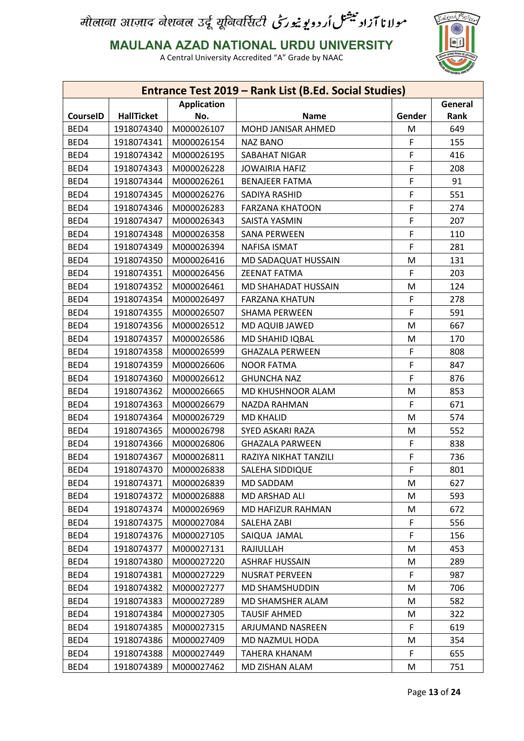

**MAULANA AZAD NATIONAL URDU UNIVERSITY**

|                               |                   |            | Entrance Test 2019 - Rank List (B.Ed. Social Studies) |        |      |  |
|-------------------------------|-------------------|------------|-------------------------------------------------------|--------|------|--|
| General<br><b>Application</b> |                   |            |                                                       |        |      |  |
| <b>CourseID</b>               | <b>HallTicket</b> | No.        | <b>Name</b>                                           | Gender | Rank |  |
| BED4                          | 1918074340        | M000026107 | MOHD JANISAR AHMED                                    | M      | 649  |  |
| BED4                          | 1918074341        | M000026154 | <b>NAZ BANO</b>                                       | F      | 155  |  |
| BED4                          | 1918074342        | M000026195 | SABAHAT NIGAR                                         | F      | 416  |  |
| BED4                          | 1918074343        | M000026228 | <b>JOWAIRIA HAFIZ</b>                                 | F      | 208  |  |
| BED4                          | 1918074344        | M000026261 | <b>BENAJEER FATMA</b>                                 | F      | 91   |  |
| BED4                          | 1918074345        | M000026276 | SADIYA RASHID                                         | F      | 551  |  |
| BED4                          | 1918074346        | M000026283 | <b>FARZANA KHATOON</b>                                | F      | 274  |  |
| BED4                          | 1918074347        | M000026343 | SAISTA YASMIN                                         | F      | 207  |  |
| BED4                          | 1918074348        | M000026358 | <b>SANA PERWEEN</b>                                   | F      | 110  |  |
| BED4                          | 1918074349        | M000026394 | <b>NAFISA ISMAT</b>                                   | F      | 281  |  |
| BED4                          | 1918074350        | M000026416 | MD SADAQUAT HUSSAIN                                   | M      | 131  |  |
| BED4                          | 1918074351        | M000026456 | <b>ZEENAT FATMA</b>                                   | F      | 203  |  |
| BED4                          | 1918074352        | M000026461 | MD SHAHADAT HUSSAIN                                   | M      | 124  |  |
| BED4                          | 1918074354        | M000026497 | <b>FARZANA KHATUN</b>                                 | F      | 278  |  |
| BED4                          | 1918074355        | M000026507 | <b>SHAMA PERWEEN</b>                                  | F      | 591  |  |
| BED4                          | 1918074356        | M000026512 | MD AQUIB JAWED                                        | M      | 667  |  |
| BED4                          | 1918074357        | M000026586 | MD SHAHID IQBAL                                       | M      | 170  |  |
| BED4                          | 1918074358        | M000026599 | <b>GHAZALA PERWEEN</b>                                | F      | 808  |  |
| BED4                          | 1918074359        | M000026606 | <b>NOOR FATMA</b>                                     | F      | 847  |  |
| BED4                          | 1918074360        | M000026612 | <b>GHUNCHA NAZ</b>                                    | F      | 876  |  |
| BED4                          | 1918074362        | M000026665 | MD KHUSHNOOR ALAM                                     | M      | 853  |  |
| BED4                          | 1918074363        | M000026679 | NAZDA RAHMAN                                          | F      | 671  |  |
| BED4                          | 1918074364        | M000026729 | <b>MD KHALID</b>                                      | M      | 574  |  |
| BED4                          | 1918074365        | M000026798 | SYED ASKARI RAZA                                      | M      | 552  |  |
| BED4                          | 1918074366        | M000026806 | <b>GHAZALA PARWEEN</b>                                | F      | 838  |  |
| BED4                          | 1918074367        | M000026811 | RAZIYA NIKHAT TANZILI                                 | F      | 736  |  |
| BED4                          | 1918074370        | M000026838 | SALEHA SIDDIQUE                                       | F      | 801  |  |
| BED4                          | 1918074371        | M000026839 | MD SADDAM                                             | M      | 627  |  |
| BED4                          | 1918074372        | M000026888 | MD ARSHAD ALI                                         | M      | 593  |  |
| BED4                          | 1918074374        | M000026969 | MD HAFIZUR RAHMAN                                     | M      | 672  |  |
| BED4                          | 1918074375        | M000027084 | SALEHA ZABI                                           | F      | 556  |  |
| BED4                          | 1918074376        | M000027105 | SAIQUA JAMAL                                          | F      | 156  |  |
| BED4                          | 1918074377        | M000027131 | RAJIULLAH                                             | M      | 453  |  |
| BED4                          | 1918074380        | M000027220 | <b>ASHRAF HUSSAIN</b>                                 | M      | 289  |  |
| BED4                          | 1918074381        | M000027229 | <b>NUSRAT PERVEEN</b>                                 | F      | 987  |  |
| BED4                          | 1918074382        | M000027277 | MD SHAMSHUDDIN                                        | M      | 706  |  |
| BED4                          | 1918074383        | M000027289 | MD SHAMSHER ALAM                                      | M      | 582  |  |
| BED4                          | 1918074384        | M000027305 | <b>TAUSIF AHMED</b>                                   | M      | 322  |  |
| BED4                          | 1918074385        | M000027315 | ARJUMAND NASREEN                                      | F.     | 619  |  |
| BED4                          | 1918074386        | M000027409 | MD NAZMUL HODA                                        | M      | 354  |  |
| BED4                          | 1918074388        | M000027449 | TAHERA KHANAM                                         | F      | 655  |  |
| BED4                          | 1918074389        | M000027462 | MD ZISHAN ALAM                                        | M      | 751  |  |
|                               |                   |            |                                                       |        |      |  |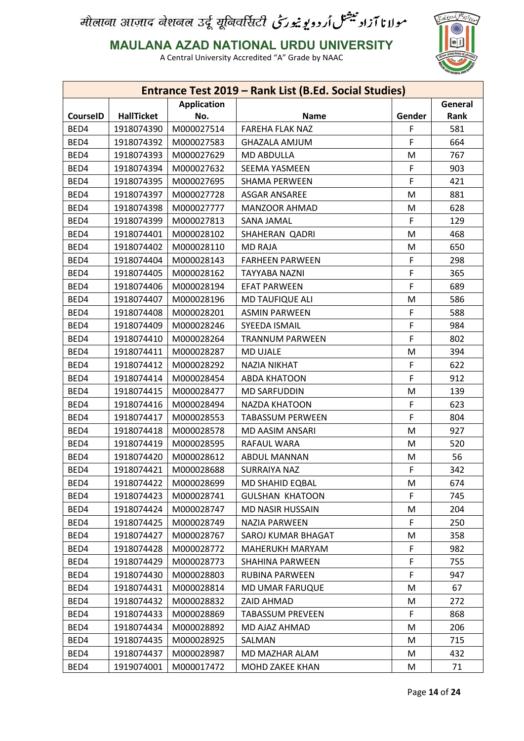

**MAULANA AZAD NATIONAL URDU UNIVERSITY**

|                 |                   |                    | Entrance Test 2019 - Rank List (B.Ed. Social Studies) |        |         |
|-----------------|-------------------|--------------------|-------------------------------------------------------|--------|---------|
|                 |                   | <b>Application</b> |                                                       |        | General |
| <b>CourseID</b> | <b>HallTicket</b> | No.                | <b>Name</b>                                           | Gender | Rank    |
| BED4            | 1918074390        | M000027514         | <b>FAREHA FLAK NAZ</b>                                | F      | 581     |
| BED4            | 1918074392        | M000027583         | <b>GHAZALA AMJUM</b>                                  | F      | 664     |
| BED4            | 1918074393        | M000027629         | <b>MD ABDULLA</b>                                     | M      | 767     |
| BED4            | 1918074394        | M000027632         | SEEMA YASMEEN                                         | F      | 903     |
| BED4            | 1918074395        | M000027695         | <b>SHAMA PERWEEN</b>                                  | F      | 421     |
| BED4            | 1918074397        | M000027728         | ASGAR ANSAREE                                         | M      | 881     |
| BED4            | 1918074398        | M000027777         | <b>MANZOOR AHMAD</b>                                  | М      | 628     |
| BED4            | 1918074399        | M000027813         | SANA JAMAL                                            | F      | 129     |
| BED4            | 1918074401        | M000028102         | SHAHERAN QADRI                                        | M      | 468     |
| BED4            | 1918074402        | M000028110         | <b>MD RAJA</b>                                        | M      | 650     |
| BED4            | 1918074404        | M000028143         | <b>FARHEEN PARWEEN</b>                                | F      | 298     |
| BED4            | 1918074405        | M000028162         | <b>TAYYABA NAZNI</b>                                  | F      | 365     |
| BED4            | 1918074406        | M000028194         | <b>EFAT PARWEEN</b>                                   | F      | 689     |
| BED4            | 1918074407        | M000028196         | <b>MD TAUFIQUE ALI</b>                                | M      | 586     |
| BED4            | 1918074408        | M000028201         | <b>ASMIN PARWEEN</b>                                  | F      | 588     |
| BED4            | 1918074409        | M000028246         | <b>SYEEDA ISMAIL</b>                                  | F      | 984     |
| BED4            | 1918074410        | M000028264         | <b>TRANNUM PARWEEN</b>                                | F      | 802     |
| BED4            | 1918074411        | M000028287         | <b>MD UJALE</b>                                       | M      | 394     |
| BED4            | 1918074412        | M000028292         | <b>NAZIA NIKHAT</b>                                   | F      | 622     |
| BED4            | 1918074414        | M000028454         | <b>ABDA KHATOON</b>                                   | F      | 912     |
| BED4            | 1918074415        | M000028477         | <b>MD SARFUDDIN</b>                                   | M      | 139     |
| BED4            | 1918074416        | M000028494         | <b>NAZDA KHATOON</b>                                  | F      | 623     |
| BED4            | 1918074417        | M000028553         | <b>TABASSUM PERWEEN</b>                               | F      | 804     |
| BED4            | 1918074418        | M000028578         | MD AASIM ANSARI                                       | M      | 927     |
| BED4            | 1918074419        | M000028595         | RAFAUL WARA                                           | M      | 520     |
| BED4            | 1918074420        | M000028612         | ABDUL MANNAN                                          | M      | 56      |
| BED4            | 1918074421        | M000028688         | <b>SURRAIYA NAZ</b>                                   | F      | 342     |
| BED4            | 1918074422        | M000028699         | MD SHAHID EQBAL                                       | M      | 674     |
| BED4            | 1918074423        | M000028741         | <b>GULSHAN KHATOON</b>                                | F      | 745     |
| BED4            | 1918074424        | M000028747         | <b>MD NASIR HUSSAIN</b>                               | М      | 204     |
| BED4            | 1918074425        | M000028749         | NAZIA PARWEEN                                         | F      | 250     |
| BED4            | 1918074427        | M000028767         | SAROJ KUMAR BHAGAT                                    | M      | 358     |
| BED4            | 1918074428        | M000028772         | MAHERUKH MARYAM                                       | F      | 982     |
| BED4            | 1918074429        | M000028773         | <b>SHAHINA PARWEEN</b>                                | F      | 755     |
| BED4            | 1918074430        | M000028803         | RUBINA PARWEEN                                        | F      | 947     |
|                 |                   |                    |                                                       |        |         |
| BED4            | 1918074431        | M000028814         | MD UMAR FARUQUE                                       | M      | 67      |
| BED4            | 1918074432        | M000028832         | ZAID AHMAD                                            | M      | 272     |
| BED4            | 1918074433        | M000028869         | <b>TABASSUM PREVEEN</b>                               | F      | 868     |
| BED4            | 1918074434        | M000028892         | MD AJAZ AHMAD                                         | M      | 206     |
| BED4            | 1918074435        | M000028925         | SALMAN                                                | M      | 715     |
| BED4            | 1918074437        | M000028987         | MD MAZHAR ALAM                                        | M      | 432     |
| BED4            | 1919074001        | M000017472         | MOHD ZAKEE KHAN                                       | M      | 71      |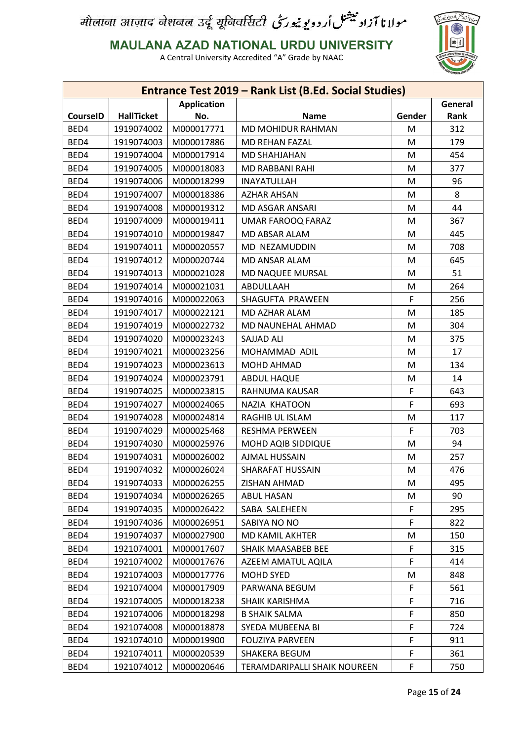

**MAULANA AZAD NATIONAL URDU UNIVERSITY**

|                               |                   |            | Entrance Test 2019 - Rank List (B.Ed. Social Studies) |        |      |  |
|-------------------------------|-------------------|------------|-------------------------------------------------------|--------|------|--|
| General<br><b>Application</b> |                   |            |                                                       |        |      |  |
| <b>CourseID</b>               | <b>HallTicket</b> | No.        | <b>Name</b>                                           | Gender | Rank |  |
| BED4                          | 1919074002        | M000017771 | MD MOHIDUR RAHMAN                                     | M      | 312  |  |
| BED4                          | 1919074003        | M000017886 | <b>MD REHAN FAZAL</b>                                 | M      | 179  |  |
| BED4                          | 1919074004        | M000017914 | MD SHAHJAHAN                                          | M      | 454  |  |
| BED4                          | 1919074005        | M000018083 | MD RABBANI RAHI                                       | M      | 377  |  |
| BED4                          | 1919074006        | M000018299 | <b>INAYATULLAH</b>                                    | M      | 96   |  |
| BED4                          | 1919074007        | M000018386 | <b>AZHAR AHSAN</b>                                    | M      | 8    |  |
| BED4                          | 1919074008        | M000019312 | <b>MD ASGAR ANSARI</b>                                | M      | 44   |  |
| BED4                          | 1919074009        | M000019411 | UMAR FAROOQ FARAZ                                     | M      | 367  |  |
| BED4                          | 1919074010        | M000019847 | MD ABSAR ALAM                                         | M      | 445  |  |
| BED4                          | 1919074011        | M000020557 | MD NEZAMUDDIN                                         | M      | 708  |  |
| BED4                          | 1919074012        | M000020744 | MD ANSAR ALAM                                         | M      | 645  |  |
| BED4                          | 1919074013        | M000021028 | MD NAQUEE MURSAL                                      | M      | 51   |  |
| BED4                          | 1919074014        | M000021031 | ABDULLAAH                                             | M      | 264  |  |
| BED4                          | 1919074016        | M000022063 | SHAGUFTA PRAWEEN                                      | F      | 256  |  |
| BED4                          | 1919074017        | M000022121 | MD AZHAR ALAM                                         | M      | 185  |  |
| BED4                          | 1919074019        | M000022732 | MD NAUNEHAL AHMAD                                     | M      | 304  |  |
| BED4                          | 1919074020        | M000023243 | SAJJAD ALI                                            | M      | 375  |  |
| BED4                          | 1919074021        | M000023256 | MOHAMMAD ADIL                                         | M      | 17   |  |
| BED4                          | 1919074023        | M000023613 | MOHD AHMAD                                            | M      | 134  |  |
| BED4                          | 1919074024        | M000023791 | ABDUL HAQUE                                           | M      | 14   |  |
| BED4                          | 1919074025        | M000023815 | RAHNUMA KAUSAR                                        | F      | 643  |  |
| BED4                          | 1919074027        | M000024065 | NAZIA KHATOON                                         | F      | 693  |  |
| BED4                          | 1919074028        | M000024814 | RAGHIB UL ISLAM                                       | M      | 117  |  |
| BED4                          | 1919074029        | M000025468 | <b>RESHMA PERWEEN</b>                                 | F      | 703  |  |
| BED4                          | 1919074030        | M000025976 | MOHD AQIB SIDDIQUE                                    | M      | 94   |  |
| BED4                          | 1919074031        | M000026002 | <b>AJMAL HUSSAIN</b>                                  | M      | 257  |  |
| BED4                          | 1919074032        | M000026024 | <b>SHARAFAT HUSSAIN</b>                               | M      | 476  |  |
| BED4                          | 1919074033        | M000026255 | ZISHAN AHMAD                                          | M      | 495  |  |
| BED4                          | 1919074034        | M000026265 | <b>ABUL HASAN</b>                                     | M      | 90   |  |
| BED4                          | 1919074035        | M000026422 | SABA SALEHEEN                                         | F      | 295  |  |
| BED4                          | 1919074036        | M000026951 | SABIYA NO NO                                          | F      | 822  |  |
| BED4                          | 1919074037        | M000027900 | MD KAMIL AKHTER                                       | M      | 150  |  |
| BED4                          | 1921074001        | M000017607 | SHAIK MAASABEB BEE                                    | F      | 315  |  |
| BED4                          | 1921074002        | M000017676 | AZEEM AMATUL AQILA                                    | F      | 414  |  |
| BED4                          | 1921074003        | M000017776 | MOHD SYED                                             | M      | 848  |  |
| BED4                          | 1921074004        | M000017909 | PARWANA BEGUM                                         | F      | 561  |  |
| BED4                          | 1921074005        | M000018238 | SHAIK KARISHMA                                        | F      | 716  |  |
| BED4                          | 1921074006        | M000018298 | <b>B SHAIK SALMA</b>                                  | F      | 850  |  |
| BED4                          | 1921074008        | M000018878 | SYEDA MUBEENA BI                                      | F      | 724  |  |
| BED4                          | 1921074010        | M000019900 | <b>FOUZIYA PARVEEN</b>                                | F      | 911  |  |
| BED4                          | 1921074011        | M000020539 | SHAKERA BEGUM                                         | F      | 361  |  |
| BED4                          | 1921074012        | M000020646 | TERAMDARIPALLI SHAIK NOUREEN                          | F      | 750  |  |
|                               |                   |            |                                                       |        |      |  |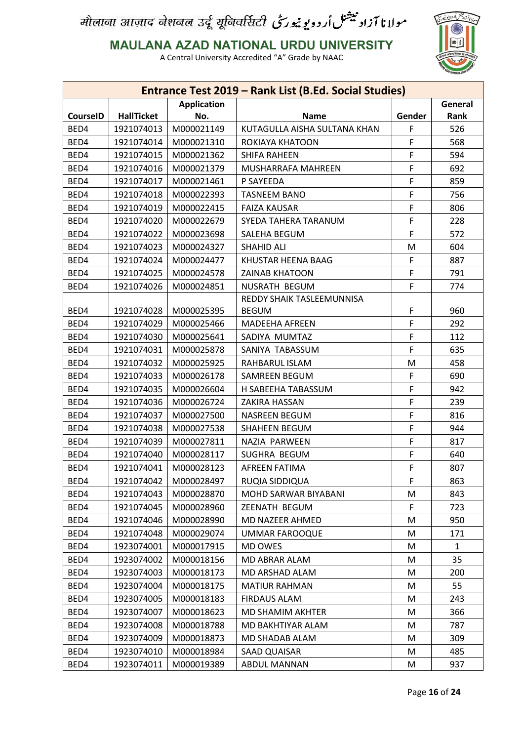

**MAULANA AZAD NATIONAL URDU UNIVERSITY**

|                 |                   |                    | Entrance Test 2019 - Rank List (B.Ed. Social Studies) |        |         |
|-----------------|-------------------|--------------------|-------------------------------------------------------|--------|---------|
|                 |                   | <b>Application</b> |                                                       |        | General |
| <b>CourseID</b> | <b>HallTicket</b> | No.                | <b>Name</b>                                           | Gender | Rank    |
| BED4            | 1921074013        | M000021149         | KUTAGULLA AISHA SULTANA KHAN                          | F      | 526     |
| BED4            | 1921074014        | M000021310         | ROKIAYA KHATOON                                       | F      | 568     |
| BED4            | 1921074015        | M000021362         | <b>SHIFA RAHEEN</b>                                   | F      | 594     |
| BED4            | 1921074016        | M000021379         | MUSHARRAFA MAHREEN                                    | F      | 692     |
| BED4            | 1921074017        | M000021461         | P SAYEEDA                                             | F      | 859     |
| BED4            | 1921074018        | M000022393         | <b>TASNEEM BANO</b>                                   | F      | 756     |
| BED4            | 1921074019        | M000022415         | <b>FAIZA KAUSAR</b>                                   | F      | 806     |
| BED4            | 1921074020        | M000022679         | SYEDA TAHERA TARANUM                                  | F      | 228     |
| BED4            | 1921074022        | M000023698         | SALEHA BEGUM                                          | F      | 572     |
| BED4            | 1921074023        | M000024327         | <b>SHAHID ALI</b>                                     | M      | 604     |
| BED4            | 1921074024        | M000024477         | KHUSTAR HEENA BAAG                                    | F      | 887     |
| BED4            | 1921074025        | M000024578         | <b>ZAINAB KHATOON</b>                                 | F      | 791     |
| BED4            | 1921074026        | M000024851         | NUSRATH BEGUM                                         | F      | 774     |
|                 |                   |                    | REDDY SHAIK TASLEEMUNNISA                             |        |         |
| BED4            | 1921074028        | M000025395         | <b>BEGUM</b>                                          | F      | 960     |
| BED4            | 1921074029        | M000025466         | <b>MADEEHA AFREEN</b>                                 | F      | 292     |
| BED4            | 1921074030        | M000025641         | SADIYA MUMTAZ                                         | F      | 112     |
| BED4            | 1921074031        | M000025878         | SANIYA TABASSUM                                       | F      | 635     |
| BED4            | 1921074032        | M000025925         | RAHBARUL ISLAM                                        | M      | 458     |
| BED4            | 1921074033        | M000026178         | SAMREEN BEGUM                                         | F      | 690     |
| BED4            | 1921074035        | M000026604         | H SABEEHA TABASSUM                                    | F      | 942     |
| BED4            | 1921074036        | M000026724         | ZAKIRA HASSAN                                         | F      | 239     |
| BED4            | 1921074037        | M000027500         | NASREEN BEGUM                                         | F      | 816     |
| BED4            | 1921074038        | M000027538         | <b>SHAHEEN BEGUM</b>                                  | F      | 944     |
| BED4            | 1921074039        | M000027811         | NAZIA PARWEEN                                         | F      | 817     |
| BED4            | 1921074040        | M000028117         | SUGHRA BEGUM                                          | F      | 640     |
| BED4            | 1921074041        | M000028123         | <b>AFREEN FATIMA</b>                                  | F      | 807     |
| BED4            | 1921074042        | M000028497         | RUQIA SIDDIQUA                                        | F      | 863     |
| BED4            | 1921074043        | M000028870         | MOHD SARWAR BIYABANI                                  | M      | 843     |
| BED4            | 1921074045        | M000028960         | ZEENATH BEGUM                                         | F      | 723     |
| BED4            | 1921074046        | M000028990         | MD NAZEER AHMED                                       | M      | 950     |
| BED4            | 1921074048        | M000029074         | <b>UMMAR FAROOQUE</b>                                 | M      | 171     |
| BED4            | 1923074001        | M000017915         | MD OWES                                               | M      | 1       |
| BED4            | 1923074002        | M000018156         | MD ABRAR ALAM                                         | M      | 35      |
| BED4            | 1923074003        | M000018173         | MD ARSHAD ALAM                                        | M      | 200     |
| BED4            | 1923074004        | M000018175         | <b>MATIUR RAHMAN</b>                                  | M      | 55      |
| BED4            | 1923074005        | M000018183         | <b>FIRDAUS ALAM</b>                                   | M      | 243     |
| BED4            | 1923074007        | M000018623         | MD SHAMIM AKHTER                                      | M      | 366     |
| BED4            | 1923074008        | M000018788         | MD BAKHTIYAR ALAM                                     | M      | 787     |
| BED4            | 1923074009        | M000018873         | MD SHADAB ALAM                                        | M      | 309     |
| BED4            | 1923074010        | M000018984         | SAAD QUAISAR                                          | M      | 485     |
| BED4            | 1923074011        | M000019389         | ABDUL MANNAN                                          | M      | 937     |
|                 |                   |                    |                                                       |        |         |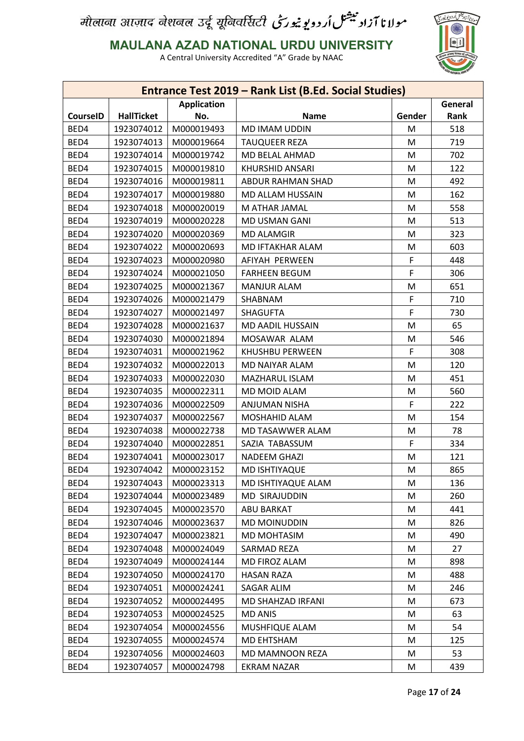

**MAULANA AZAD NATIONAL URDU UNIVERSITY**

| General<br><b>Application</b><br><b>HallTicket</b><br><b>CourseID</b><br>No.<br><b>Name</b><br>Gender<br>Rank<br>BED4<br>1923074012<br>M000019493<br>MD IMAM UDDIN<br>M<br>518<br>BED4<br>1923074013<br>M000019664<br><b>TAUQUEER REZA</b><br>M<br>719<br>BED4<br>1923074014<br>M<br>702<br>M000019742<br>MD BELAL AHMAD<br>BED4<br>1923074015<br>M000019810<br><b>KHURSHID ANSARI</b><br>122<br>M<br>BED4<br>1923074016<br>M000019811<br>M<br>492<br>ABDUR RAHMAN SHAD<br>BED4<br>1923074017<br>M000019880<br>MD ALLAM HUSSAIN<br>162<br>M<br>BED4<br>1923074018<br>M000020019<br>M<br>558<br>M ATHAR JAMAL<br>BED4<br>1923074019<br>M000020228<br>MD USMAN GANI<br>513<br>M<br>BED4<br>1923074020<br>323<br>M000020369<br><b>MD ALAMGIR</b><br>M<br>BED4<br>603<br>1923074022<br>M000020693<br>MD IFTAKHAR ALAM<br>M<br>F<br>BED4<br>1923074023<br>M000020980<br>AFIYAH PERWEEN<br>448<br>F<br>BED4<br>1923074024<br>M000021050<br><b>FARHEEN BEGUM</b><br>306<br>BED4<br>651<br>1923074025<br>M000021367<br><b>MANJUR ALAM</b><br>M<br>BED4<br>1923074026<br>M000021479<br>SHABNAM<br>F<br>710<br>F<br>BED4<br>1923074027<br>M000021497<br><b>SHAGUFTA</b><br>730<br>BED4<br>65<br>1923074028<br>M000021637<br>MD AADIL HUSSAIN<br>M<br>BED4<br>1923074030<br>M000021894<br>MOSAWAR ALAM<br>M<br>546<br>BED4<br>F<br>308<br>1923074031<br>M000021962<br>KHUSHBU PERWEEN<br>BED4<br>1923074032<br>M000022013<br>M<br>120<br>MD NAIYAR ALAM<br>BED4<br>1923074033<br>M000022030<br>MAZHARUL ISLAM<br>451<br>M<br>BED4<br>1923074035<br>M000022311<br>MD MOID ALAM<br>560<br>M<br>BED4<br>1923074036<br>F<br>M000022509<br>ANJUMAN NISHA<br>222<br>BED4<br>1923074037<br>M000022567<br>M<br>154<br>MOSHAHID ALAM<br>BED4<br>1923074038<br>M000022738<br>MD TASAWWER ALAM<br>M<br>78<br>F<br>BED4<br>1923074040<br>M000022851<br>334<br>SAZIA TABASSUM<br>BED4<br>1923074041<br>M000023017<br><b>NADEEM GHAZI</b><br>M<br>121<br>BED4<br>1923074042<br>M000023152<br><b>MD ISHTIYAQUE</b><br>M<br>865<br>BED4<br>1923074043<br>M000023313<br>MD ISHTIYAQUE ALAM<br>136<br>M<br>BED4<br>1923074044<br>M000023489<br><b>MD SIRAJUDDIN</b><br>M<br>260<br>BED4<br>M<br>1923074045<br>M000023570<br>ABU BARKAT<br>441<br>BED4<br>1923074046<br>M000023637<br><b>MD MOINUDDIN</b><br>826<br>M<br>BED4<br>1923074047<br>M<br>490<br>M000023821<br>MD MOHTASIM<br>BED4<br>1923074048<br>M000024049<br>SARMAD REZA<br>27<br>M<br>BED4<br>1923074049<br>MD FIROZ ALAM<br>898<br>M000024144<br>M<br>BED4<br>1923074050<br>M000024170<br><b>HASAN RAZA</b><br>488<br>M<br>BED4<br>1923074051<br>M000024241<br>SAGAR ALIM<br>M<br>246<br>BED4<br>1923074052<br>673<br>M000024495<br>MD SHAHZAD IRFANI<br>M<br>BED4<br>1923074053<br>63<br>M000024525<br><b>MD ANIS</b><br>M<br>BED4<br>1923074054<br>M000024556<br>54<br>MUSHFIQUE ALAM<br>M<br>BED4<br>1923074055<br>M000024574<br>MD EHTSHAM<br>125<br>M<br>BED4<br>1923074056<br>M000024603<br>MD MAMNOON REZA<br>53<br>M<br>439 |      |            |            | Entrance Test 2019 - Rank List (B.Ed. Social Studies) |   |  |
|------------------------------------------------------------------------------------------------------------------------------------------------------------------------------------------------------------------------------------------------------------------------------------------------------------------------------------------------------------------------------------------------------------------------------------------------------------------------------------------------------------------------------------------------------------------------------------------------------------------------------------------------------------------------------------------------------------------------------------------------------------------------------------------------------------------------------------------------------------------------------------------------------------------------------------------------------------------------------------------------------------------------------------------------------------------------------------------------------------------------------------------------------------------------------------------------------------------------------------------------------------------------------------------------------------------------------------------------------------------------------------------------------------------------------------------------------------------------------------------------------------------------------------------------------------------------------------------------------------------------------------------------------------------------------------------------------------------------------------------------------------------------------------------------------------------------------------------------------------------------------------------------------------------------------------------------------------------------------------------------------------------------------------------------------------------------------------------------------------------------------------------------------------------------------------------------------------------------------------------------------------------------------------------------------------------------------------------------------------------------------------------------------------------------------------------------------------------------------------------------------------------------------------------------------------------------------------------------------------------------------------------------------------------------------------------------------------------------------------------------------------------------------------------------------------------------------------------------------------------------------------------------------------------------------------------------------------------------|------|------------|------------|-------------------------------------------------------|---|--|
|                                                                                                                                                                                                                                                                                                                                                                                                                                                                                                                                                                                                                                                                                                                                                                                                                                                                                                                                                                                                                                                                                                                                                                                                                                                                                                                                                                                                                                                                                                                                                                                                                                                                                                                                                                                                                                                                                                                                                                                                                                                                                                                                                                                                                                                                                                                                                                                                                                                                                                                                                                                                                                                                                                                                                                                                                                                                                                                                                                        |      |            |            |                                                       |   |  |
|                                                                                                                                                                                                                                                                                                                                                                                                                                                                                                                                                                                                                                                                                                                                                                                                                                                                                                                                                                                                                                                                                                                                                                                                                                                                                                                                                                                                                                                                                                                                                                                                                                                                                                                                                                                                                                                                                                                                                                                                                                                                                                                                                                                                                                                                                                                                                                                                                                                                                                                                                                                                                                                                                                                                                                                                                                                                                                                                                                        |      |            |            |                                                       |   |  |
|                                                                                                                                                                                                                                                                                                                                                                                                                                                                                                                                                                                                                                                                                                                                                                                                                                                                                                                                                                                                                                                                                                                                                                                                                                                                                                                                                                                                                                                                                                                                                                                                                                                                                                                                                                                                                                                                                                                                                                                                                                                                                                                                                                                                                                                                                                                                                                                                                                                                                                                                                                                                                                                                                                                                                                                                                                                                                                                                                                        |      |            |            |                                                       |   |  |
|                                                                                                                                                                                                                                                                                                                                                                                                                                                                                                                                                                                                                                                                                                                                                                                                                                                                                                                                                                                                                                                                                                                                                                                                                                                                                                                                                                                                                                                                                                                                                                                                                                                                                                                                                                                                                                                                                                                                                                                                                                                                                                                                                                                                                                                                                                                                                                                                                                                                                                                                                                                                                                                                                                                                                                                                                                                                                                                                                                        |      |            |            |                                                       |   |  |
|                                                                                                                                                                                                                                                                                                                                                                                                                                                                                                                                                                                                                                                                                                                                                                                                                                                                                                                                                                                                                                                                                                                                                                                                                                                                                                                                                                                                                                                                                                                                                                                                                                                                                                                                                                                                                                                                                                                                                                                                                                                                                                                                                                                                                                                                                                                                                                                                                                                                                                                                                                                                                                                                                                                                                                                                                                                                                                                                                                        |      |            |            |                                                       |   |  |
|                                                                                                                                                                                                                                                                                                                                                                                                                                                                                                                                                                                                                                                                                                                                                                                                                                                                                                                                                                                                                                                                                                                                                                                                                                                                                                                                                                                                                                                                                                                                                                                                                                                                                                                                                                                                                                                                                                                                                                                                                                                                                                                                                                                                                                                                                                                                                                                                                                                                                                                                                                                                                                                                                                                                                                                                                                                                                                                                                                        |      |            |            |                                                       |   |  |
|                                                                                                                                                                                                                                                                                                                                                                                                                                                                                                                                                                                                                                                                                                                                                                                                                                                                                                                                                                                                                                                                                                                                                                                                                                                                                                                                                                                                                                                                                                                                                                                                                                                                                                                                                                                                                                                                                                                                                                                                                                                                                                                                                                                                                                                                                                                                                                                                                                                                                                                                                                                                                                                                                                                                                                                                                                                                                                                                                                        |      |            |            |                                                       |   |  |
|                                                                                                                                                                                                                                                                                                                                                                                                                                                                                                                                                                                                                                                                                                                                                                                                                                                                                                                                                                                                                                                                                                                                                                                                                                                                                                                                                                                                                                                                                                                                                                                                                                                                                                                                                                                                                                                                                                                                                                                                                                                                                                                                                                                                                                                                                                                                                                                                                                                                                                                                                                                                                                                                                                                                                                                                                                                                                                                                                                        |      |            |            |                                                       |   |  |
|                                                                                                                                                                                                                                                                                                                                                                                                                                                                                                                                                                                                                                                                                                                                                                                                                                                                                                                                                                                                                                                                                                                                                                                                                                                                                                                                                                                                                                                                                                                                                                                                                                                                                                                                                                                                                                                                                                                                                                                                                                                                                                                                                                                                                                                                                                                                                                                                                                                                                                                                                                                                                                                                                                                                                                                                                                                                                                                                                                        |      |            |            |                                                       |   |  |
|                                                                                                                                                                                                                                                                                                                                                                                                                                                                                                                                                                                                                                                                                                                                                                                                                                                                                                                                                                                                                                                                                                                                                                                                                                                                                                                                                                                                                                                                                                                                                                                                                                                                                                                                                                                                                                                                                                                                                                                                                                                                                                                                                                                                                                                                                                                                                                                                                                                                                                                                                                                                                                                                                                                                                                                                                                                                                                                                                                        |      |            |            |                                                       |   |  |
|                                                                                                                                                                                                                                                                                                                                                                                                                                                                                                                                                                                                                                                                                                                                                                                                                                                                                                                                                                                                                                                                                                                                                                                                                                                                                                                                                                                                                                                                                                                                                                                                                                                                                                                                                                                                                                                                                                                                                                                                                                                                                                                                                                                                                                                                                                                                                                                                                                                                                                                                                                                                                                                                                                                                                                                                                                                                                                                                                                        |      |            |            |                                                       |   |  |
|                                                                                                                                                                                                                                                                                                                                                                                                                                                                                                                                                                                                                                                                                                                                                                                                                                                                                                                                                                                                                                                                                                                                                                                                                                                                                                                                                                                                                                                                                                                                                                                                                                                                                                                                                                                                                                                                                                                                                                                                                                                                                                                                                                                                                                                                                                                                                                                                                                                                                                                                                                                                                                                                                                                                                                                                                                                                                                                                                                        |      |            |            |                                                       |   |  |
|                                                                                                                                                                                                                                                                                                                                                                                                                                                                                                                                                                                                                                                                                                                                                                                                                                                                                                                                                                                                                                                                                                                                                                                                                                                                                                                                                                                                                                                                                                                                                                                                                                                                                                                                                                                                                                                                                                                                                                                                                                                                                                                                                                                                                                                                                                                                                                                                                                                                                                                                                                                                                                                                                                                                                                                                                                                                                                                                                                        |      |            |            |                                                       |   |  |
|                                                                                                                                                                                                                                                                                                                                                                                                                                                                                                                                                                                                                                                                                                                                                                                                                                                                                                                                                                                                                                                                                                                                                                                                                                                                                                                                                                                                                                                                                                                                                                                                                                                                                                                                                                                                                                                                                                                                                                                                                                                                                                                                                                                                                                                                                                                                                                                                                                                                                                                                                                                                                                                                                                                                                                                                                                                                                                                                                                        |      |            |            |                                                       |   |  |
|                                                                                                                                                                                                                                                                                                                                                                                                                                                                                                                                                                                                                                                                                                                                                                                                                                                                                                                                                                                                                                                                                                                                                                                                                                                                                                                                                                                                                                                                                                                                                                                                                                                                                                                                                                                                                                                                                                                                                                                                                                                                                                                                                                                                                                                                                                                                                                                                                                                                                                                                                                                                                                                                                                                                                                                                                                                                                                                                                                        |      |            |            |                                                       |   |  |
|                                                                                                                                                                                                                                                                                                                                                                                                                                                                                                                                                                                                                                                                                                                                                                                                                                                                                                                                                                                                                                                                                                                                                                                                                                                                                                                                                                                                                                                                                                                                                                                                                                                                                                                                                                                                                                                                                                                                                                                                                                                                                                                                                                                                                                                                                                                                                                                                                                                                                                                                                                                                                                                                                                                                                                                                                                                                                                                                                                        |      |            |            |                                                       |   |  |
|                                                                                                                                                                                                                                                                                                                                                                                                                                                                                                                                                                                                                                                                                                                                                                                                                                                                                                                                                                                                                                                                                                                                                                                                                                                                                                                                                                                                                                                                                                                                                                                                                                                                                                                                                                                                                                                                                                                                                                                                                                                                                                                                                                                                                                                                                                                                                                                                                                                                                                                                                                                                                                                                                                                                                                                                                                                                                                                                                                        |      |            |            |                                                       |   |  |
|                                                                                                                                                                                                                                                                                                                                                                                                                                                                                                                                                                                                                                                                                                                                                                                                                                                                                                                                                                                                                                                                                                                                                                                                                                                                                                                                                                                                                                                                                                                                                                                                                                                                                                                                                                                                                                                                                                                                                                                                                                                                                                                                                                                                                                                                                                                                                                                                                                                                                                                                                                                                                                                                                                                                                                                                                                                                                                                                                                        |      |            |            |                                                       |   |  |
|                                                                                                                                                                                                                                                                                                                                                                                                                                                                                                                                                                                                                                                                                                                                                                                                                                                                                                                                                                                                                                                                                                                                                                                                                                                                                                                                                                                                                                                                                                                                                                                                                                                                                                                                                                                                                                                                                                                                                                                                                                                                                                                                                                                                                                                                                                                                                                                                                                                                                                                                                                                                                                                                                                                                                                                                                                                                                                                                                                        |      |            |            |                                                       |   |  |
|                                                                                                                                                                                                                                                                                                                                                                                                                                                                                                                                                                                                                                                                                                                                                                                                                                                                                                                                                                                                                                                                                                                                                                                                                                                                                                                                                                                                                                                                                                                                                                                                                                                                                                                                                                                                                                                                                                                                                                                                                                                                                                                                                                                                                                                                                                                                                                                                                                                                                                                                                                                                                                                                                                                                                                                                                                                                                                                                                                        |      |            |            |                                                       |   |  |
|                                                                                                                                                                                                                                                                                                                                                                                                                                                                                                                                                                                                                                                                                                                                                                                                                                                                                                                                                                                                                                                                                                                                                                                                                                                                                                                                                                                                                                                                                                                                                                                                                                                                                                                                                                                                                                                                                                                                                                                                                                                                                                                                                                                                                                                                                                                                                                                                                                                                                                                                                                                                                                                                                                                                                                                                                                                                                                                                                                        |      |            |            |                                                       |   |  |
|                                                                                                                                                                                                                                                                                                                                                                                                                                                                                                                                                                                                                                                                                                                                                                                                                                                                                                                                                                                                                                                                                                                                                                                                                                                                                                                                                                                                                                                                                                                                                                                                                                                                                                                                                                                                                                                                                                                                                                                                                                                                                                                                                                                                                                                                                                                                                                                                                                                                                                                                                                                                                                                                                                                                                                                                                                                                                                                                                                        |      |            |            |                                                       |   |  |
|                                                                                                                                                                                                                                                                                                                                                                                                                                                                                                                                                                                                                                                                                                                                                                                                                                                                                                                                                                                                                                                                                                                                                                                                                                                                                                                                                                                                                                                                                                                                                                                                                                                                                                                                                                                                                                                                                                                                                                                                                                                                                                                                                                                                                                                                                                                                                                                                                                                                                                                                                                                                                                                                                                                                                                                                                                                                                                                                                                        |      |            |            |                                                       |   |  |
|                                                                                                                                                                                                                                                                                                                                                                                                                                                                                                                                                                                                                                                                                                                                                                                                                                                                                                                                                                                                                                                                                                                                                                                                                                                                                                                                                                                                                                                                                                                                                                                                                                                                                                                                                                                                                                                                                                                                                                                                                                                                                                                                                                                                                                                                                                                                                                                                                                                                                                                                                                                                                                                                                                                                                                                                                                                                                                                                                                        |      |            |            |                                                       |   |  |
|                                                                                                                                                                                                                                                                                                                                                                                                                                                                                                                                                                                                                                                                                                                                                                                                                                                                                                                                                                                                                                                                                                                                                                                                                                                                                                                                                                                                                                                                                                                                                                                                                                                                                                                                                                                                                                                                                                                                                                                                                                                                                                                                                                                                                                                                                                                                                                                                                                                                                                                                                                                                                                                                                                                                                                                                                                                                                                                                                                        |      |            |            |                                                       |   |  |
|                                                                                                                                                                                                                                                                                                                                                                                                                                                                                                                                                                                                                                                                                                                                                                                                                                                                                                                                                                                                                                                                                                                                                                                                                                                                                                                                                                                                                                                                                                                                                                                                                                                                                                                                                                                                                                                                                                                                                                                                                                                                                                                                                                                                                                                                                                                                                                                                                                                                                                                                                                                                                                                                                                                                                                                                                                                                                                                                                                        |      |            |            |                                                       |   |  |
|                                                                                                                                                                                                                                                                                                                                                                                                                                                                                                                                                                                                                                                                                                                                                                                                                                                                                                                                                                                                                                                                                                                                                                                                                                                                                                                                                                                                                                                                                                                                                                                                                                                                                                                                                                                                                                                                                                                                                                                                                                                                                                                                                                                                                                                                                                                                                                                                                                                                                                                                                                                                                                                                                                                                                                                                                                                                                                                                                                        |      |            |            |                                                       |   |  |
|                                                                                                                                                                                                                                                                                                                                                                                                                                                                                                                                                                                                                                                                                                                                                                                                                                                                                                                                                                                                                                                                                                                                                                                                                                                                                                                                                                                                                                                                                                                                                                                                                                                                                                                                                                                                                                                                                                                                                                                                                                                                                                                                                                                                                                                                                                                                                                                                                                                                                                                                                                                                                                                                                                                                                                                                                                                                                                                                                                        |      |            |            |                                                       |   |  |
|                                                                                                                                                                                                                                                                                                                                                                                                                                                                                                                                                                                                                                                                                                                                                                                                                                                                                                                                                                                                                                                                                                                                                                                                                                                                                                                                                                                                                                                                                                                                                                                                                                                                                                                                                                                                                                                                                                                                                                                                                                                                                                                                                                                                                                                                                                                                                                                                                                                                                                                                                                                                                                                                                                                                                                                                                                                                                                                                                                        |      |            |            |                                                       |   |  |
|                                                                                                                                                                                                                                                                                                                                                                                                                                                                                                                                                                                                                                                                                                                                                                                                                                                                                                                                                                                                                                                                                                                                                                                                                                                                                                                                                                                                                                                                                                                                                                                                                                                                                                                                                                                                                                                                                                                                                                                                                                                                                                                                                                                                                                                                                                                                                                                                                                                                                                                                                                                                                                                                                                                                                                                                                                                                                                                                                                        |      |            |            |                                                       |   |  |
|                                                                                                                                                                                                                                                                                                                                                                                                                                                                                                                                                                                                                                                                                                                                                                                                                                                                                                                                                                                                                                                                                                                                                                                                                                                                                                                                                                                                                                                                                                                                                                                                                                                                                                                                                                                                                                                                                                                                                                                                                                                                                                                                                                                                                                                                                                                                                                                                                                                                                                                                                                                                                                                                                                                                                                                                                                                                                                                                                                        |      |            |            |                                                       |   |  |
|                                                                                                                                                                                                                                                                                                                                                                                                                                                                                                                                                                                                                                                                                                                                                                                                                                                                                                                                                                                                                                                                                                                                                                                                                                                                                                                                                                                                                                                                                                                                                                                                                                                                                                                                                                                                                                                                                                                                                                                                                                                                                                                                                                                                                                                                                                                                                                                                                                                                                                                                                                                                                                                                                                                                                                                                                                                                                                                                                                        |      |            |            |                                                       |   |  |
|                                                                                                                                                                                                                                                                                                                                                                                                                                                                                                                                                                                                                                                                                                                                                                                                                                                                                                                                                                                                                                                                                                                                                                                                                                                                                                                                                                                                                                                                                                                                                                                                                                                                                                                                                                                                                                                                                                                                                                                                                                                                                                                                                                                                                                                                                                                                                                                                                                                                                                                                                                                                                                                                                                                                                                                                                                                                                                                                                                        |      |            |            |                                                       |   |  |
|                                                                                                                                                                                                                                                                                                                                                                                                                                                                                                                                                                                                                                                                                                                                                                                                                                                                                                                                                                                                                                                                                                                                                                                                                                                                                                                                                                                                                                                                                                                                                                                                                                                                                                                                                                                                                                                                                                                                                                                                                                                                                                                                                                                                                                                                                                                                                                                                                                                                                                                                                                                                                                                                                                                                                                                                                                                                                                                                                                        |      |            |            |                                                       |   |  |
|                                                                                                                                                                                                                                                                                                                                                                                                                                                                                                                                                                                                                                                                                                                                                                                                                                                                                                                                                                                                                                                                                                                                                                                                                                                                                                                                                                                                                                                                                                                                                                                                                                                                                                                                                                                                                                                                                                                                                                                                                                                                                                                                                                                                                                                                                                                                                                                                                                                                                                                                                                                                                                                                                                                                                                                                                                                                                                                                                                        |      |            |            |                                                       |   |  |
|                                                                                                                                                                                                                                                                                                                                                                                                                                                                                                                                                                                                                                                                                                                                                                                                                                                                                                                                                                                                                                                                                                                                                                                                                                                                                                                                                                                                                                                                                                                                                                                                                                                                                                                                                                                                                                                                                                                                                                                                                                                                                                                                                                                                                                                                                                                                                                                                                                                                                                                                                                                                                                                                                                                                                                                                                                                                                                                                                                        |      |            |            |                                                       |   |  |
|                                                                                                                                                                                                                                                                                                                                                                                                                                                                                                                                                                                                                                                                                                                                                                                                                                                                                                                                                                                                                                                                                                                                                                                                                                                                                                                                                                                                                                                                                                                                                                                                                                                                                                                                                                                                                                                                                                                                                                                                                                                                                                                                                                                                                                                                                                                                                                                                                                                                                                                                                                                                                                                                                                                                                                                                                                                                                                                                                                        |      |            |            |                                                       |   |  |
|                                                                                                                                                                                                                                                                                                                                                                                                                                                                                                                                                                                                                                                                                                                                                                                                                                                                                                                                                                                                                                                                                                                                                                                                                                                                                                                                                                                                                                                                                                                                                                                                                                                                                                                                                                                                                                                                                                                                                                                                                                                                                                                                                                                                                                                                                                                                                                                                                                                                                                                                                                                                                                                                                                                                                                                                                                                                                                                                                                        |      |            |            |                                                       |   |  |
|                                                                                                                                                                                                                                                                                                                                                                                                                                                                                                                                                                                                                                                                                                                                                                                                                                                                                                                                                                                                                                                                                                                                                                                                                                                                                                                                                                                                                                                                                                                                                                                                                                                                                                                                                                                                                                                                                                                                                                                                                                                                                                                                                                                                                                                                                                                                                                                                                                                                                                                                                                                                                                                                                                                                                                                                                                                                                                                                                                        |      |            |            |                                                       |   |  |
|                                                                                                                                                                                                                                                                                                                                                                                                                                                                                                                                                                                                                                                                                                                                                                                                                                                                                                                                                                                                                                                                                                                                                                                                                                                                                                                                                                                                                                                                                                                                                                                                                                                                                                                                                                                                                                                                                                                                                                                                                                                                                                                                                                                                                                                                                                                                                                                                                                                                                                                                                                                                                                                                                                                                                                                                                                                                                                                                                                        |      |            |            |                                                       |   |  |
|                                                                                                                                                                                                                                                                                                                                                                                                                                                                                                                                                                                                                                                                                                                                                                                                                                                                                                                                                                                                                                                                                                                                                                                                                                                                                                                                                                                                                                                                                                                                                                                                                                                                                                                                                                                                                                                                                                                                                                                                                                                                                                                                                                                                                                                                                                                                                                                                                                                                                                                                                                                                                                                                                                                                                                                                                                                                                                                                                                        |      |            |            |                                                       |   |  |
|                                                                                                                                                                                                                                                                                                                                                                                                                                                                                                                                                                                                                                                                                                                                                                                                                                                                                                                                                                                                                                                                                                                                                                                                                                                                                                                                                                                                                                                                                                                                                                                                                                                                                                                                                                                                                                                                                                                                                                                                                                                                                                                                                                                                                                                                                                                                                                                                                                                                                                                                                                                                                                                                                                                                                                                                                                                                                                                                                                        |      |            |            |                                                       |   |  |
|                                                                                                                                                                                                                                                                                                                                                                                                                                                                                                                                                                                                                                                                                                                                                                                                                                                                                                                                                                                                                                                                                                                                                                                                                                                                                                                                                                                                                                                                                                                                                                                                                                                                                                                                                                                                                                                                                                                                                                                                                                                                                                                                                                                                                                                                                                                                                                                                                                                                                                                                                                                                                                                                                                                                                                                                                                                                                                                                                                        |      |            |            |                                                       |   |  |
|                                                                                                                                                                                                                                                                                                                                                                                                                                                                                                                                                                                                                                                                                                                                                                                                                                                                                                                                                                                                                                                                                                                                                                                                                                                                                                                                                                                                                                                                                                                                                                                                                                                                                                                                                                                                                                                                                                                                                                                                                                                                                                                                                                                                                                                                                                                                                                                                                                                                                                                                                                                                                                                                                                                                                                                                                                                                                                                                                                        | BED4 | 1923074057 | M000024798 | EKRAM NAZAR                                           | M |  |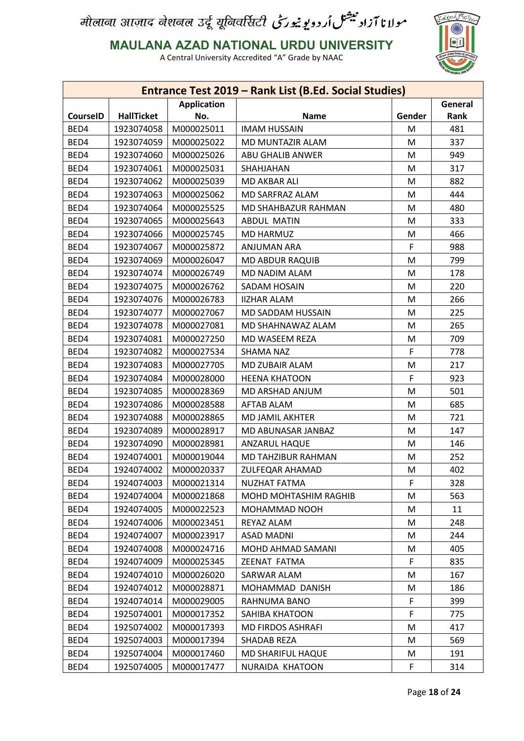

**MAULANA AZAD NATIONAL URDU UNIVERSITY**

|                               |                   |            | <b>Entrance Test 2019 - Rank List (B.Ed. Social Studies)</b> |        |      |  |
|-------------------------------|-------------------|------------|--------------------------------------------------------------|--------|------|--|
| General<br><b>Application</b> |                   |            |                                                              |        |      |  |
| <b>CourseID</b>               | <b>HallTicket</b> | No.        | <b>Name</b>                                                  | Gender | Rank |  |
| BED4                          | 1923074058        | M000025011 | <b>IMAM HUSSAIN</b>                                          | M      | 481  |  |
| BED4                          | 1923074059        | M000025022 | MD MUNTAZIR ALAM                                             | M      | 337  |  |
| BED4                          | 1923074060        | M000025026 | ABU GHALIB ANWER                                             | M      | 949  |  |
| BED4                          | 1923074061        | M000025031 | SHAHJAHAN                                                    | M      | 317  |  |
| BED4                          | 1923074062        | M000025039 | MD AKBAR ALI                                                 | M      | 882  |  |
| BED4                          | 1923074063        | M000025062 | MD SARFRAZ ALAM                                              | M      | 444  |  |
| BED4                          | 1923074064        | M000025525 | MD SHAHBAZUR RAHMAN                                          | M      | 480  |  |
| BED4                          | 1923074065        | M000025643 | <b>ABDUL MATIN</b>                                           | M      | 333  |  |
| BED4                          | 1923074066        | M000025745 | <b>MD HARMUZ</b>                                             | M      | 466  |  |
| BED4                          | 1923074067        | M000025872 | <b>ANJUMAN ARA</b>                                           | F      | 988  |  |
| BED4                          | 1923074069        | M000026047 | <b>MD ABDUR RAQUIB</b>                                       | M      | 799  |  |
| BED4                          | 1923074074        | M000026749 | MD NADIM ALAM                                                | M      | 178  |  |
| BED4                          | 1923074075        | M000026762 | SADAM HOSAIN                                                 | M      | 220  |  |
| BED4                          | 1923074076        | M000026783 | <b>IIZHAR ALAM</b>                                           | M      | 266  |  |
| BED4                          | 1923074077        | M000027067 | MD SADDAM HUSSAIN                                            | M      | 225  |  |
| BED4                          | 1923074078        | M000027081 | MD SHAHNAWAZ ALAM                                            | M      | 265  |  |
| BED4                          | 1923074081        | M000027250 | MD WASEEM REZA                                               | M      | 709  |  |
| BED4                          | 1923074082        | M000027534 | SHAMA NAZ                                                    | F      | 778  |  |
| BED4                          | 1923074083        | M000027705 | MD ZUBAIR ALAM                                               | M      | 217  |  |
| BED4                          | 1923074084        | M000028000 | <b>HEENA KHATOON</b>                                         | F      | 923  |  |
| BED4                          | 1923074085        | M000028369 | MD ARSHAD ANJUM                                              | M      | 501  |  |
| BED4                          | 1923074086        | M000028588 | <b>AFTAB ALAM</b>                                            | M      | 685  |  |
| BED4                          | 1923074088        | M000028865 | MD JAMIL AKHTER                                              | M      | 721  |  |
| BED4                          | 1923074089        | M000028917 | MD ABUNASAR JANBAZ                                           | M      | 147  |  |
| BED4                          | 1923074090        | M000028981 | <b>ANZARUL HAQUE</b>                                         | M      | 146  |  |
| BED4                          | 1924074001        | M000019044 | MD TAHZIBUR RAHMAN                                           | M      | 252  |  |
| BED4                          | 1924074002        | M000020337 | <b>ZULFEQAR AHAMAD</b>                                       | M      | 402  |  |
| BED4                          | 1924074003        | M000021314 | <b>NUZHAT FATMA</b>                                          | F      | 328  |  |
| BED4                          | 1924074004        | M000021868 | MOHD MOHTASHIM RAGHIB                                        | M      | 563  |  |
| BED4                          | 1924074005        | M000022523 | MOHAMMAD NOOH                                                | M      | 11   |  |
| BED4                          | 1924074006        | M000023451 | REYAZ ALAM                                                   | M      | 248  |  |
| BED4                          | 1924074007        | M000023917 | ASAD MADNI                                                   | M      | 244  |  |
| BED4                          | 1924074008        | M000024716 | MOHD AHMAD SAMANI                                            | M      | 405  |  |
| BED4                          | 1924074009        | M000025345 | ZEENAT FATMA                                                 | F      | 835  |  |
| BED4                          | 1924074010        | M000026020 | SARWAR ALAM                                                  | M      | 167  |  |
| BED4                          | 1924074012        | M000028871 | MOHAMMAD DANISH                                              | M      | 186  |  |
| BED4                          |                   |            |                                                              | F      | 399  |  |
| BED4                          | 1924074014        | M000029005 | RAHNUMA BANO                                                 | F      |      |  |
|                               | 1925074001        | M000017352 | SAHIBA KHATOON                                               |        | 775  |  |
| BED4                          | 1925074002        | M000017393 | MD FIRDOS ASHRAFI                                            | M      | 417  |  |
| BED4                          | 1925074003        | M000017394 | <b>SHADAB REZA</b>                                           | M      | 569  |  |
| BED4                          | 1925074004        | M000017460 | MD SHARIFUL HAQUE                                            | M      | 191  |  |
| BED4                          | 1925074005        | M000017477 | NURAIDA KHATOON                                              | F      | 314  |  |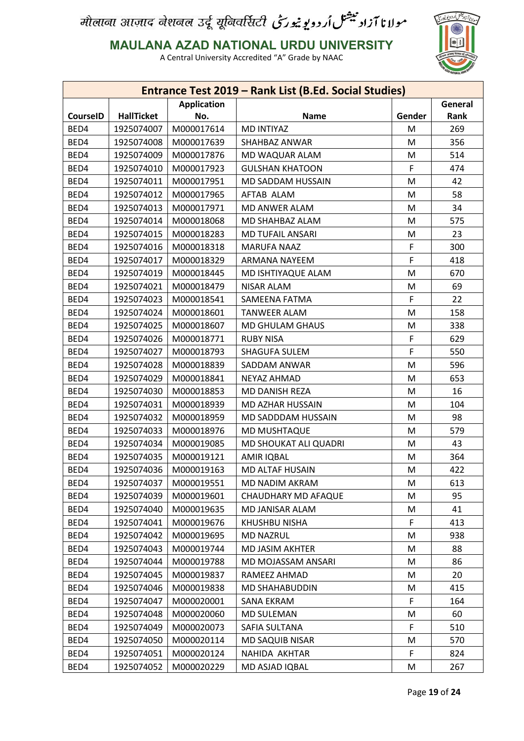

**MAULANA AZAD NATIONAL URDU UNIVERSITY**

|                 |                   |                    | Entrance Test 2019 - Rank List (B.Ed. Social Studies) |        |         |
|-----------------|-------------------|--------------------|-------------------------------------------------------|--------|---------|
|                 |                   | <b>Application</b> |                                                       |        | General |
| <b>CourseID</b> | <b>HallTicket</b> | No.                | <b>Name</b>                                           | Gender | Rank    |
| BED4            | 1925074007        | M000017614         | <b>MD INTIYAZ</b>                                     | M      | 269     |
| BED4            | 1925074008        | M000017639         | SHAHBAZ ANWAR                                         | M      | 356     |
| BED4            | 1925074009        | M000017876         | MD WAQUAR ALAM                                        | M      | 514     |
| BED4            | 1925074010        | M000017923         | <b>GULSHAN KHATOON</b>                                | F      | 474     |
| BED4            | 1925074011        | M000017951         | MD SADDAM HUSSAIN                                     | M      | 42      |
| BED4            | 1925074012        | M000017965         | AFTAB ALAM                                            | M      | 58      |
| BED4            | 1925074013        | M000017971         | MD ANWER ALAM                                         | M      | 34      |
| BED4            | 1925074014        | M000018068         | MD SHAHBAZ ALAM                                       | M      | 575     |
| BED4            | 1925074015        | M000018283         | <b>MD TUFAIL ANSARI</b>                               | M      | 23      |
| BED4            | 1925074016        | M000018318         | <b>MARUFA NAAZ</b>                                    | F      | 300     |
| BED4            | 1925074017        | M000018329         | ARMANA NAYEEM                                         | F      | 418     |
| BED4            | 1925074019        | M000018445         | MD ISHTIYAQUE ALAM                                    | M      | 670     |
| BED4            | 1925074021        | M000018479         | <b>NISAR ALAM</b>                                     | M      | 69      |
| BED4            | 1925074023        | M000018541         | SAMEENA FATMA                                         | F      | 22      |
| BED4            | 1925074024        | M000018601         | <b>TANWEER ALAM</b>                                   | M      | 158     |
| BED4            | 1925074025        | M000018607         | MD GHULAM GHAUS                                       | M      | 338     |
| BED4            | 1925074026        | M000018771         | <b>RUBY NISA</b>                                      | F      | 629     |
| BED4            | 1925074027        | M000018793         | SHAGUFA SULEM                                         | F      | 550     |
| BED4            | 1925074028        | M000018839         | SADDAM ANWAR                                          | M      | 596     |
| BED4            | 1925074029        | M000018841         | NEYAZ AHMAD                                           | M      | 653     |
| BED4            | 1925074030        | M000018853         | MD DANISH REZA                                        | M      | 16      |
| BED4            | 1925074031        | M000018939         | MD AZHAR HUSSAIN                                      | M      | 104     |
| BED4            | 1925074032        | M000018959         | MD SADDDAM HUSSAIN                                    | M      | 98      |
| BED4            | 1925074033        | M000018976         | MD MUSHTAQUE                                          | M      | 579     |
| BED4            | 1925074034        | M000019085         | MD SHOUKAT ALI QUADRI                                 | M      | 43      |
| BED4            | 1925074035        | M000019121         | AMIR IQBAL                                            | M      | 364     |
| BED4            | 1925074036        | M000019163         | MD ALTAF HUSAIN                                       | M      | 422     |
| BED4            | 1925074037        | M000019551         | MD NADIM AKRAM                                        | M      | 613     |
| BED4            | 1925074039        | M000019601         | <b>CHAUDHARY MD AFAQUE</b>                            | M      | 95      |
| BED4            | 1925074040        | M000019635         | MD JANISAR ALAM                                       | M      | 41      |
| BED4            | 1925074041        | M000019676         | KHUSHBU NISHA                                         | F      | 413     |
| BED4            | 1925074042        | M000019695         | <b>MD NAZRUL</b>                                      | M      | 938     |
| BED4            | 1925074043        | M000019744         | MD JASIM AKHTER                                       | M      | 88      |
| BED4            | 1925074044        | M000019788         | MD MOJASSAM ANSARI                                    | M      | 86      |
| BED4            | 1925074045        | M000019837         | RAMEEZ AHMAD                                          | M      | 20      |
| BED4            | 1925074046        | M000019838         | MD SHAHABUDDIN                                        | M      | 415     |
| BED4            | 1925074047        | M000020001         | SANA EKRAM                                            | F      | 164     |
| BED4            | 1925074048        | M000020060         | MD SULEMAN                                            | M      | 60      |
| BED4            | 1925074049        | M000020073         | SAFIA SULTANA                                         | F      | 510     |
| BED4            | 1925074050        |                    |                                                       |        |         |
|                 |                   | M000020114         | MD SAQUIB NISAR                                       | M      | 570     |
| BED4            | 1925074051        | M000020124         | NAHIDA AKHTAR                                         | F.     | 824     |
| BED4            | 1925074052        | M000020229         | MD ASJAD IQBAL                                        | M      | 267     |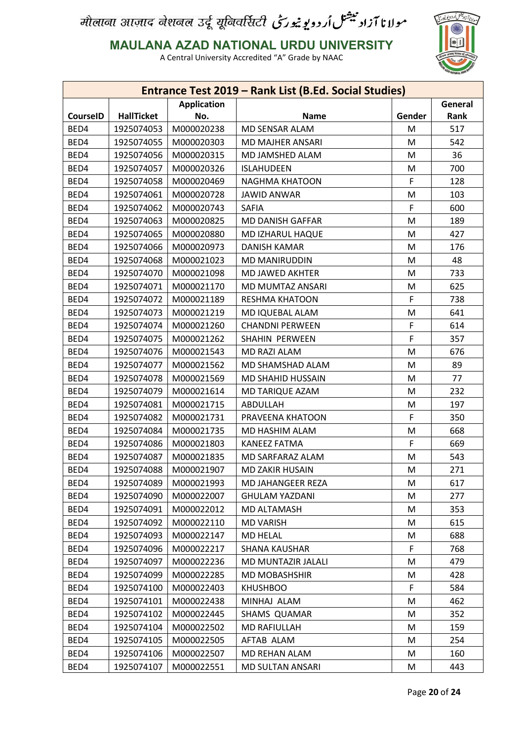

**MAULANA AZAD NATIONAL URDU UNIVERSITY**

|                 |                   |                    | Entrance Test 2019 - Rank List (B.Ed. Social Studies) |        |         |
|-----------------|-------------------|--------------------|-------------------------------------------------------|--------|---------|
|                 |                   | <b>Application</b> |                                                       |        | General |
| <b>CourseID</b> | <b>HallTicket</b> | No.                | <b>Name</b>                                           | Gender | Rank    |
| BED4            | 1925074053        | M000020238         | MD SENSAR ALAM                                        | M      | 517     |
| BED4            | 1925074055        | M000020303         | <b>MD MAJHER ANSARI</b>                               | M      | 542     |
| BED4            | 1925074056        | M000020315         | MD JAMSHED ALAM                                       | M      | 36      |
| BED4            | 1925074057        | M000020326         | <b>ISLAHUDEEN</b>                                     | M      | 700     |
| BED4            | 1925074058        | M000020469         | NAGHMA KHATOON                                        | F      | 128     |
| BED4            | 1925074061        | M000020728         | <b>JAWID ANWAR</b>                                    | M      | 103     |
| BED4            | 1925074062        | M000020743         | <b>SAFIA</b>                                          | F      | 600     |
| BED4            | 1925074063        | M000020825         | MD DANISH GAFFAR                                      | M      | 189     |
| BED4            | 1925074065        | M000020880         | MD IZHARUL HAQUE                                      | M      | 427     |
| BED4            | 1925074066        | M000020973         | <b>DANISH KAMAR</b>                                   | M      | 176     |
| BED4            | 1925074068        | M000021023         | MD MANIRUDDIN                                         | M      | 48      |
| BED4            | 1925074070        | M000021098         | MD JAWED AKHTER                                       | M      | 733     |
| BED4            | 1925074071        | M000021170         | <b>MD MUMTAZ ANSARI</b>                               | M      | 625     |
| BED4            | 1925074072        | M000021189         | <b>RESHMA KHATOON</b>                                 | F      | 738     |
| BED4            | 1925074073        | M000021219         | MD IQUEBAL ALAM                                       | M      | 641     |
| BED4            | 1925074074        | M000021260         | <b>CHANDNI PERWEEN</b>                                | F      | 614     |
| BED4            | 1925074075        | M000021262         | SHAHIN PERWEEN                                        | F      | 357     |
| BED4            | 1925074076        | M000021543         | MD RAZI ALAM                                          | M      | 676     |
| BED4            | 1925074077        | M000021562         | MD SHAMSHAD ALAM                                      | M      | 89      |
| BED4            | 1925074078        | M000021569         | MD SHAHID HUSSAIN                                     | M      | 77      |
| BED4            | 1925074079        | M000021614         | MD TARIQUE AZAM                                       | M      | 232     |
| BED4            | 1925074081        | M000021715         | ABDULLAH                                              | M      | 197     |
| BED4            | 1925074082        | M000021731         | PRAVEENA KHATOON                                      | F      | 350     |
| BED4            | 1925074084        | M000021735         | MD HASHIM ALAM                                        | M      | 668     |
| BED4            | 1925074086        | M000021803         | <b>KANEEZ FATMA</b>                                   | F      | 669     |
| BED4            | 1925074087        | M000021835         | MD SARFARAZ ALAM                                      | M      | 543     |
| BED4            | 1925074088        | M000021907         | <b>MD ZAKIR HUSAIN</b>                                | M      | 271     |
| BED4            | 1925074089        | M000021993         | MD JAHANGEER REZA                                     | M      | 617     |
| BED4            | 1925074090        | M000022007         | <b>GHULAM YAZDANI</b>                                 | M      | 277     |
| BED4            | 1925074091        | M000022012         | MD ALTAMASH                                           | M      | 353     |
| BED4            | 1925074092        | M000022110         | <b>MD VARISH</b>                                      | M      | 615     |
| BED4            | 1925074093        | M000022147         | MD HELAL                                              | M      | 688     |
| BED4            | 1925074096        | M000022217         | <b>SHANA KAUSHAR</b>                                  | F      | 768     |
| BED4            | 1925074097        | M000022236         | MD MUNTAZIR JALALI                                    | M      | 479     |
| BED4            | 1925074099        | M000022285         | <b>MD MOBASHSHIR</b>                                  | M      | 428     |
|                 |                   |                    |                                                       |        |         |
| BED4            | 1925074100        | M000022403         | <b>KHUSHBOO</b>                                       | F      | 584     |
| BED4            | 1925074101        | M000022438         | MINHAJ ALAM                                           | M      | 462     |
| BED4            | 1925074102        | M000022445         | SHAMS QUAMAR                                          | M      | 352     |
| BED4            | 1925074104        | M000022502         | <b>MD RAFIULLAH</b>                                   | M      | 159     |
| BED4            | 1925074105        | M000022505         | AFTAB ALAM                                            | M      | 254     |
| BED4            | 1925074106        | M000022507         | MD REHAN ALAM                                         | M      | 160     |
| BED4            | 1925074107        | M000022551         | MD SULTAN ANSARI                                      | M      | 443     |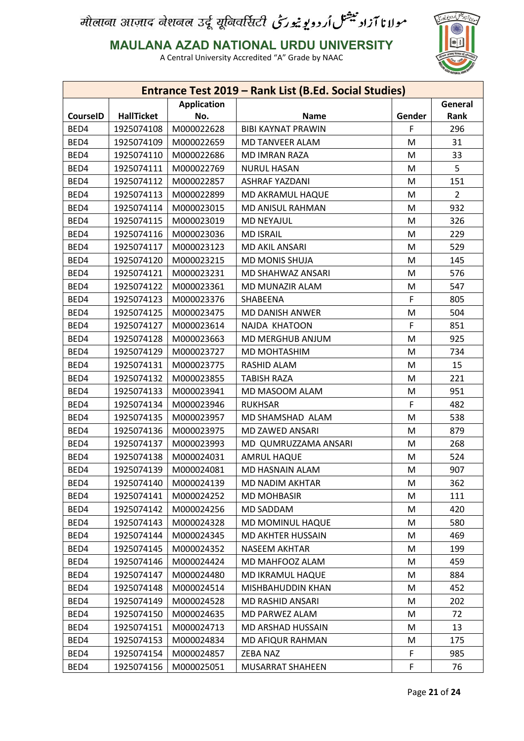

**MAULANA AZAD NATIONAL URDU UNIVERSITY**

| <b>Application</b><br>General<br><b>HallTicket</b><br><b>CourseID</b><br><b>Name</b><br>Rank<br>No.<br>Gender<br>F<br>BED4<br>M000022628<br>1925074108<br><b>BIBI KAYNAT PRAWIN</b><br>296<br>BED4<br>1925074109<br>M000022659<br>MD TANVEER ALAM<br>M<br>31<br>BED4<br>33<br>1925074110<br>M000022686<br>M<br>MD IMRAN RAZA<br>BED4<br>5<br>1925074111<br>M000022769<br><b>NURUL HASAN</b><br>M<br>BED4<br>1925074112<br>M000022857<br><b>ASHRAF YAZDANI</b><br>M<br>151<br>BED4<br>1925074113<br>M000022899<br>MD AKRAMUL HAQUE<br>$\overline{2}$<br>M<br>BED4<br>932<br>1925074114<br>M000023015<br>MD ANISUL RAHMAN<br>M<br>BED4<br>1925074115<br>M000023019<br><b>MD NEYAJUL</b><br>326<br>M<br>BED4<br>1925074116<br>M000023036<br><b>MD ISRAIL</b><br>M<br>229<br>BED4<br>1925074117<br>M000023123<br>MD AKIL ANSARI<br>529<br>M<br>BED4<br>1925074120<br>M000023215<br><b>MD MONIS SHUJA</b><br>M<br>145<br>BED4<br>1925074121<br>M000023231<br>MD SHAHWAZ ANSARI<br>576<br>M<br>BED4<br>1925074122<br>M000023361<br>MD MUNAZIR ALAM<br>M<br>547<br>BED4<br>F<br>1925074123<br>M000023376<br>SHABEENA<br>805<br>BED4<br>1925074125<br>M<br>504<br>M000023475<br>MD DANISH ANWER<br>F<br>BED4<br>1925074127<br>851<br>M000023614<br>NAJDA KHATOON<br>BED4<br>1925074128<br>M000023663<br>MD MERGHUB ANJUM<br>M<br>925<br>BED4<br>1925074129<br>M000023727<br>MD MOHTASHIM<br>M<br>734<br>15<br>BED4<br>1925074131<br>M000023775<br>RASHID ALAM<br>M<br>BED4<br>1925074132<br>221<br>M000023855<br><b>TABISH RAZA</b><br>M<br>BED4<br>1925074133<br>M000023941<br>MD MASOOM ALAM<br>951<br>M<br>F<br>BED4<br>1925074134<br>482<br>M000023946<br><b>RUKHSAR</b><br>BED4<br>1925074135<br>M000023957<br>M<br>538<br>MD SHAMSHAD ALAM<br>BED4<br>879<br>1925074136<br>M000023975<br>MD ZAWED ANSARI<br>M<br>BED4<br>M000023993<br>1925074137<br>MD QUMRUZZAMA ANSARI<br>M<br>268<br>BED4<br>1925074138<br>M000024031<br><b>AMRUL HAQUE</b><br>M<br>524<br>907<br>BED4<br>1925074139<br>M000024081<br>MD HASNAIN ALAM<br>M<br>BED4<br>1925074140<br>M000024139<br>MD NADIM AKHTAR<br>M<br>362<br>BED4<br>1925074141<br>M000024252<br><b>MD MOHBASIR</b><br>M<br>111<br>BED4<br>M<br>420<br>1925074142<br>M000024256<br>MD SADDAM<br>BED4<br>1925074143<br>M000024328<br>MD MOMINUL HAQUE<br>580<br>M<br>BED4<br>1925074144<br>469<br>M000024345<br>MD AKHTER HUSSAIN<br>M<br>BED4<br>1925074145<br>199<br>M000024352<br>NASEEM AKHTAR<br>M<br>BED4<br>459<br>1925074146<br>M000024424<br>MD MAHFOOZ ALAM<br>M<br>BED4<br>1925074147<br>M000024480<br>884<br>MD IKRAMUL HAQUE<br>M<br>BED4<br>1925074148<br>452<br>M000024514<br>MISHBAHUDDIN KHAN<br>M<br>BED4<br>1925074149<br>M000024528<br>202<br>MD RASHID ANSARI<br>M<br>BED4<br>1925074150<br>M000024635<br>72<br>MD PARWEZ ALAM<br>M<br>BED4<br>1925074151<br>M000024713<br>MD ARSHAD HUSSAIN<br>13<br>M<br>BED4<br>1925074153<br>M000024834<br>175<br>MD AFIQUR RAHMAN<br>M<br>BED4<br>1925074154<br>M000024857<br>ZEBA NAZ<br>F<br>985<br>F<br>BED4<br>1925074156<br>M000025051<br>MUSARRAT SHAHEEN<br>76 |  | Entrance Test 2019 - Rank List (B.Ed. Social Studies) |  |
|----------------------------------------------------------------------------------------------------------------------------------------------------------------------------------------------------------------------------------------------------------------------------------------------------------------------------------------------------------------------------------------------------------------------------------------------------------------------------------------------------------------------------------------------------------------------------------------------------------------------------------------------------------------------------------------------------------------------------------------------------------------------------------------------------------------------------------------------------------------------------------------------------------------------------------------------------------------------------------------------------------------------------------------------------------------------------------------------------------------------------------------------------------------------------------------------------------------------------------------------------------------------------------------------------------------------------------------------------------------------------------------------------------------------------------------------------------------------------------------------------------------------------------------------------------------------------------------------------------------------------------------------------------------------------------------------------------------------------------------------------------------------------------------------------------------------------------------------------------------------------------------------------------------------------------------------------------------------------------------------------------------------------------------------------------------------------------------------------------------------------------------------------------------------------------------------------------------------------------------------------------------------------------------------------------------------------------------------------------------------------------------------------------------------------------------------------------------------------------------------------------------------------------------------------------------------------------------------------------------------------------------------------------------------------------------------------------------------------------------------------------------------------------------------------------------------------------------------------------------------------------------------------------------------------------------------------------------------------------------------------------------------------------------------------------------------|--|-------------------------------------------------------|--|
|                                                                                                                                                                                                                                                                                                                                                                                                                                                                                                                                                                                                                                                                                                                                                                                                                                                                                                                                                                                                                                                                                                                                                                                                                                                                                                                                                                                                                                                                                                                                                                                                                                                                                                                                                                                                                                                                                                                                                                                                                                                                                                                                                                                                                                                                                                                                                                                                                                                                                                                                                                                                                                                                                                                                                                                                                                                                                                                                                                                                                                                                      |  |                                                       |  |
|                                                                                                                                                                                                                                                                                                                                                                                                                                                                                                                                                                                                                                                                                                                                                                                                                                                                                                                                                                                                                                                                                                                                                                                                                                                                                                                                                                                                                                                                                                                                                                                                                                                                                                                                                                                                                                                                                                                                                                                                                                                                                                                                                                                                                                                                                                                                                                                                                                                                                                                                                                                                                                                                                                                                                                                                                                                                                                                                                                                                                                                                      |  |                                                       |  |
|                                                                                                                                                                                                                                                                                                                                                                                                                                                                                                                                                                                                                                                                                                                                                                                                                                                                                                                                                                                                                                                                                                                                                                                                                                                                                                                                                                                                                                                                                                                                                                                                                                                                                                                                                                                                                                                                                                                                                                                                                                                                                                                                                                                                                                                                                                                                                                                                                                                                                                                                                                                                                                                                                                                                                                                                                                                                                                                                                                                                                                                                      |  |                                                       |  |
|                                                                                                                                                                                                                                                                                                                                                                                                                                                                                                                                                                                                                                                                                                                                                                                                                                                                                                                                                                                                                                                                                                                                                                                                                                                                                                                                                                                                                                                                                                                                                                                                                                                                                                                                                                                                                                                                                                                                                                                                                                                                                                                                                                                                                                                                                                                                                                                                                                                                                                                                                                                                                                                                                                                                                                                                                                                                                                                                                                                                                                                                      |  |                                                       |  |
|                                                                                                                                                                                                                                                                                                                                                                                                                                                                                                                                                                                                                                                                                                                                                                                                                                                                                                                                                                                                                                                                                                                                                                                                                                                                                                                                                                                                                                                                                                                                                                                                                                                                                                                                                                                                                                                                                                                                                                                                                                                                                                                                                                                                                                                                                                                                                                                                                                                                                                                                                                                                                                                                                                                                                                                                                                                                                                                                                                                                                                                                      |  |                                                       |  |
|                                                                                                                                                                                                                                                                                                                                                                                                                                                                                                                                                                                                                                                                                                                                                                                                                                                                                                                                                                                                                                                                                                                                                                                                                                                                                                                                                                                                                                                                                                                                                                                                                                                                                                                                                                                                                                                                                                                                                                                                                                                                                                                                                                                                                                                                                                                                                                                                                                                                                                                                                                                                                                                                                                                                                                                                                                                                                                                                                                                                                                                                      |  |                                                       |  |
|                                                                                                                                                                                                                                                                                                                                                                                                                                                                                                                                                                                                                                                                                                                                                                                                                                                                                                                                                                                                                                                                                                                                                                                                                                                                                                                                                                                                                                                                                                                                                                                                                                                                                                                                                                                                                                                                                                                                                                                                                                                                                                                                                                                                                                                                                                                                                                                                                                                                                                                                                                                                                                                                                                                                                                                                                                                                                                                                                                                                                                                                      |  |                                                       |  |
|                                                                                                                                                                                                                                                                                                                                                                                                                                                                                                                                                                                                                                                                                                                                                                                                                                                                                                                                                                                                                                                                                                                                                                                                                                                                                                                                                                                                                                                                                                                                                                                                                                                                                                                                                                                                                                                                                                                                                                                                                                                                                                                                                                                                                                                                                                                                                                                                                                                                                                                                                                                                                                                                                                                                                                                                                                                                                                                                                                                                                                                                      |  |                                                       |  |
|                                                                                                                                                                                                                                                                                                                                                                                                                                                                                                                                                                                                                                                                                                                                                                                                                                                                                                                                                                                                                                                                                                                                                                                                                                                                                                                                                                                                                                                                                                                                                                                                                                                                                                                                                                                                                                                                                                                                                                                                                                                                                                                                                                                                                                                                                                                                                                                                                                                                                                                                                                                                                                                                                                                                                                                                                                                                                                                                                                                                                                                                      |  |                                                       |  |
|                                                                                                                                                                                                                                                                                                                                                                                                                                                                                                                                                                                                                                                                                                                                                                                                                                                                                                                                                                                                                                                                                                                                                                                                                                                                                                                                                                                                                                                                                                                                                                                                                                                                                                                                                                                                                                                                                                                                                                                                                                                                                                                                                                                                                                                                                                                                                                                                                                                                                                                                                                                                                                                                                                                                                                                                                                                                                                                                                                                                                                                                      |  |                                                       |  |
|                                                                                                                                                                                                                                                                                                                                                                                                                                                                                                                                                                                                                                                                                                                                                                                                                                                                                                                                                                                                                                                                                                                                                                                                                                                                                                                                                                                                                                                                                                                                                                                                                                                                                                                                                                                                                                                                                                                                                                                                                                                                                                                                                                                                                                                                                                                                                                                                                                                                                                                                                                                                                                                                                                                                                                                                                                                                                                                                                                                                                                                                      |  |                                                       |  |
|                                                                                                                                                                                                                                                                                                                                                                                                                                                                                                                                                                                                                                                                                                                                                                                                                                                                                                                                                                                                                                                                                                                                                                                                                                                                                                                                                                                                                                                                                                                                                                                                                                                                                                                                                                                                                                                                                                                                                                                                                                                                                                                                                                                                                                                                                                                                                                                                                                                                                                                                                                                                                                                                                                                                                                                                                                                                                                                                                                                                                                                                      |  |                                                       |  |
|                                                                                                                                                                                                                                                                                                                                                                                                                                                                                                                                                                                                                                                                                                                                                                                                                                                                                                                                                                                                                                                                                                                                                                                                                                                                                                                                                                                                                                                                                                                                                                                                                                                                                                                                                                                                                                                                                                                                                                                                                                                                                                                                                                                                                                                                                                                                                                                                                                                                                                                                                                                                                                                                                                                                                                                                                                                                                                                                                                                                                                                                      |  |                                                       |  |
|                                                                                                                                                                                                                                                                                                                                                                                                                                                                                                                                                                                                                                                                                                                                                                                                                                                                                                                                                                                                                                                                                                                                                                                                                                                                                                                                                                                                                                                                                                                                                                                                                                                                                                                                                                                                                                                                                                                                                                                                                                                                                                                                                                                                                                                                                                                                                                                                                                                                                                                                                                                                                                                                                                                                                                                                                                                                                                                                                                                                                                                                      |  |                                                       |  |
|                                                                                                                                                                                                                                                                                                                                                                                                                                                                                                                                                                                                                                                                                                                                                                                                                                                                                                                                                                                                                                                                                                                                                                                                                                                                                                                                                                                                                                                                                                                                                                                                                                                                                                                                                                                                                                                                                                                                                                                                                                                                                                                                                                                                                                                                                                                                                                                                                                                                                                                                                                                                                                                                                                                                                                                                                                                                                                                                                                                                                                                                      |  |                                                       |  |
|                                                                                                                                                                                                                                                                                                                                                                                                                                                                                                                                                                                                                                                                                                                                                                                                                                                                                                                                                                                                                                                                                                                                                                                                                                                                                                                                                                                                                                                                                                                                                                                                                                                                                                                                                                                                                                                                                                                                                                                                                                                                                                                                                                                                                                                                                                                                                                                                                                                                                                                                                                                                                                                                                                                                                                                                                                                                                                                                                                                                                                                                      |  |                                                       |  |
|                                                                                                                                                                                                                                                                                                                                                                                                                                                                                                                                                                                                                                                                                                                                                                                                                                                                                                                                                                                                                                                                                                                                                                                                                                                                                                                                                                                                                                                                                                                                                                                                                                                                                                                                                                                                                                                                                                                                                                                                                                                                                                                                                                                                                                                                                                                                                                                                                                                                                                                                                                                                                                                                                                                                                                                                                                                                                                                                                                                                                                                                      |  |                                                       |  |
|                                                                                                                                                                                                                                                                                                                                                                                                                                                                                                                                                                                                                                                                                                                                                                                                                                                                                                                                                                                                                                                                                                                                                                                                                                                                                                                                                                                                                                                                                                                                                                                                                                                                                                                                                                                                                                                                                                                                                                                                                                                                                                                                                                                                                                                                                                                                                                                                                                                                                                                                                                                                                                                                                                                                                                                                                                                                                                                                                                                                                                                                      |  |                                                       |  |
|                                                                                                                                                                                                                                                                                                                                                                                                                                                                                                                                                                                                                                                                                                                                                                                                                                                                                                                                                                                                                                                                                                                                                                                                                                                                                                                                                                                                                                                                                                                                                                                                                                                                                                                                                                                                                                                                                                                                                                                                                                                                                                                                                                                                                                                                                                                                                                                                                                                                                                                                                                                                                                                                                                                                                                                                                                                                                                                                                                                                                                                                      |  |                                                       |  |
|                                                                                                                                                                                                                                                                                                                                                                                                                                                                                                                                                                                                                                                                                                                                                                                                                                                                                                                                                                                                                                                                                                                                                                                                                                                                                                                                                                                                                                                                                                                                                                                                                                                                                                                                                                                                                                                                                                                                                                                                                                                                                                                                                                                                                                                                                                                                                                                                                                                                                                                                                                                                                                                                                                                                                                                                                                                                                                                                                                                                                                                                      |  |                                                       |  |
|                                                                                                                                                                                                                                                                                                                                                                                                                                                                                                                                                                                                                                                                                                                                                                                                                                                                                                                                                                                                                                                                                                                                                                                                                                                                                                                                                                                                                                                                                                                                                                                                                                                                                                                                                                                                                                                                                                                                                                                                                                                                                                                                                                                                                                                                                                                                                                                                                                                                                                                                                                                                                                                                                                                                                                                                                                                                                                                                                                                                                                                                      |  |                                                       |  |
|                                                                                                                                                                                                                                                                                                                                                                                                                                                                                                                                                                                                                                                                                                                                                                                                                                                                                                                                                                                                                                                                                                                                                                                                                                                                                                                                                                                                                                                                                                                                                                                                                                                                                                                                                                                                                                                                                                                                                                                                                                                                                                                                                                                                                                                                                                                                                                                                                                                                                                                                                                                                                                                                                                                                                                                                                                                                                                                                                                                                                                                                      |  |                                                       |  |
|                                                                                                                                                                                                                                                                                                                                                                                                                                                                                                                                                                                                                                                                                                                                                                                                                                                                                                                                                                                                                                                                                                                                                                                                                                                                                                                                                                                                                                                                                                                                                                                                                                                                                                                                                                                                                                                                                                                                                                                                                                                                                                                                                                                                                                                                                                                                                                                                                                                                                                                                                                                                                                                                                                                                                                                                                                                                                                                                                                                                                                                                      |  |                                                       |  |
|                                                                                                                                                                                                                                                                                                                                                                                                                                                                                                                                                                                                                                                                                                                                                                                                                                                                                                                                                                                                                                                                                                                                                                                                                                                                                                                                                                                                                                                                                                                                                                                                                                                                                                                                                                                                                                                                                                                                                                                                                                                                                                                                                                                                                                                                                                                                                                                                                                                                                                                                                                                                                                                                                                                                                                                                                                                                                                                                                                                                                                                                      |  |                                                       |  |
|                                                                                                                                                                                                                                                                                                                                                                                                                                                                                                                                                                                                                                                                                                                                                                                                                                                                                                                                                                                                                                                                                                                                                                                                                                                                                                                                                                                                                                                                                                                                                                                                                                                                                                                                                                                                                                                                                                                                                                                                                                                                                                                                                                                                                                                                                                                                                                                                                                                                                                                                                                                                                                                                                                                                                                                                                                                                                                                                                                                                                                                                      |  |                                                       |  |
|                                                                                                                                                                                                                                                                                                                                                                                                                                                                                                                                                                                                                                                                                                                                                                                                                                                                                                                                                                                                                                                                                                                                                                                                                                                                                                                                                                                                                                                                                                                                                                                                                                                                                                                                                                                                                                                                                                                                                                                                                                                                                                                                                                                                                                                                                                                                                                                                                                                                                                                                                                                                                                                                                                                                                                                                                                                                                                                                                                                                                                                                      |  |                                                       |  |
|                                                                                                                                                                                                                                                                                                                                                                                                                                                                                                                                                                                                                                                                                                                                                                                                                                                                                                                                                                                                                                                                                                                                                                                                                                                                                                                                                                                                                                                                                                                                                                                                                                                                                                                                                                                                                                                                                                                                                                                                                                                                                                                                                                                                                                                                                                                                                                                                                                                                                                                                                                                                                                                                                                                                                                                                                                                                                                                                                                                                                                                                      |  |                                                       |  |
|                                                                                                                                                                                                                                                                                                                                                                                                                                                                                                                                                                                                                                                                                                                                                                                                                                                                                                                                                                                                                                                                                                                                                                                                                                                                                                                                                                                                                                                                                                                                                                                                                                                                                                                                                                                                                                                                                                                                                                                                                                                                                                                                                                                                                                                                                                                                                                                                                                                                                                                                                                                                                                                                                                                                                                                                                                                                                                                                                                                                                                                                      |  |                                                       |  |
|                                                                                                                                                                                                                                                                                                                                                                                                                                                                                                                                                                                                                                                                                                                                                                                                                                                                                                                                                                                                                                                                                                                                                                                                                                                                                                                                                                                                                                                                                                                                                                                                                                                                                                                                                                                                                                                                                                                                                                                                                                                                                                                                                                                                                                                                                                                                                                                                                                                                                                                                                                                                                                                                                                                                                                                                                                                                                                                                                                                                                                                                      |  |                                                       |  |
|                                                                                                                                                                                                                                                                                                                                                                                                                                                                                                                                                                                                                                                                                                                                                                                                                                                                                                                                                                                                                                                                                                                                                                                                                                                                                                                                                                                                                                                                                                                                                                                                                                                                                                                                                                                                                                                                                                                                                                                                                                                                                                                                                                                                                                                                                                                                                                                                                                                                                                                                                                                                                                                                                                                                                                                                                                                                                                                                                                                                                                                                      |  |                                                       |  |
|                                                                                                                                                                                                                                                                                                                                                                                                                                                                                                                                                                                                                                                                                                                                                                                                                                                                                                                                                                                                                                                                                                                                                                                                                                                                                                                                                                                                                                                                                                                                                                                                                                                                                                                                                                                                                                                                                                                                                                                                                                                                                                                                                                                                                                                                                                                                                                                                                                                                                                                                                                                                                                                                                                                                                                                                                                                                                                                                                                                                                                                                      |  |                                                       |  |
|                                                                                                                                                                                                                                                                                                                                                                                                                                                                                                                                                                                                                                                                                                                                                                                                                                                                                                                                                                                                                                                                                                                                                                                                                                                                                                                                                                                                                                                                                                                                                                                                                                                                                                                                                                                                                                                                                                                                                                                                                                                                                                                                                                                                                                                                                                                                                                                                                                                                                                                                                                                                                                                                                                                                                                                                                                                                                                                                                                                                                                                                      |  |                                                       |  |
|                                                                                                                                                                                                                                                                                                                                                                                                                                                                                                                                                                                                                                                                                                                                                                                                                                                                                                                                                                                                                                                                                                                                                                                                                                                                                                                                                                                                                                                                                                                                                                                                                                                                                                                                                                                                                                                                                                                                                                                                                                                                                                                                                                                                                                                                                                                                                                                                                                                                                                                                                                                                                                                                                                                                                                                                                                                                                                                                                                                                                                                                      |  |                                                       |  |
|                                                                                                                                                                                                                                                                                                                                                                                                                                                                                                                                                                                                                                                                                                                                                                                                                                                                                                                                                                                                                                                                                                                                                                                                                                                                                                                                                                                                                                                                                                                                                                                                                                                                                                                                                                                                                                                                                                                                                                                                                                                                                                                                                                                                                                                                                                                                                                                                                                                                                                                                                                                                                                                                                                                                                                                                                                                                                                                                                                                                                                                                      |  |                                                       |  |
|                                                                                                                                                                                                                                                                                                                                                                                                                                                                                                                                                                                                                                                                                                                                                                                                                                                                                                                                                                                                                                                                                                                                                                                                                                                                                                                                                                                                                                                                                                                                                                                                                                                                                                                                                                                                                                                                                                                                                                                                                                                                                                                                                                                                                                                                                                                                                                                                                                                                                                                                                                                                                                                                                                                                                                                                                                                                                                                                                                                                                                                                      |  |                                                       |  |
|                                                                                                                                                                                                                                                                                                                                                                                                                                                                                                                                                                                                                                                                                                                                                                                                                                                                                                                                                                                                                                                                                                                                                                                                                                                                                                                                                                                                                                                                                                                                                                                                                                                                                                                                                                                                                                                                                                                                                                                                                                                                                                                                                                                                                                                                                                                                                                                                                                                                                                                                                                                                                                                                                                                                                                                                                                                                                                                                                                                                                                                                      |  |                                                       |  |
|                                                                                                                                                                                                                                                                                                                                                                                                                                                                                                                                                                                                                                                                                                                                                                                                                                                                                                                                                                                                                                                                                                                                                                                                                                                                                                                                                                                                                                                                                                                                                                                                                                                                                                                                                                                                                                                                                                                                                                                                                                                                                                                                                                                                                                                                                                                                                                                                                                                                                                                                                                                                                                                                                                                                                                                                                                                                                                                                                                                                                                                                      |  |                                                       |  |
|                                                                                                                                                                                                                                                                                                                                                                                                                                                                                                                                                                                                                                                                                                                                                                                                                                                                                                                                                                                                                                                                                                                                                                                                                                                                                                                                                                                                                                                                                                                                                                                                                                                                                                                                                                                                                                                                                                                                                                                                                                                                                                                                                                                                                                                                                                                                                                                                                                                                                                                                                                                                                                                                                                                                                                                                                                                                                                                                                                                                                                                                      |  |                                                       |  |
|                                                                                                                                                                                                                                                                                                                                                                                                                                                                                                                                                                                                                                                                                                                                                                                                                                                                                                                                                                                                                                                                                                                                                                                                                                                                                                                                                                                                                                                                                                                                                                                                                                                                                                                                                                                                                                                                                                                                                                                                                                                                                                                                                                                                                                                                                                                                                                                                                                                                                                                                                                                                                                                                                                                                                                                                                                                                                                                                                                                                                                                                      |  |                                                       |  |
|                                                                                                                                                                                                                                                                                                                                                                                                                                                                                                                                                                                                                                                                                                                                                                                                                                                                                                                                                                                                                                                                                                                                                                                                                                                                                                                                                                                                                                                                                                                                                                                                                                                                                                                                                                                                                                                                                                                                                                                                                                                                                                                                                                                                                                                                                                                                                                                                                                                                                                                                                                                                                                                                                                                                                                                                                                                                                                                                                                                                                                                                      |  |                                                       |  |
|                                                                                                                                                                                                                                                                                                                                                                                                                                                                                                                                                                                                                                                                                                                                                                                                                                                                                                                                                                                                                                                                                                                                                                                                                                                                                                                                                                                                                                                                                                                                                                                                                                                                                                                                                                                                                                                                                                                                                                                                                                                                                                                                                                                                                                                                                                                                                                                                                                                                                                                                                                                                                                                                                                                                                                                                                                                                                                                                                                                                                                                                      |  |                                                       |  |
|                                                                                                                                                                                                                                                                                                                                                                                                                                                                                                                                                                                                                                                                                                                                                                                                                                                                                                                                                                                                                                                                                                                                                                                                                                                                                                                                                                                                                                                                                                                                                                                                                                                                                                                                                                                                                                                                                                                                                                                                                                                                                                                                                                                                                                                                                                                                                                                                                                                                                                                                                                                                                                                                                                                                                                                                                                                                                                                                                                                                                                                                      |  |                                                       |  |
|                                                                                                                                                                                                                                                                                                                                                                                                                                                                                                                                                                                                                                                                                                                                                                                                                                                                                                                                                                                                                                                                                                                                                                                                                                                                                                                                                                                                                                                                                                                                                                                                                                                                                                                                                                                                                                                                                                                                                                                                                                                                                                                                                                                                                                                                                                                                                                                                                                                                                                                                                                                                                                                                                                                                                                                                                                                                                                                                                                                                                                                                      |  |                                                       |  |
|                                                                                                                                                                                                                                                                                                                                                                                                                                                                                                                                                                                                                                                                                                                                                                                                                                                                                                                                                                                                                                                                                                                                                                                                                                                                                                                                                                                                                                                                                                                                                                                                                                                                                                                                                                                                                                                                                                                                                                                                                                                                                                                                                                                                                                                                                                                                                                                                                                                                                                                                                                                                                                                                                                                                                                                                                                                                                                                                                                                                                                                                      |  |                                                       |  |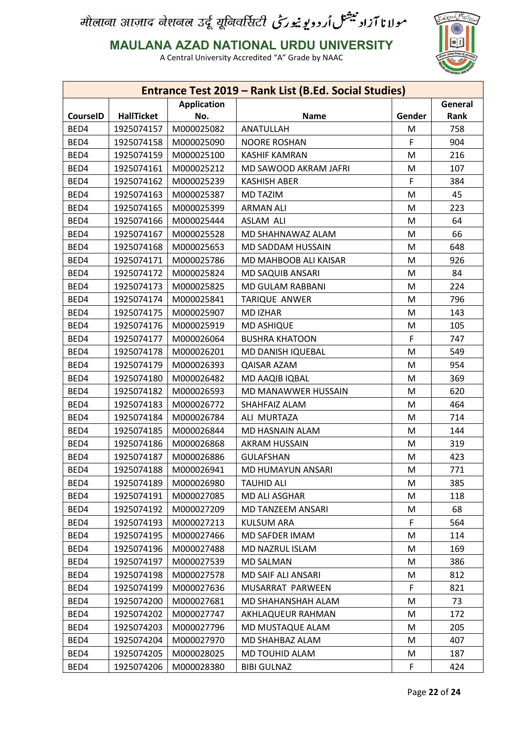

**MAULANA AZAD NATIONAL URDU UNIVERSITY**

| <b>Application</b><br>General<br><b>HallTicket</b><br><b>CourseID</b><br>No.<br><b>Name</b><br>Gender<br>Rank<br>BED4<br>ANATULLAH<br>1925074157<br>M000025082<br>M<br>758<br>F<br>BED4<br>1925074158<br>M000025090<br><b>NOORE ROSHAN</b><br>904<br>M<br>BED4<br>1925074159<br>M000025100<br><b>KASHIF KAMRAN</b><br>216<br>BED4<br>1925074161<br>M000025212<br>107<br>MD SAWOOD AKRAM JAFRI<br>M<br>F<br>BED4<br>1925074162<br>M000025239<br><b>KASHISH ABER</b><br>384<br>BED4<br>45<br>1925074163<br>M000025387<br><b>MD TAZIM</b><br>M<br>BED4<br>1925074165<br>M000025399<br><b>ARMAN ALI</b><br>M<br>223<br>BED4<br>1925074166<br>M000025444<br><b>ASLAM ALI</b><br>M<br>64<br>BED4<br>66<br>1925074167<br>M000025528<br>MD SHAHNAWAZ ALAM<br>M<br>BED4<br>648<br>1925074168<br>M000025653<br>MD SADDAM HUSSAIN<br>M<br>BED4<br>926<br>1925074171<br>M000025786<br>M<br>MD MAHBOOB ALI KAISAR<br>BED4<br>1925074172<br>84<br>M000025824<br><b>MD SAQUIB ANSARI</b><br>М<br>BED4<br>1925074173<br>M000025825<br>M<br>224<br>MD GULAM RABBANI<br>BED4<br>796<br>1925074174<br>M000025841<br>TARIQUE ANWER<br>M<br>BED4<br>1925074175<br>M000025907<br><b>MD IZHAR</b><br>M<br>143<br>BED4<br>1925074176<br>M000025919<br><b>MD ASHIQUE</b><br>105<br>M<br>F<br>BED4<br>1925074177<br>M000026064<br><b>BUSHRA KHATOON</b><br>747<br>BED4<br>1925074178<br>M000026201<br>MD DANISH IQUEBAL<br>549<br>M<br>BED4<br>1925074179<br>954<br>M000026393<br><b>QAISAR AZAM</b><br>M<br>BED4<br>1925074180<br>M000026482<br>369<br>MD AAQIB IQBAL<br>M<br>BED4<br>1925074182<br>M000026593<br>MD MANAWWER HUSSAIN<br>M<br>620<br>BED4<br>1925074183<br>M000026772<br>SHAHFAIZ ALAM<br>464<br>M<br>BED4<br>1925074184<br>714<br>M000026784<br>ALI MURTAZA<br>M<br>BED4<br>1925074185<br>M000026844<br>MD HASNAIN ALAM<br>144<br>M<br>BED4<br>1925074186<br>M000026868<br><b>AKRAM HUSSAIN</b><br>319<br>M<br>BED4<br>423<br>1925074187<br>M000026886<br><b>GULAFSHAN</b><br>M<br>BED4<br>1925074188<br>M000026941<br>771<br>MD HUMAYUN ANSARI<br>M<br>BED4<br>1925074189<br>M000026980<br><b>TAUHID ALI</b><br>385<br>M<br>BED4<br>1925074191<br>M000027085<br>MD ALI ASGHAR<br>M<br>118<br>BED4<br>1925074192<br>M000027209<br>68<br>MD TANZEEM ANSARI<br>M<br>1925074193<br>F<br>BED4<br>M000027213<br><b>KULSUM ARA</b><br>564<br>BED4<br>1925074195<br>M000027466<br>MD SAFDER IMAM<br>M<br>114<br>1925074196<br>BED4<br>M000027488<br>MD NAZRUL ISLAM<br>M<br>169<br>BED4<br>1925074197<br>M000027539<br><b>MD SALMAN</b><br>M<br>386<br>BED4<br>1925074198<br>M000027578<br>MD SAIF ALI ANSARI<br>812<br>M<br>F<br>BED4<br>1925074199<br>821<br>M000027636<br>MUSARRAT PARWEEN<br>BED4<br>1925074200<br>M000027681<br>MD SHAHANSHAH ALAM<br>73<br>M<br>BED4<br>1925074202<br>M000027747<br>AKHLAQUEUR RAHMAN<br>M<br>172<br>BED4<br>1925074203<br>M000027796<br>205<br>MD MUSTAQUE ALAM<br>M<br>BED4<br>1925074204<br>407<br>M000027970<br>MD SHAHBAZ ALAM<br>M<br>BED4<br>1925074205<br>M000028025<br>187<br>MD TOUHID ALAM<br>M<br>F<br>BED4<br>424<br>1925074206<br>M000028380<br><b>BIBI GULNAZ</b> |  |  | Entrance Test 2019 - Rank List (B.Ed. Social Studies) |  |  |  |  |
|---------------------------------------------------------------------------------------------------------------------------------------------------------------------------------------------------------------------------------------------------------------------------------------------------------------------------------------------------------------------------------------------------------------------------------------------------------------------------------------------------------------------------------------------------------------------------------------------------------------------------------------------------------------------------------------------------------------------------------------------------------------------------------------------------------------------------------------------------------------------------------------------------------------------------------------------------------------------------------------------------------------------------------------------------------------------------------------------------------------------------------------------------------------------------------------------------------------------------------------------------------------------------------------------------------------------------------------------------------------------------------------------------------------------------------------------------------------------------------------------------------------------------------------------------------------------------------------------------------------------------------------------------------------------------------------------------------------------------------------------------------------------------------------------------------------------------------------------------------------------------------------------------------------------------------------------------------------------------------------------------------------------------------------------------------------------------------------------------------------------------------------------------------------------------------------------------------------------------------------------------------------------------------------------------------------------------------------------------------------------------------------------------------------------------------------------------------------------------------------------------------------------------------------------------------------------------------------------------------------------------------------------------------------------------------------------------------------------------------------------------------------------------------------------------------------------------------------------------------------------------------------------------------------------------------------------------------------------------------------------------------------------------------------------------------------------------------------------------------|--|--|-------------------------------------------------------|--|--|--|--|
|                                                                                                                                                                                                                                                                                                                                                                                                                                                                                                                                                                                                                                                                                                                                                                                                                                                                                                                                                                                                                                                                                                                                                                                                                                                                                                                                                                                                                                                                                                                                                                                                                                                                                                                                                                                                                                                                                                                                                                                                                                                                                                                                                                                                                                                                                                                                                                                                                                                                                                                                                                                                                                                                                                                                                                                                                                                                                                                                                                                                                                                                                                         |  |  |                                                       |  |  |  |  |
|                                                                                                                                                                                                                                                                                                                                                                                                                                                                                                                                                                                                                                                                                                                                                                                                                                                                                                                                                                                                                                                                                                                                                                                                                                                                                                                                                                                                                                                                                                                                                                                                                                                                                                                                                                                                                                                                                                                                                                                                                                                                                                                                                                                                                                                                                                                                                                                                                                                                                                                                                                                                                                                                                                                                                                                                                                                                                                                                                                                                                                                                                                         |  |  |                                                       |  |  |  |  |
|                                                                                                                                                                                                                                                                                                                                                                                                                                                                                                                                                                                                                                                                                                                                                                                                                                                                                                                                                                                                                                                                                                                                                                                                                                                                                                                                                                                                                                                                                                                                                                                                                                                                                                                                                                                                                                                                                                                                                                                                                                                                                                                                                                                                                                                                                                                                                                                                                                                                                                                                                                                                                                                                                                                                                                                                                                                                                                                                                                                                                                                                                                         |  |  |                                                       |  |  |  |  |
|                                                                                                                                                                                                                                                                                                                                                                                                                                                                                                                                                                                                                                                                                                                                                                                                                                                                                                                                                                                                                                                                                                                                                                                                                                                                                                                                                                                                                                                                                                                                                                                                                                                                                                                                                                                                                                                                                                                                                                                                                                                                                                                                                                                                                                                                                                                                                                                                                                                                                                                                                                                                                                                                                                                                                                                                                                                                                                                                                                                                                                                                                                         |  |  |                                                       |  |  |  |  |
|                                                                                                                                                                                                                                                                                                                                                                                                                                                                                                                                                                                                                                                                                                                                                                                                                                                                                                                                                                                                                                                                                                                                                                                                                                                                                                                                                                                                                                                                                                                                                                                                                                                                                                                                                                                                                                                                                                                                                                                                                                                                                                                                                                                                                                                                                                                                                                                                                                                                                                                                                                                                                                                                                                                                                                                                                                                                                                                                                                                                                                                                                                         |  |  |                                                       |  |  |  |  |
|                                                                                                                                                                                                                                                                                                                                                                                                                                                                                                                                                                                                                                                                                                                                                                                                                                                                                                                                                                                                                                                                                                                                                                                                                                                                                                                                                                                                                                                                                                                                                                                                                                                                                                                                                                                                                                                                                                                                                                                                                                                                                                                                                                                                                                                                                                                                                                                                                                                                                                                                                                                                                                                                                                                                                                                                                                                                                                                                                                                                                                                                                                         |  |  |                                                       |  |  |  |  |
|                                                                                                                                                                                                                                                                                                                                                                                                                                                                                                                                                                                                                                                                                                                                                                                                                                                                                                                                                                                                                                                                                                                                                                                                                                                                                                                                                                                                                                                                                                                                                                                                                                                                                                                                                                                                                                                                                                                                                                                                                                                                                                                                                                                                                                                                                                                                                                                                                                                                                                                                                                                                                                                                                                                                                                                                                                                                                                                                                                                                                                                                                                         |  |  |                                                       |  |  |  |  |
|                                                                                                                                                                                                                                                                                                                                                                                                                                                                                                                                                                                                                                                                                                                                                                                                                                                                                                                                                                                                                                                                                                                                                                                                                                                                                                                                                                                                                                                                                                                                                                                                                                                                                                                                                                                                                                                                                                                                                                                                                                                                                                                                                                                                                                                                                                                                                                                                                                                                                                                                                                                                                                                                                                                                                                                                                                                                                                                                                                                                                                                                                                         |  |  |                                                       |  |  |  |  |
|                                                                                                                                                                                                                                                                                                                                                                                                                                                                                                                                                                                                                                                                                                                                                                                                                                                                                                                                                                                                                                                                                                                                                                                                                                                                                                                                                                                                                                                                                                                                                                                                                                                                                                                                                                                                                                                                                                                                                                                                                                                                                                                                                                                                                                                                                                                                                                                                                                                                                                                                                                                                                                                                                                                                                                                                                                                                                                                                                                                                                                                                                                         |  |  |                                                       |  |  |  |  |
|                                                                                                                                                                                                                                                                                                                                                                                                                                                                                                                                                                                                                                                                                                                                                                                                                                                                                                                                                                                                                                                                                                                                                                                                                                                                                                                                                                                                                                                                                                                                                                                                                                                                                                                                                                                                                                                                                                                                                                                                                                                                                                                                                                                                                                                                                                                                                                                                                                                                                                                                                                                                                                                                                                                                                                                                                                                                                                                                                                                                                                                                                                         |  |  |                                                       |  |  |  |  |
|                                                                                                                                                                                                                                                                                                                                                                                                                                                                                                                                                                                                                                                                                                                                                                                                                                                                                                                                                                                                                                                                                                                                                                                                                                                                                                                                                                                                                                                                                                                                                                                                                                                                                                                                                                                                                                                                                                                                                                                                                                                                                                                                                                                                                                                                                                                                                                                                                                                                                                                                                                                                                                                                                                                                                                                                                                                                                                                                                                                                                                                                                                         |  |  |                                                       |  |  |  |  |
|                                                                                                                                                                                                                                                                                                                                                                                                                                                                                                                                                                                                                                                                                                                                                                                                                                                                                                                                                                                                                                                                                                                                                                                                                                                                                                                                                                                                                                                                                                                                                                                                                                                                                                                                                                                                                                                                                                                                                                                                                                                                                                                                                                                                                                                                                                                                                                                                                                                                                                                                                                                                                                                                                                                                                                                                                                                                                                                                                                                                                                                                                                         |  |  |                                                       |  |  |  |  |
|                                                                                                                                                                                                                                                                                                                                                                                                                                                                                                                                                                                                                                                                                                                                                                                                                                                                                                                                                                                                                                                                                                                                                                                                                                                                                                                                                                                                                                                                                                                                                                                                                                                                                                                                                                                                                                                                                                                                                                                                                                                                                                                                                                                                                                                                                                                                                                                                                                                                                                                                                                                                                                                                                                                                                                                                                                                                                                                                                                                                                                                                                                         |  |  |                                                       |  |  |  |  |
|                                                                                                                                                                                                                                                                                                                                                                                                                                                                                                                                                                                                                                                                                                                                                                                                                                                                                                                                                                                                                                                                                                                                                                                                                                                                                                                                                                                                                                                                                                                                                                                                                                                                                                                                                                                                                                                                                                                                                                                                                                                                                                                                                                                                                                                                                                                                                                                                                                                                                                                                                                                                                                                                                                                                                                                                                                                                                                                                                                                                                                                                                                         |  |  |                                                       |  |  |  |  |
|                                                                                                                                                                                                                                                                                                                                                                                                                                                                                                                                                                                                                                                                                                                                                                                                                                                                                                                                                                                                                                                                                                                                                                                                                                                                                                                                                                                                                                                                                                                                                                                                                                                                                                                                                                                                                                                                                                                                                                                                                                                                                                                                                                                                                                                                                                                                                                                                                                                                                                                                                                                                                                                                                                                                                                                                                                                                                                                                                                                                                                                                                                         |  |  |                                                       |  |  |  |  |
|                                                                                                                                                                                                                                                                                                                                                                                                                                                                                                                                                                                                                                                                                                                                                                                                                                                                                                                                                                                                                                                                                                                                                                                                                                                                                                                                                                                                                                                                                                                                                                                                                                                                                                                                                                                                                                                                                                                                                                                                                                                                                                                                                                                                                                                                                                                                                                                                                                                                                                                                                                                                                                                                                                                                                                                                                                                                                                                                                                                                                                                                                                         |  |  |                                                       |  |  |  |  |
|                                                                                                                                                                                                                                                                                                                                                                                                                                                                                                                                                                                                                                                                                                                                                                                                                                                                                                                                                                                                                                                                                                                                                                                                                                                                                                                                                                                                                                                                                                                                                                                                                                                                                                                                                                                                                                                                                                                                                                                                                                                                                                                                                                                                                                                                                                                                                                                                                                                                                                                                                                                                                                                                                                                                                                                                                                                                                                                                                                                                                                                                                                         |  |  |                                                       |  |  |  |  |
|                                                                                                                                                                                                                                                                                                                                                                                                                                                                                                                                                                                                                                                                                                                                                                                                                                                                                                                                                                                                                                                                                                                                                                                                                                                                                                                                                                                                                                                                                                                                                                                                                                                                                                                                                                                                                                                                                                                                                                                                                                                                                                                                                                                                                                                                                                                                                                                                                                                                                                                                                                                                                                                                                                                                                                                                                                                                                                                                                                                                                                                                                                         |  |  |                                                       |  |  |  |  |
|                                                                                                                                                                                                                                                                                                                                                                                                                                                                                                                                                                                                                                                                                                                                                                                                                                                                                                                                                                                                                                                                                                                                                                                                                                                                                                                                                                                                                                                                                                                                                                                                                                                                                                                                                                                                                                                                                                                                                                                                                                                                                                                                                                                                                                                                                                                                                                                                                                                                                                                                                                                                                                                                                                                                                                                                                                                                                                                                                                                                                                                                                                         |  |  |                                                       |  |  |  |  |
|                                                                                                                                                                                                                                                                                                                                                                                                                                                                                                                                                                                                                                                                                                                                                                                                                                                                                                                                                                                                                                                                                                                                                                                                                                                                                                                                                                                                                                                                                                                                                                                                                                                                                                                                                                                                                                                                                                                                                                                                                                                                                                                                                                                                                                                                                                                                                                                                                                                                                                                                                                                                                                                                                                                                                                                                                                                                                                                                                                                                                                                                                                         |  |  |                                                       |  |  |  |  |
|                                                                                                                                                                                                                                                                                                                                                                                                                                                                                                                                                                                                                                                                                                                                                                                                                                                                                                                                                                                                                                                                                                                                                                                                                                                                                                                                                                                                                                                                                                                                                                                                                                                                                                                                                                                                                                                                                                                                                                                                                                                                                                                                                                                                                                                                                                                                                                                                                                                                                                                                                                                                                                                                                                                                                                                                                                                                                                                                                                                                                                                                                                         |  |  |                                                       |  |  |  |  |
|                                                                                                                                                                                                                                                                                                                                                                                                                                                                                                                                                                                                                                                                                                                                                                                                                                                                                                                                                                                                                                                                                                                                                                                                                                                                                                                                                                                                                                                                                                                                                                                                                                                                                                                                                                                                                                                                                                                                                                                                                                                                                                                                                                                                                                                                                                                                                                                                                                                                                                                                                                                                                                                                                                                                                                                                                                                                                                                                                                                                                                                                                                         |  |  |                                                       |  |  |  |  |
|                                                                                                                                                                                                                                                                                                                                                                                                                                                                                                                                                                                                                                                                                                                                                                                                                                                                                                                                                                                                                                                                                                                                                                                                                                                                                                                                                                                                                                                                                                                                                                                                                                                                                                                                                                                                                                                                                                                                                                                                                                                                                                                                                                                                                                                                                                                                                                                                                                                                                                                                                                                                                                                                                                                                                                                                                                                                                                                                                                                                                                                                                                         |  |  |                                                       |  |  |  |  |
|                                                                                                                                                                                                                                                                                                                                                                                                                                                                                                                                                                                                                                                                                                                                                                                                                                                                                                                                                                                                                                                                                                                                                                                                                                                                                                                                                                                                                                                                                                                                                                                                                                                                                                                                                                                                                                                                                                                                                                                                                                                                                                                                                                                                                                                                                                                                                                                                                                                                                                                                                                                                                                                                                                                                                                                                                                                                                                                                                                                                                                                                                                         |  |  |                                                       |  |  |  |  |
|                                                                                                                                                                                                                                                                                                                                                                                                                                                                                                                                                                                                                                                                                                                                                                                                                                                                                                                                                                                                                                                                                                                                                                                                                                                                                                                                                                                                                                                                                                                                                                                                                                                                                                                                                                                                                                                                                                                                                                                                                                                                                                                                                                                                                                                                                                                                                                                                                                                                                                                                                                                                                                                                                                                                                                                                                                                                                                                                                                                                                                                                                                         |  |  |                                                       |  |  |  |  |
|                                                                                                                                                                                                                                                                                                                                                                                                                                                                                                                                                                                                                                                                                                                                                                                                                                                                                                                                                                                                                                                                                                                                                                                                                                                                                                                                                                                                                                                                                                                                                                                                                                                                                                                                                                                                                                                                                                                                                                                                                                                                                                                                                                                                                                                                                                                                                                                                                                                                                                                                                                                                                                                                                                                                                                                                                                                                                                                                                                                                                                                                                                         |  |  |                                                       |  |  |  |  |
|                                                                                                                                                                                                                                                                                                                                                                                                                                                                                                                                                                                                                                                                                                                                                                                                                                                                                                                                                                                                                                                                                                                                                                                                                                                                                                                                                                                                                                                                                                                                                                                                                                                                                                                                                                                                                                                                                                                                                                                                                                                                                                                                                                                                                                                                                                                                                                                                                                                                                                                                                                                                                                                                                                                                                                                                                                                                                                                                                                                                                                                                                                         |  |  |                                                       |  |  |  |  |
|                                                                                                                                                                                                                                                                                                                                                                                                                                                                                                                                                                                                                                                                                                                                                                                                                                                                                                                                                                                                                                                                                                                                                                                                                                                                                                                                                                                                                                                                                                                                                                                                                                                                                                                                                                                                                                                                                                                                                                                                                                                                                                                                                                                                                                                                                                                                                                                                                                                                                                                                                                                                                                                                                                                                                                                                                                                                                                                                                                                                                                                                                                         |  |  |                                                       |  |  |  |  |
|                                                                                                                                                                                                                                                                                                                                                                                                                                                                                                                                                                                                                                                                                                                                                                                                                                                                                                                                                                                                                                                                                                                                                                                                                                                                                                                                                                                                                                                                                                                                                                                                                                                                                                                                                                                                                                                                                                                                                                                                                                                                                                                                                                                                                                                                                                                                                                                                                                                                                                                                                                                                                                                                                                                                                                                                                                                                                                                                                                                                                                                                                                         |  |  |                                                       |  |  |  |  |
|                                                                                                                                                                                                                                                                                                                                                                                                                                                                                                                                                                                                                                                                                                                                                                                                                                                                                                                                                                                                                                                                                                                                                                                                                                                                                                                                                                                                                                                                                                                                                                                                                                                                                                                                                                                                                                                                                                                                                                                                                                                                                                                                                                                                                                                                                                                                                                                                                                                                                                                                                                                                                                                                                                                                                                                                                                                                                                                                                                                                                                                                                                         |  |  |                                                       |  |  |  |  |
|                                                                                                                                                                                                                                                                                                                                                                                                                                                                                                                                                                                                                                                                                                                                                                                                                                                                                                                                                                                                                                                                                                                                                                                                                                                                                                                                                                                                                                                                                                                                                                                                                                                                                                                                                                                                                                                                                                                                                                                                                                                                                                                                                                                                                                                                                                                                                                                                                                                                                                                                                                                                                                                                                                                                                                                                                                                                                                                                                                                                                                                                                                         |  |  |                                                       |  |  |  |  |
|                                                                                                                                                                                                                                                                                                                                                                                                                                                                                                                                                                                                                                                                                                                                                                                                                                                                                                                                                                                                                                                                                                                                                                                                                                                                                                                                                                                                                                                                                                                                                                                                                                                                                                                                                                                                                                                                                                                                                                                                                                                                                                                                                                                                                                                                                                                                                                                                                                                                                                                                                                                                                                                                                                                                                                                                                                                                                                                                                                                                                                                                                                         |  |  |                                                       |  |  |  |  |
|                                                                                                                                                                                                                                                                                                                                                                                                                                                                                                                                                                                                                                                                                                                                                                                                                                                                                                                                                                                                                                                                                                                                                                                                                                                                                                                                                                                                                                                                                                                                                                                                                                                                                                                                                                                                                                                                                                                                                                                                                                                                                                                                                                                                                                                                                                                                                                                                                                                                                                                                                                                                                                                                                                                                                                                                                                                                                                                                                                                                                                                                                                         |  |  |                                                       |  |  |  |  |
|                                                                                                                                                                                                                                                                                                                                                                                                                                                                                                                                                                                                                                                                                                                                                                                                                                                                                                                                                                                                                                                                                                                                                                                                                                                                                                                                                                                                                                                                                                                                                                                                                                                                                                                                                                                                                                                                                                                                                                                                                                                                                                                                                                                                                                                                                                                                                                                                                                                                                                                                                                                                                                                                                                                                                                                                                                                                                                                                                                                                                                                                                                         |  |  |                                                       |  |  |  |  |
|                                                                                                                                                                                                                                                                                                                                                                                                                                                                                                                                                                                                                                                                                                                                                                                                                                                                                                                                                                                                                                                                                                                                                                                                                                                                                                                                                                                                                                                                                                                                                                                                                                                                                                                                                                                                                                                                                                                                                                                                                                                                                                                                                                                                                                                                                                                                                                                                                                                                                                                                                                                                                                                                                                                                                                                                                                                                                                                                                                                                                                                                                                         |  |  |                                                       |  |  |  |  |
|                                                                                                                                                                                                                                                                                                                                                                                                                                                                                                                                                                                                                                                                                                                                                                                                                                                                                                                                                                                                                                                                                                                                                                                                                                                                                                                                                                                                                                                                                                                                                                                                                                                                                                                                                                                                                                                                                                                                                                                                                                                                                                                                                                                                                                                                                                                                                                                                                                                                                                                                                                                                                                                                                                                                                                                                                                                                                                                                                                                                                                                                                                         |  |  |                                                       |  |  |  |  |
|                                                                                                                                                                                                                                                                                                                                                                                                                                                                                                                                                                                                                                                                                                                                                                                                                                                                                                                                                                                                                                                                                                                                                                                                                                                                                                                                                                                                                                                                                                                                                                                                                                                                                                                                                                                                                                                                                                                                                                                                                                                                                                                                                                                                                                                                                                                                                                                                                                                                                                                                                                                                                                                                                                                                                                                                                                                                                                                                                                                                                                                                                                         |  |  |                                                       |  |  |  |  |
|                                                                                                                                                                                                                                                                                                                                                                                                                                                                                                                                                                                                                                                                                                                                                                                                                                                                                                                                                                                                                                                                                                                                                                                                                                                                                                                                                                                                                                                                                                                                                                                                                                                                                                                                                                                                                                                                                                                                                                                                                                                                                                                                                                                                                                                                                                                                                                                                                                                                                                                                                                                                                                                                                                                                                                                                                                                                                                                                                                                                                                                                                                         |  |  |                                                       |  |  |  |  |
|                                                                                                                                                                                                                                                                                                                                                                                                                                                                                                                                                                                                                                                                                                                                                                                                                                                                                                                                                                                                                                                                                                                                                                                                                                                                                                                                                                                                                                                                                                                                                                                                                                                                                                                                                                                                                                                                                                                                                                                                                                                                                                                                                                                                                                                                                                                                                                                                                                                                                                                                                                                                                                                                                                                                                                                                                                                                                                                                                                                                                                                                                                         |  |  |                                                       |  |  |  |  |
|                                                                                                                                                                                                                                                                                                                                                                                                                                                                                                                                                                                                                                                                                                                                                                                                                                                                                                                                                                                                                                                                                                                                                                                                                                                                                                                                                                                                                                                                                                                                                                                                                                                                                                                                                                                                                                                                                                                                                                                                                                                                                                                                                                                                                                                                                                                                                                                                                                                                                                                                                                                                                                                                                                                                                                                                                                                                                                                                                                                                                                                                                                         |  |  |                                                       |  |  |  |  |
|                                                                                                                                                                                                                                                                                                                                                                                                                                                                                                                                                                                                                                                                                                                                                                                                                                                                                                                                                                                                                                                                                                                                                                                                                                                                                                                                                                                                                                                                                                                                                                                                                                                                                                                                                                                                                                                                                                                                                                                                                                                                                                                                                                                                                                                                                                                                                                                                                                                                                                                                                                                                                                                                                                                                                                                                                                                                                                                                                                                                                                                                                                         |  |  |                                                       |  |  |  |  |
|                                                                                                                                                                                                                                                                                                                                                                                                                                                                                                                                                                                                                                                                                                                                                                                                                                                                                                                                                                                                                                                                                                                                                                                                                                                                                                                                                                                                                                                                                                                                                                                                                                                                                                                                                                                                                                                                                                                                                                                                                                                                                                                                                                                                                                                                                                                                                                                                                                                                                                                                                                                                                                                                                                                                                                                                                                                                                                                                                                                                                                                                                                         |  |  |                                                       |  |  |  |  |
|                                                                                                                                                                                                                                                                                                                                                                                                                                                                                                                                                                                                                                                                                                                                                                                                                                                                                                                                                                                                                                                                                                                                                                                                                                                                                                                                                                                                                                                                                                                                                                                                                                                                                                                                                                                                                                                                                                                                                                                                                                                                                                                                                                                                                                                                                                                                                                                                                                                                                                                                                                                                                                                                                                                                                                                                                                                                                                                                                                                                                                                                                                         |  |  |                                                       |  |  |  |  |
|                                                                                                                                                                                                                                                                                                                                                                                                                                                                                                                                                                                                                                                                                                                                                                                                                                                                                                                                                                                                                                                                                                                                                                                                                                                                                                                                                                                                                                                                                                                                                                                                                                                                                                                                                                                                                                                                                                                                                                                                                                                                                                                                                                                                                                                                                                                                                                                                                                                                                                                                                                                                                                                                                                                                                                                                                                                                                                                                                                                                                                                                                                         |  |  |                                                       |  |  |  |  |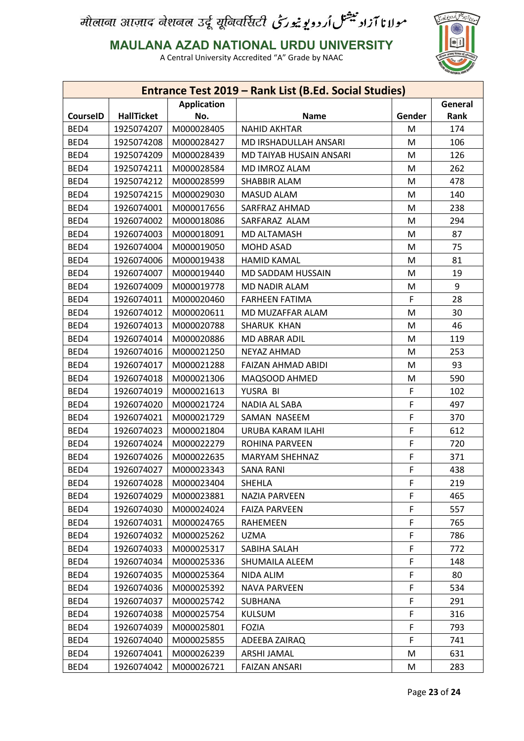

**MAULANA AZAD NATIONAL URDU UNIVERSITY**

|                 |                   |                    | Entrance Test 2019 - Rank List (B.Ed. Social Studies) |        |         |
|-----------------|-------------------|--------------------|-------------------------------------------------------|--------|---------|
|                 |                   | <b>Application</b> |                                                       |        | General |
| <b>CourseID</b> | <b>HallTicket</b> | No.                | <b>Name</b>                                           | Gender | Rank    |
| BED4            | 1925074207        | M000028405         | <b>NAHID AKHTAR</b>                                   | M      | 174     |
| BED4            | 1925074208        | M000028427         | MD IRSHADULLAH ANSARI                                 | M      | 106     |
| BED4            | 1925074209        | M000028439         | MD TAIYAB HUSAIN ANSARI                               | M      | 126     |
| BED4            | 1925074211        | M000028584         | MD IMROZ ALAM                                         | М      | 262     |
| BED4            | 1925074212        | M000028599         | SHABBIR ALAM                                          | M      | 478     |
| BED4            | 1925074215        | M000029030         | MASUD ALAM                                            | M      | 140     |
| BED4            | 1926074001        | M000017656         | SARFRAZ AHMAD                                         | M      | 238     |
| BED4            | 1926074002        | M000018086         | SARFARAZ ALAM                                         | M      | 294     |
| BED4            | 1926074003        | M000018091         | MD ALTAMASH                                           | M      | 87      |
| BED4            | 1926074004        | M000019050         | <b>MOHD ASAD</b>                                      | M      | 75      |
| BED4            | 1926074006        | M000019438         | <b>HAMID KAMAL</b>                                    | M      | 81      |
| BED4            | 1926074007        | M000019440         | MD SADDAM HUSSAIN                                     | M      | 19      |
| BED4            | 1926074009        | M000019778         | MD NADIR ALAM                                         | M      | 9       |
| BED4            | 1926074011        | M000020460         | <b>FARHEEN FATIMA</b>                                 | F      | 28      |
| BED4            | 1926074012        | M000020611         | MD MUZAFFAR ALAM                                      | M      | 30      |
| BED4            | 1926074013        | M000020788         | SHARUK KHAN                                           | M      | 46      |
| BED4            | 1926074014        | M000020886         | <b>MD ABRAR ADIL</b>                                  | M      | 119     |
| BED4            | 1926074016        | M000021250         | <b>NEYAZ AHMAD</b>                                    | M      | 253     |
| BED4            | 1926074017        | M000021288         | FAIZAN AHMAD ABIDI                                    | M      | 93      |
| BED4            | 1926074018        | M000021306         | MAQSOOD AHMED                                         | M      | 590     |
| BED4            | 1926074019        | M000021613         | YUSRA BI                                              | F      | 102     |
| BED4            | 1926074020        | M000021724         | NADIA AL SABA                                         | F      | 497     |
| BED4            | 1926074021        | M000021729         | SAMAN NASEEM                                          | F      | 370     |
| BED4            | 1926074023        | M000021804         | URUBA KARAM ILAHI                                     | F      | 612     |
| BED4            | 1926074024        | M000022279         | <b>ROHINA PARVEEN</b>                                 | F      | 720     |
| BED4            | 1926074026        | M000022635         | <b>MARYAM SHEHNAZ</b>                                 | F      | 371     |
| BED4            | 1926074027        | M000023343         | SANA RANI                                             | F      | 438     |
| BED4            | 1926074028        | M000023404         | SHEHLA                                                | F      | 219     |
| BED4            | 1926074029        | M000023881         | <b>NAZIA PARVEEN</b>                                  | F      | 465     |
| BED4            | 1926074030        | M000024024         | <b>FAIZA PARVEEN</b>                                  | F      | 557     |
| BED4            | 1926074031        | M000024765         | RAHEMEEN                                              | F      | 765     |
| BED4            | 1926074032        | M000025262         | <b>UZMA</b>                                           | F      | 786     |
| BED4            | 1926074033        | M000025317         | SABIHA SALAH                                          | F      | 772     |
| BED4            | 1926074034        | M000025336         | SHUMAILA ALEEM                                        | F      | 148     |
| BED4            | 1926074035        | M000025364         | NIDA ALIM                                             | F      | 80      |
| BED4            | 1926074036        | M000025392         | <b>NAVA PARVEEN</b>                                   | F      | 534     |
| BED4            | 1926074037        | M000025742         | SUBHANA                                               | F      | 291     |
| BED4            | 1926074038        | M000025754         | <b>KULSUM</b>                                         | F      | 316     |
| BED4            | 1926074039        | M000025801         | <b>FOZIA</b>                                          | F      | 793     |
| BED4            | 1926074040        | M000025855         | ADEEBA ZAIRAQ                                         | F      | 741     |
|                 | 1926074041        | M000026239         |                                                       |        | 631     |
| BED4            |                   |                    | ARSHI JAMAL                                           | M      |         |
| BED4            | 1926074042        | M000026721         | <b>FAIZAN ANSARI</b>                                  | М      | 283     |